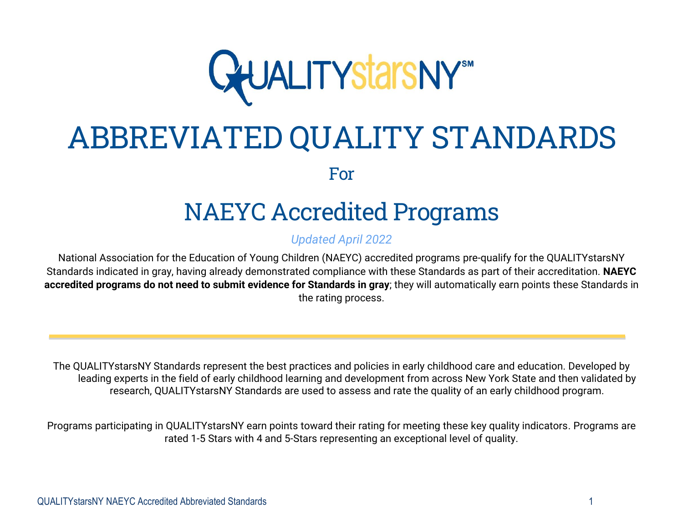

# ABBREVIATED QUALITY STANDARDS

For

# NAEYC Accredited Programs

*Updated April 2022*

National Association for the Education of Young Children (NAEYC) accredited programs pre-qualify for the QUALITYstarsNY Standards indicated in gray, having already demonstrated compliance with these Standards as part of their accreditation. **NAEYC accredited programs do not need to submit evidence for Standards in gray**; they will automatically earn points these Standards in the rating process.

The QUALITYstarsNY Standards represent the best practices and policies in early childhood care and education. Developed by leading experts in the field of early childhood learning and development from across New York State and then validated by research, QUALITYstarsNY Standards are used to assess and rate the quality of an early childhood program.

Programs participating in QUALITYstarsNY earn points toward their rating for meeting these key quality indicators. Programs are rated 1-5 Stars with 4 and 5-Stars representing an exceptional level of quality.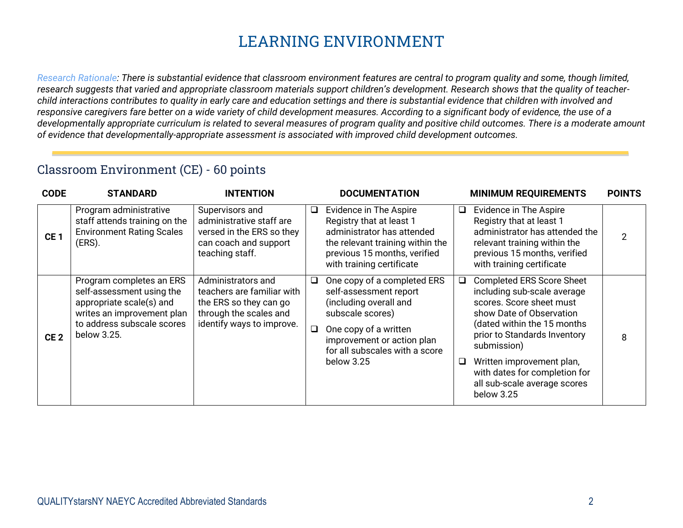# **LEARNING ENVIRONMENT**

*Research Rationale: There is substantial evidence that classroom environment features are central to program quality and some, though limited, research suggests that varied and appropriate classroom materials support children's development. Research shows that the quality of teacherchild interactions contributes to quality in early care and education settings and there is substantial evidence that children with involved and responsive caregivers fare better on a wide variety of child development measures. According to a significant body of evidence, the use of a developmentally appropriate curriculum is related to several measures of program quality and positive child outcomes. There is a moderate amount of evidence that developmentally-appropriate assessment is associated with improved child development outcomes.*

#### Classroom Environment (CE) - 60 points

| <b>CODE</b>     | <b>STANDARD</b>                                                                                                                                              | <b>INTENTION</b>                                                                                                                  |         | <b>DOCUMENTATION</b>                                                                                                                                                                                       |        | <b>MINIMUM REQUIREMENTS</b>                                                                                                                                                                                                                                                                                       | <b>POINTS</b>  |
|-----------------|--------------------------------------------------------------------------------------------------------------------------------------------------------------|-----------------------------------------------------------------------------------------------------------------------------------|---------|------------------------------------------------------------------------------------------------------------------------------------------------------------------------------------------------------------|--------|-------------------------------------------------------------------------------------------------------------------------------------------------------------------------------------------------------------------------------------------------------------------------------------------------------------------|----------------|
| CE <sub>1</sub> | Program administrative<br>staff attends training on the<br><b>Environment Rating Scales</b><br>(ERS).                                                        | Supervisors and<br>administrative staff are<br>versed in the ERS so they<br>can coach and support<br>teaching staff.              | $\Box$  | Evidence in The Aspire<br>Registry that at least 1<br>administrator has attended<br>the relevant training within the<br>previous 15 months, verified<br>with training certificate                          | $\Box$ | Evidence in The Aspire<br>Registry that at least 1<br>administrator has attended the<br>relevant training within the<br>previous 15 months, verified<br>with training certificate                                                                                                                                 | $\overline{2}$ |
| CE <sub>2</sub> | Program completes an ERS<br>self-assessment using the<br>appropriate scale(s) and<br>writes an improvement plan<br>to address subscale scores<br>below 3.25. | Administrators and<br>teachers are familiar with<br>the ERS so they can go<br>through the scales and<br>identify ways to improve. | Q.<br>O | One copy of a completed ERS<br>self-assessment report<br>(including overall and<br>subscale scores)<br>One copy of a written<br>improvement or action plan<br>for all subscales with a score<br>below 3.25 | □<br>□ | <b>Completed ERS Score Sheet</b><br>including sub-scale average<br>scores. Score sheet must<br>show Date of Observation<br>(dated within the 15 months<br>prior to Standards Inventory<br>submission)<br>Written improvement plan,<br>with dates for completion for<br>all sub-scale average scores<br>below 3.25 | 8              |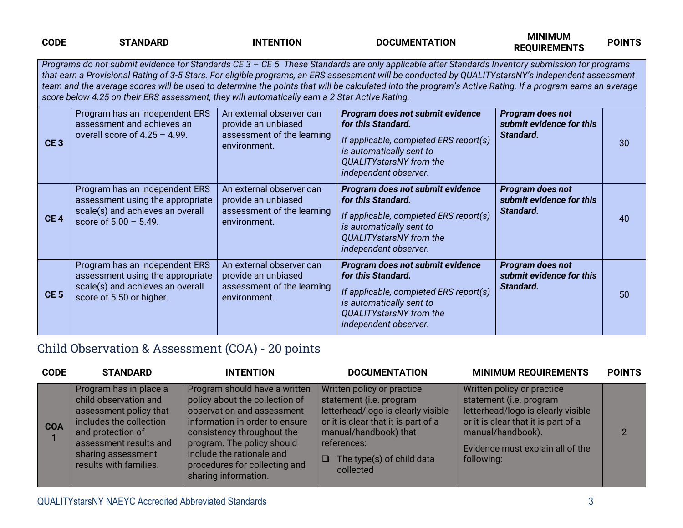| <b>CODE</b>     | <b>STANDARD</b>                                                                                                                    | <b>INTENTION</b>                                                                              | <b>DOCUMENTATION</b>                                                                                                                                                                                                                                                                                                                                                                                                                                               | <b>MINIMUM</b><br><b>REQUIREMENTS</b>                     | <b>POINTS</b> |
|-----------------|------------------------------------------------------------------------------------------------------------------------------------|-----------------------------------------------------------------------------------------------|--------------------------------------------------------------------------------------------------------------------------------------------------------------------------------------------------------------------------------------------------------------------------------------------------------------------------------------------------------------------------------------------------------------------------------------------------------------------|-----------------------------------------------------------|---------------|
|                 | score below 4.25 on their ERS assessment, they will automatically earn a 2 Star Active Rating.                                     |                                                                                               | Programs do not submit evidence for Standards CE 3 - CE 5. These Standards are only applicable after Standards Inventory submission for programs<br>that earn a Provisional Rating of 3-5 Stars. For eligible programs, an ERS assessment will be conducted by QUALITYstarsNY's independent assessment<br>team and the average scores will be used to determine the points that will be calculated into the program's Active Rating. If a program earns an average |                                                           |               |
| CE <sub>3</sub> | Program has an independent ERS<br>assessment and achieves an<br>overall score of $4.25 - 4.99$ .                                   | An external observer can<br>provide an unbiased<br>assessment of the learning<br>environment. | Program does not submit evidence<br>for this Standard.<br>If applicable, completed ERS report(s)<br>is automatically sent to<br><b>QUALITYstarsNY</b> from the<br>independent observer.                                                                                                                                                                                                                                                                            | Program does not<br>submit evidence for this<br>Standard. | 30            |
| CE <sub>4</sub> | Program has an independent ERS<br>assessment using the appropriate<br>scale(s) and achieves an overall<br>score of $5.00 - 5.49$ . | An external observer can<br>provide an unbiased<br>assessment of the learning<br>environment. | Program does not submit evidence<br>for this Standard.<br>If applicable, completed ERS report(s)<br>is automatically sent to<br>QUALITYstarsNY from the<br>independent observer.                                                                                                                                                                                                                                                                                   | Program does not<br>submit evidence for this<br>Standard. | 40            |
| CE <sub>5</sub> | Program has an independent ERS<br>assessment using the appropriate<br>scale(s) and achieves an overall<br>score of 5.50 or higher. | An external observer can<br>provide an unbiased<br>assessment of the learning<br>environment. | Program does not submit evidence<br>for this Standard.<br>If applicable, completed ERS report(s)<br>is automatically sent to<br>QUALITYstarsNY from the<br>independent observer.                                                                                                                                                                                                                                                                                   | Program does not<br>submit evidence for this<br>Standard. | 50            |

#### Child Observation & Assessment (COA) - 20 points

| <b>CODE</b> | <b>STANDARD</b>                                                                                                                                                                                     | <b>INTENTION</b>                                                                                                                                                                                                                                                                  | <b>DOCUMENTATION</b>                                                                                                                                                                                                           | <b>MINIMUM REQUIREMENTS</b>                                                                                                                                                                               | <b>POINTS</b> |
|-------------|-----------------------------------------------------------------------------------------------------------------------------------------------------------------------------------------------------|-----------------------------------------------------------------------------------------------------------------------------------------------------------------------------------------------------------------------------------------------------------------------------------|--------------------------------------------------------------------------------------------------------------------------------------------------------------------------------------------------------------------------------|-----------------------------------------------------------------------------------------------------------------------------------------------------------------------------------------------------------|---------------|
| <b>COA</b>  | Program has in place a<br>child observation and<br>assessment policy that<br>includes the collection<br>and protection of<br>assessment results and<br>sharing assessment<br>results with families. | Program should have a written<br>policy about the collection of<br>observation and assessment<br>information in order to ensure<br>consistency throughout the<br>program. The policy should<br>include the rationale and<br>procedures for collecting and<br>sharing information. | Written policy or practice<br>statement (i.e. program<br>letterhead/logo is clearly visible<br>or it is clear that it is part of a<br>manual/handbook) that<br>references:<br>The type(s) of child data<br>$\Box$<br>collected | Written policy or practice<br>statement (i.e. program<br>letterhead/logo is clearly visible<br>or it is clear that it is part of a<br>manual/handbook).<br>Evidence must explain all of the<br>following: |               |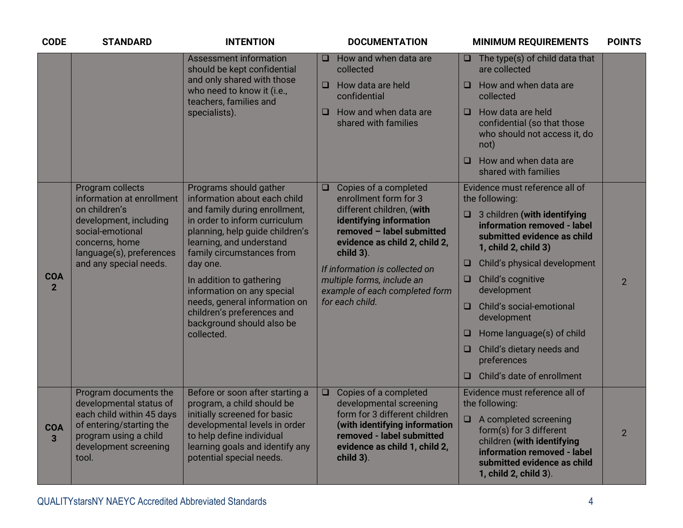| <b>CODE</b>                  | <b>STANDARD</b>                                                                                                                                                      | <b>INTENTION</b>                                                                                                                                                                                                                                                                                                             | <b>DOCUMENTATION</b><br><b>MINIMUM REQUIREMENTS</b>                                                                                                                                                                                                                                         | <b>POINTS</b>  |
|------------------------------|----------------------------------------------------------------------------------------------------------------------------------------------------------------------|------------------------------------------------------------------------------------------------------------------------------------------------------------------------------------------------------------------------------------------------------------------------------------------------------------------------------|---------------------------------------------------------------------------------------------------------------------------------------------------------------------------------------------------------------------------------------------------------------------------------------------|----------------|
|                              |                                                                                                                                                                      | <b>Assessment information</b><br>should be kept confidential                                                                                                                                                                                                                                                                 | How and when data are<br>$\Box$ The type(s) of child data that<br>O.<br>are collected<br>collected                                                                                                                                                                                          |                |
|                              |                                                                                                                                                                      | and only shared with those<br>who need to know it (i.e.,<br>teachers, families and                                                                                                                                                                                                                                           | How data are held<br>How and when data are<br>$\Box$<br>$\Box$<br>confidential<br>collected                                                                                                                                                                                                 |                |
|                              | specialists).                                                                                                                                                        | How and when data are<br>How data are held<br>$\Box$<br>O<br>shared with families<br>confidential (so that those<br>who should not access it, do<br>not)                                                                                                                                                                     |                                                                                                                                                                                                                                                                                             |                |
|                              |                                                                                                                                                                      |                                                                                                                                                                                                                                                                                                                              | How and when data are<br>$\Box$<br>shared with families                                                                                                                                                                                                                                     |                |
|                              | Program collects<br>information at enrollment                                                                                                                        | Programs should gather<br>information about each child                                                                                                                                                                                                                                                                       | Evidence must reference all of<br>Copies of a completed<br>$\Box$<br>enrollment form for 3<br>the following:                                                                                                                                                                                |                |
|                              | on children's<br>development, including<br>social-emotional<br>concerns, home<br>language(s), preferences<br>and any special needs.                                  | and family during enrollment,<br>in order to inform curriculum<br>planning, help guide children's<br>learning, and understand<br>family circumstances from<br>day one.<br>In addition to gathering<br>information on any special<br>needs, general information on<br>children's preferences and<br>background should also be | different children, (with<br>3 children (with identifying<br>$\Box$<br>identifying information<br>information removed - label<br>removed - label submitted<br>submitted evidence as child<br>evidence as child 2, child 2,<br>1, child 2, child 3)<br>child 3).                             |                |
|                              |                                                                                                                                                                      |                                                                                                                                                                                                                                                                                                                              | Child's physical development<br>$\Box$<br>If information is collected on                                                                                                                                                                                                                    |                |
| <b>COA</b><br>$\overline{2}$ |                                                                                                                                                                      |                                                                                                                                                                                                                                                                                                                              | multiple forms, include an<br>Child's cognitive<br>$\Box$<br>development<br>example of each completed form                                                                                                                                                                                  | $\overline{2}$ |
|                              |                                                                                                                                                                      |                                                                                                                                                                                                                                                                                                                              | for each child.<br>Child's social-emotional<br>$\Box$<br>development                                                                                                                                                                                                                        |                |
|                              |                                                                                                                                                                      | collected.                                                                                                                                                                                                                                                                                                                   | Home language(s) of child<br>$\Box$                                                                                                                                                                                                                                                         |                |
|                              |                                                                                                                                                                      |                                                                                                                                                                                                                                                                                                                              | Child's dietary needs and<br>$\Box$<br>preferences                                                                                                                                                                                                                                          |                |
|                              |                                                                                                                                                                      |                                                                                                                                                                                                                                                                                                                              | Child's date of enrollment<br>$\Box$                                                                                                                                                                                                                                                        |                |
|                              | Program documents the<br>developmental status of<br>each child within 45 days<br>of entering/starting the<br>program using a child<br>development screening<br>tool. | Before or soon after starting a<br>program, a child should be                                                                                                                                                                                                                                                                | Evidence must reference all of<br>$\Box$<br>Copies of a completed<br>developmental screening<br>the following:<br>form for 3 different children                                                                                                                                             |                |
| <b>COA</b><br>3              |                                                                                                                                                                      | initially screened for basic<br>developmental levels in order<br>to help define individual<br>learning goals and identify any<br>potential special needs.                                                                                                                                                                    | A completed screening<br>$\Box$<br>(with identifying information<br>form(s) for 3 different<br>removed - label submitted<br>children (with identifying<br>evidence as child 1, child 2,<br>information removed - label<br>child 3).<br>submitted evidence as child<br>1, child 2, child 3). | $\overline{2}$ |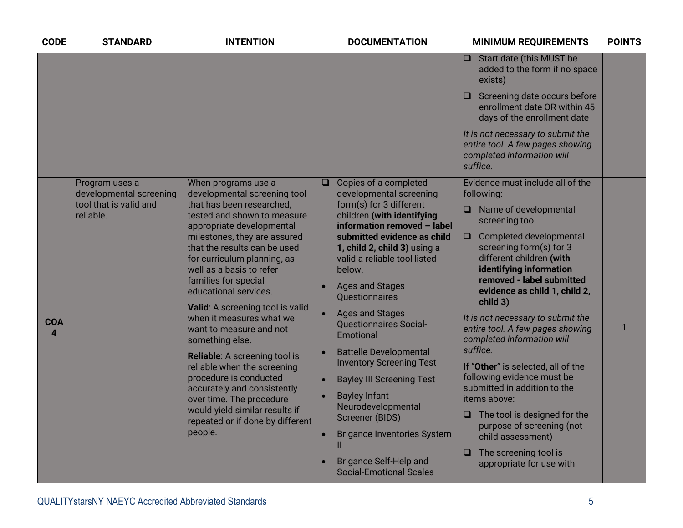| <b>CODE</b>     | <b>STANDARD</b>                                                                  | <b>INTENTION</b>                                                                                                                                                                                                                                                                                                                                                                                                                                                                                                                                                                                                                                                             | <b>DOCUMENTATION</b>                                                                                                                                                                                                                                                                                                                                                                                                                                                                                                                                                                                                                                                                             | <b>MINIMUM REQUIREMENTS</b>                                                                                                                                                                                                                                                                                                                                                                                                                                                                                                                                                                                                                                                                           | <b>POINTS</b> |
|-----------------|----------------------------------------------------------------------------------|------------------------------------------------------------------------------------------------------------------------------------------------------------------------------------------------------------------------------------------------------------------------------------------------------------------------------------------------------------------------------------------------------------------------------------------------------------------------------------------------------------------------------------------------------------------------------------------------------------------------------------------------------------------------------|--------------------------------------------------------------------------------------------------------------------------------------------------------------------------------------------------------------------------------------------------------------------------------------------------------------------------------------------------------------------------------------------------------------------------------------------------------------------------------------------------------------------------------------------------------------------------------------------------------------------------------------------------------------------------------------------------|-------------------------------------------------------------------------------------------------------------------------------------------------------------------------------------------------------------------------------------------------------------------------------------------------------------------------------------------------------------------------------------------------------------------------------------------------------------------------------------------------------------------------------------------------------------------------------------------------------------------------------------------------------------------------------------------------------|---------------|
|                 |                                                                                  |                                                                                                                                                                                                                                                                                                                                                                                                                                                                                                                                                                                                                                                                              |                                                                                                                                                                                                                                                                                                                                                                                                                                                                                                                                                                                                                                                                                                  | $\Box$ Start date (this MUST be<br>added to the form if no space<br>exists)                                                                                                                                                                                                                                                                                                                                                                                                                                                                                                                                                                                                                           |               |
|                 |                                                                                  |                                                                                                                                                                                                                                                                                                                                                                                                                                                                                                                                                                                                                                                                              |                                                                                                                                                                                                                                                                                                                                                                                                                                                                                                                                                                                                                                                                                                  | Screening date occurs before<br>O<br>enrollment date OR within 45<br>days of the enrollment date                                                                                                                                                                                                                                                                                                                                                                                                                                                                                                                                                                                                      |               |
|                 |                                                                                  |                                                                                                                                                                                                                                                                                                                                                                                                                                                                                                                                                                                                                                                                              |                                                                                                                                                                                                                                                                                                                                                                                                                                                                                                                                                                                                                                                                                                  | It is not necessary to submit the<br>entire tool. A few pages showing<br>completed information will<br>suffice.                                                                                                                                                                                                                                                                                                                                                                                                                                                                                                                                                                                       |               |
| <b>COA</b><br>4 | Program uses a<br>developmental screening<br>tool that is valid and<br>reliable. | When programs use a<br>developmental screening tool<br>that has been researched,<br>tested and shown to measure<br>appropriate developmental<br>milestones, they are assured<br>that the results can be used<br>for curriculum planning, as<br>well as a basis to refer<br>families for special<br>educational services.<br>Valid: A screening tool is valid<br>when it measures what we<br>want to measure and not<br>something else.<br>Reliable: A screening tool is<br>reliable when the screening<br>procedure is conducted<br>accurately and consistently<br>over time. The procedure<br>would yield similar results if<br>repeated or if done by different<br>people. | Copies of a completed<br>$\Box$<br>developmental screening<br>form(s) for 3 different<br>children (with identifying<br>information removed - label<br>submitted evidence as child<br>1, child 2, child 3) using a<br>valid a reliable tool listed<br>below.<br><b>Ages and Stages</b><br>Questionnaires<br><b>Ages and Stages</b><br><b>Questionnaires Social-</b><br>Emotional<br><b>Battelle Developmental</b><br><b>Inventory Screening Test</b><br><b>Bayley III Screening Test</b><br>$\bullet$<br><b>Bayley Infant</b><br>$\bullet$<br>Neurodevelopmental<br>Screener (BIDS)<br><b>Brigance Inventories System</b><br>п<br><b>Brigance Self-Help and</b><br><b>Social-Emotional Scales</b> | Evidence must include all of the<br>following:<br>Name of developmental<br>□<br>screening tool<br><b>Completed developmental</b><br>$\Box$<br>screening form(s) for 3<br>different children (with<br>identifying information<br>removed - label submitted<br>evidence as child 1, child 2,<br>child 3)<br>It is not necessary to submit the<br>entire tool. A few pages showing<br>completed information will<br>suffice.<br>If "Other" is selected, all of the<br>following evidence must be<br>submitted in addition to the<br>items above:<br>$\Box$ The tool is designed for the<br>purpose of screening (not<br>child assessment)<br>The screening tool is<br>$\Box$<br>appropriate for use with | 1             |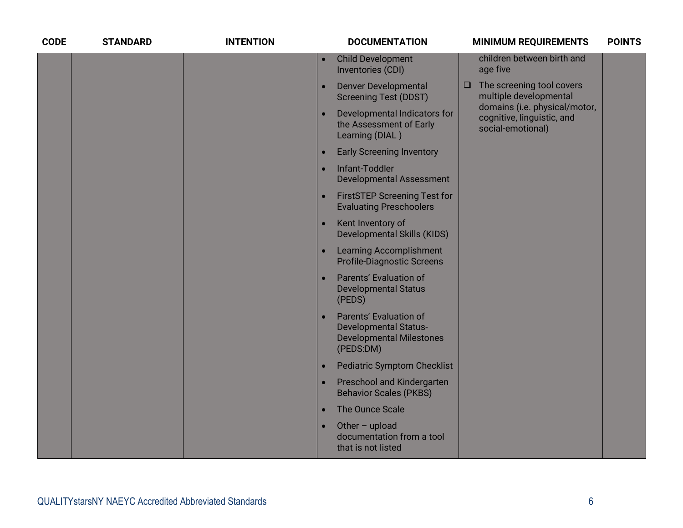| <b>CODE</b> | <b>STANDARD</b> | <b>INTENTION</b> |           | <b>DOCUMENTATION</b>                                                                                   |        | <b>MINIMUM REQUIREMENTS</b>                                                      | <b>POINTS</b> |
|-------------|-----------------|------------------|-----------|--------------------------------------------------------------------------------------------------------|--------|----------------------------------------------------------------------------------|---------------|
|             |                 |                  | $\bullet$ | <b>Child Development</b><br>Inventories (CDI)                                                          |        | children between birth and<br>age five                                           |               |
|             |                 |                  |           | <b>Denver Developmental</b><br><b>Screening Test (DDST)</b>                                            | $\Box$ | The screening tool covers<br>multiple developmental                              |               |
|             |                 |                  |           | Developmental Indicators for<br>the Assessment of Early<br>Learning (DIAL)                             |        | domains (i.e. physical/motor,<br>cognitive, linguistic, and<br>social-emotional) |               |
|             |                 |                  |           | <b>Early Screening Inventory</b>                                                                       |        |                                                                                  |               |
|             |                 |                  |           | Infant-Toddler<br><b>Developmental Assessment</b>                                                      |        |                                                                                  |               |
|             |                 |                  |           | <b>FirstSTEP Screening Test for</b><br><b>Evaluating Preschoolers</b>                                  |        |                                                                                  |               |
|             |                 |                  |           | Kent Inventory of<br><b>Developmental Skills (KIDS)</b>                                                |        |                                                                                  |               |
|             |                 |                  |           | <b>Learning Accomplishment</b><br><b>Profile-Diagnostic Screens</b>                                    |        |                                                                                  |               |
|             |                 |                  |           | Parents' Evaluation of<br><b>Developmental Status</b><br>(PEDS)                                        |        |                                                                                  |               |
|             |                 |                  |           | Parents' Evaluation of<br><b>Developmental Status-</b><br><b>Developmental Milestones</b><br>(PEDS:DM) |        |                                                                                  |               |
|             |                 |                  |           | <b>Pediatric Symptom Checklist</b>                                                                     |        |                                                                                  |               |
|             |                 |                  |           | Preschool and Kindergarten<br><b>Behavior Scales (PKBS)</b>                                            |        |                                                                                  |               |
|             |                 |                  | $\bullet$ | The Ounce Scale                                                                                        |        |                                                                                  |               |
|             |                 |                  |           | Other $-$ upload<br>documentation from a tool<br>that is not listed                                    |        |                                                                                  |               |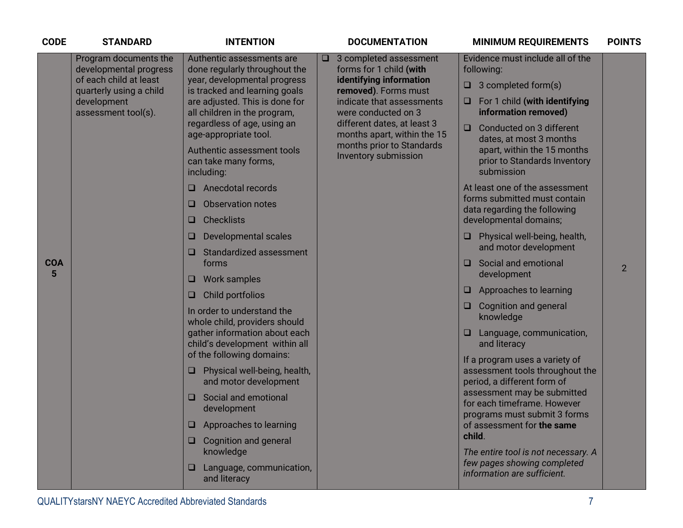| <b>CODE</b>     | <b>STANDARD</b>                                                                                                                            | <b>INTENTION</b>                                                                                                                                                                                                                                                                                                                                                                                                                                                                                                                                                                                                                                                                                                                                                                                                                                                                                                                                       | <b>DOCUMENTATION</b>                                                                                                                                                                                                                                                                  | <b>MINIMUM REQUIREMENTS</b>                                                                                                                                                                                                                                                                                                                                                                                                                                                                                                                                                                                                                                                                                                                                                                                                                                                                                                                                                       | <b>POINTS</b>  |
|-----------------|--------------------------------------------------------------------------------------------------------------------------------------------|--------------------------------------------------------------------------------------------------------------------------------------------------------------------------------------------------------------------------------------------------------------------------------------------------------------------------------------------------------------------------------------------------------------------------------------------------------------------------------------------------------------------------------------------------------------------------------------------------------------------------------------------------------------------------------------------------------------------------------------------------------------------------------------------------------------------------------------------------------------------------------------------------------------------------------------------------------|---------------------------------------------------------------------------------------------------------------------------------------------------------------------------------------------------------------------------------------------------------------------------------------|-----------------------------------------------------------------------------------------------------------------------------------------------------------------------------------------------------------------------------------------------------------------------------------------------------------------------------------------------------------------------------------------------------------------------------------------------------------------------------------------------------------------------------------------------------------------------------------------------------------------------------------------------------------------------------------------------------------------------------------------------------------------------------------------------------------------------------------------------------------------------------------------------------------------------------------------------------------------------------------|----------------|
| <b>COA</b><br>5 | Program documents the<br>developmental progress<br>of each child at least<br>quarterly using a child<br>development<br>assessment tool(s). | Authentic assessments are<br>done regularly throughout the<br>year, developmental progress<br>is tracked and learning goals<br>are adjusted. This is done for<br>all children in the program,<br>regardless of age, using an<br>age-appropriate tool.<br>Authentic assessment tools<br>can take many forms,<br>including:<br>Anecdotal records<br>□<br><b>Observation notes</b><br>u<br><b>Checklists</b><br>u<br><b>Developmental scales</b><br>u<br>Standardized assessment<br>u<br>forms<br><b>Work samples</b><br>O<br>Child portfolios<br>O<br>In order to understand the<br>whole child, providers should<br>gather information about each<br>child's development within all<br>of the following domains:<br>Physical well-being, health,<br>and motor development<br>Social and emotional<br>O<br>development<br>Approaches to learning<br><b>Cognition and general</b><br>$\Box$<br>knowledge<br>Language, communication,<br>O<br>and literacy | 3 completed assessment<br>$\Box$<br>forms for 1 child (with<br>identifying information<br>removed). Forms must<br>indicate that assessments<br>were conducted on 3<br>different dates, at least 3<br>months apart, within the 15<br>months prior to Standards<br>Inventory submission | Evidence must include all of the<br>following:<br>$\Box$ 3 completed form(s)<br>For 1 child (with identifying<br>information removed)<br>Conducted on 3 different<br>□<br>dates, at most 3 months<br>apart, within the 15 months<br>prior to Standards Inventory<br>submission<br>At least one of the assessment<br>forms submitted must contain<br>data regarding the following<br>developmental domains;<br>Physical well-being, health,<br>and motor development<br>Social and emotional<br>development<br>Approaches to learning<br>□<br><b>Cognition and general</b><br>knowledge<br>Language, communication,<br>and literacy<br>If a program uses a variety of<br>assessment tools throughout the<br>period, a different form of<br>assessment may be submitted<br>for each timeframe. However<br>programs must submit 3 forms<br>of assessment for the same<br>child.<br>The entire tool is not necessary. A<br>few pages showing completed<br>information are sufficient. | $\overline{2}$ |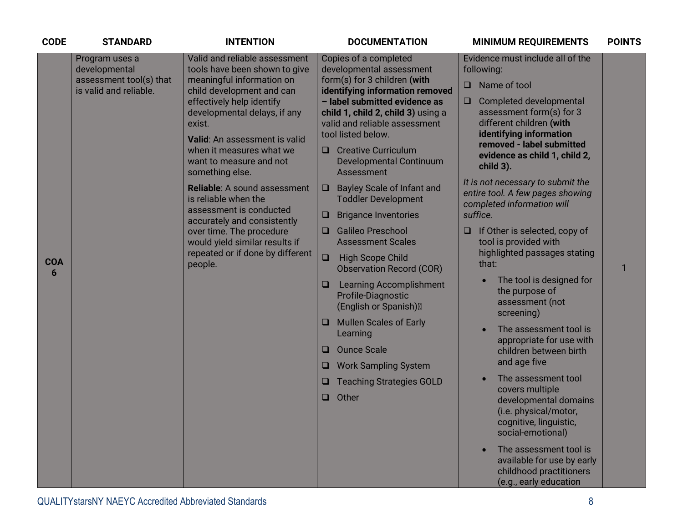| <b>CODE</b>     | <b>STANDARD</b>                                                                      | <b>INTENTION</b>                                                                                                                                                                                                                                                                                                                                                                                                                                                                                                                                 | <b>DOCUMENTATION</b><br><b>MINIMUM REQUIREMENTS</b>                                                                                                                                                                                                                                                                                                                                                                                                                                                                                                                                                                                                                                                                                                                                                                                                                                                                                                                                                                                                                                                                                                                                                                                                                                                                                                                                                                                                                                                                                                                                                                                                                                                                                                                        | <b>POINTS</b> |
|-----------------|--------------------------------------------------------------------------------------|--------------------------------------------------------------------------------------------------------------------------------------------------------------------------------------------------------------------------------------------------------------------------------------------------------------------------------------------------------------------------------------------------------------------------------------------------------------------------------------------------------------------------------------------------|----------------------------------------------------------------------------------------------------------------------------------------------------------------------------------------------------------------------------------------------------------------------------------------------------------------------------------------------------------------------------------------------------------------------------------------------------------------------------------------------------------------------------------------------------------------------------------------------------------------------------------------------------------------------------------------------------------------------------------------------------------------------------------------------------------------------------------------------------------------------------------------------------------------------------------------------------------------------------------------------------------------------------------------------------------------------------------------------------------------------------------------------------------------------------------------------------------------------------------------------------------------------------------------------------------------------------------------------------------------------------------------------------------------------------------------------------------------------------------------------------------------------------------------------------------------------------------------------------------------------------------------------------------------------------------------------------------------------------------------------------------------------------|---------------|
| <b>COA</b><br>6 | Program uses a<br>developmental<br>assessment tool(s) that<br>is valid and reliable. | Valid and reliable assessment<br>tools have been shown to give<br>meaningful information on<br>child development and can<br>effectively help identify<br>developmental delays, if any<br>exist.<br>Valid: An assessment is valid<br>when it measures what we<br>want to measure and not<br>something else.<br><b>Reliable:</b> A sound assessment<br>is reliable when the<br>assessment is conducted<br>accurately and consistently<br>over time. The procedure<br>would yield similar results if<br>repeated or if done by different<br>people. | Evidence must include all of the<br>Copies of a completed<br>developmental assessment<br>following:<br>form(s) for 3 children (with<br>Name of tool<br>$\Box$<br>identifying information removed<br>- label submitted evidence as<br>Completed developmental<br>$\Box$<br>assessment form(s) for 3<br>child 1, child 2, child 3) using a<br>different children (with<br>valid and reliable assessment<br>identifying information<br>tool listed below.<br>removed - label submitted<br><b>Creative Curriculum</b><br>$\Box$<br>evidence as child 1, child 2,<br>Developmental Continuum<br>child $3$ ).<br><b>Assessment</b><br>It is not necessary to submit the<br><b>Bayley Scale of Infant and</b><br>$\Box$<br>entire tool. A few pages showing<br><b>Toddler Development</b><br>completed information will<br><b>Brigance Inventories</b><br>suffice.<br>ᄆ<br><b>Galileo Preschool</b><br>If Other is selected, copy of<br>□<br>O<br>tool is provided with<br><b>Assessment Scales</b><br>highlighted passages stating<br>$\Box$<br><b>High Scope Child</b><br>that:<br><b>Observation Record (COR)</b><br>The tool is designed for<br><b>Learning Accomplishment</b><br>$\Box$<br>the purpose of<br>Profile-Diagnostic<br>assessment (not<br>(English or Spanish)<br>screening)<br><b>Mullen Scales of Early</b><br>O<br>The assessment tool is<br>Learning<br>appropriate for use with<br><b>Ounce Scale</b><br>$\Box$<br>children between birth<br>and age five<br><b>Work Sampling System</b><br>O<br>The assessment tool<br><b>Teaching Strategies GOLD</b><br>u<br>covers multiple<br>Other<br>$\Box$<br>developmental domains<br>(i.e. physical/motor,<br>cognitive, linguistic,<br>social-emotional)<br>The assessment tool is<br>available for use by early |               |
|                 |                                                                                      |                                                                                                                                                                                                                                                                                                                                                                                                                                                                                                                                                  | childhood practitioners<br>(e.g., early education                                                                                                                                                                                                                                                                                                                                                                                                                                                                                                                                                                                                                                                                                                                                                                                                                                                                                                                                                                                                                                                                                                                                                                                                                                                                                                                                                                                                                                                                                                                                                                                                                                                                                                                          |               |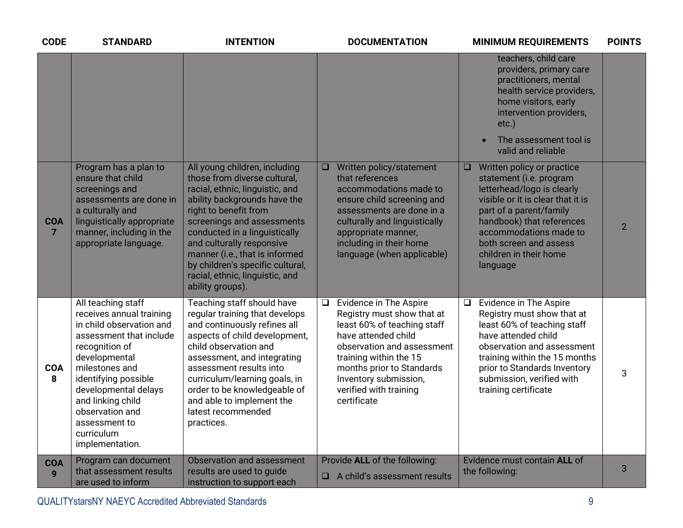| <b>CODE</b>     | <b>STANDARD</b>                                                                                                                                                                                                                                                                                      | <b>INTENTION</b>                                                                                                                                                                                                                                                                                                                                                                   | <b>DOCUMENTATION</b>                                                                                                                                                                                                                                                        | <b>MINIMUM REQUIREMENTS</b>                                                                                                                                                                                                                                                          | <b>POINTS</b>  |
|-----------------|------------------------------------------------------------------------------------------------------------------------------------------------------------------------------------------------------------------------------------------------------------------------------------------------------|------------------------------------------------------------------------------------------------------------------------------------------------------------------------------------------------------------------------------------------------------------------------------------------------------------------------------------------------------------------------------------|-----------------------------------------------------------------------------------------------------------------------------------------------------------------------------------------------------------------------------------------------------------------------------|--------------------------------------------------------------------------------------------------------------------------------------------------------------------------------------------------------------------------------------------------------------------------------------|----------------|
|                 |                                                                                                                                                                                                                                                                                                      |                                                                                                                                                                                                                                                                                                                                                                                    |                                                                                                                                                                                                                                                                             | teachers, child care<br>providers, primary care<br>practitioners, mental<br>health service providers,<br>home visitors, early<br>intervention providers,<br>$etc.$ )<br>The assessment tool is<br>valid and reliable                                                                 |                |
| <b>COA</b><br>7 | Program has a plan to<br>ensure that child<br>screenings and<br>assessments are done in<br>a culturally and<br>linguistically appropriate<br>manner, including in the<br>appropriate language.                                                                                                       | All young children, including<br>those from diverse cultural.<br>racial, ethnic, linguistic, and<br>ability backgrounds have the<br>right to benefit from<br>screenings and assessments<br>conducted in a linguistically<br>and culturally responsive<br>manner (i.e., that is informed<br>by children's specific cultural,<br>racial, ethnic, linguistic, and<br>ability groups). | Written policy/statement<br>$\Box$<br>that references<br>accommodations made to<br>ensure child screening and<br>assessments are done in a<br>culturally and linguistically<br>appropriate manner,<br>including in their home<br>language (when applicable)                 | Written policy or practice<br>$\Box$<br>statement (i.e. program<br>letterhead/logo is clearly<br>visible or it is clear that it is<br>part of a parent/family<br>handbook) that references<br>accommodations made to<br>both screen and assess<br>children in their home<br>language | $\overline{2}$ |
| <b>COA</b><br>8 | All teaching staff<br>receives annual training<br>in child observation and<br>assessment that include<br>recognition of<br>developmental<br>milestones and<br>identifying possible<br>developmental delays<br>and linking child<br>observation and<br>assessment to<br>curriculum<br>implementation. | Teaching staff should have<br>regular training that develops<br>and continuously refines all<br>aspects of child development,<br>child observation and<br>assessment, and integrating<br>assessment results into<br>curriculum/learning goals, in<br>order to be knowledgeable of<br>and able to implement the<br>latest recommended<br>practices.                                 | Evidence in The Aspire<br>$\Box$<br>Registry must show that at<br>least 60% of teaching staff<br>have attended child<br>observation and assessment<br>training within the 15<br>months prior to Standards<br>Inventory submission,<br>verified with training<br>certificate | Evidence in The Aspire<br>$\Box$<br>Registry must show that at<br>least 60% of teaching staff<br>have attended child<br>observation and assessment<br>training within the 15 months<br>prior to Standards Inventory<br>submission, verified with<br>training certificate             | 3              |
| <b>COA</b><br>9 | Program can document<br>that assessment results<br>are used to inform                                                                                                                                                                                                                                | Observation and assessment<br>results are used to guide<br>instruction to support each                                                                                                                                                                                                                                                                                             | Provide ALL of the following:<br>A child's assessment results<br>$\Box$                                                                                                                                                                                                     | Evidence must contain ALL of<br>the following:                                                                                                                                                                                                                                       | 3              |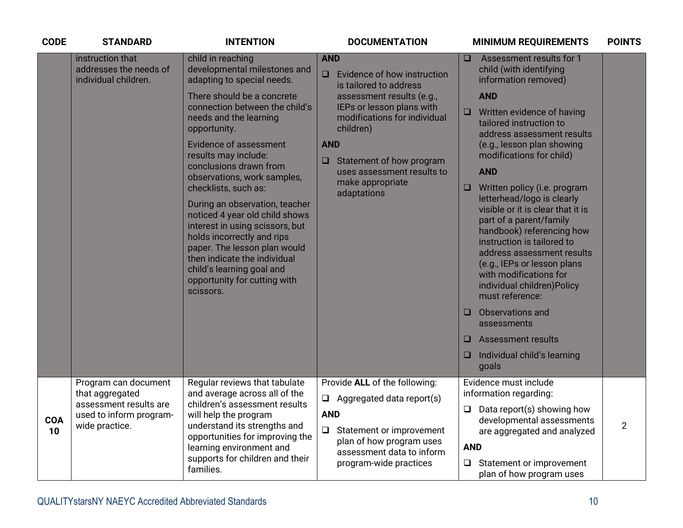| <b>CODE</b> | <b>STANDARD</b>                                                                                                | <b>INTENTION</b>                                                                                                                                                                                                                                                                                                                                                                                                                                                                                                                                                                                                   | <b>DOCUMENTATION</b>                                                                                                                                                                                                                                                                                 | <b>MINIMUM REQUIREMENTS</b>                                                                                                                                                                                                                                                                                                                                                                                                                                                                                                                                                                                                                                                                                                    | <b>POINTS</b>  |
|-------------|----------------------------------------------------------------------------------------------------------------|--------------------------------------------------------------------------------------------------------------------------------------------------------------------------------------------------------------------------------------------------------------------------------------------------------------------------------------------------------------------------------------------------------------------------------------------------------------------------------------------------------------------------------------------------------------------------------------------------------------------|------------------------------------------------------------------------------------------------------------------------------------------------------------------------------------------------------------------------------------------------------------------------------------------------------|--------------------------------------------------------------------------------------------------------------------------------------------------------------------------------------------------------------------------------------------------------------------------------------------------------------------------------------------------------------------------------------------------------------------------------------------------------------------------------------------------------------------------------------------------------------------------------------------------------------------------------------------------------------------------------------------------------------------------------|----------------|
|             | instruction that<br>addresses the needs of<br>individual children.                                             | child in reaching<br>developmental milestones and<br>adapting to special needs.<br>There should be a concrete<br>connection between the child's<br>needs and the learning<br>opportunity.<br><b>Evidence of assessment</b><br>results may include:<br>conclusions drawn from<br>observations, work samples,<br>checklists, such as:<br>During an observation, teacher<br>noticed 4 year old child shows<br>interest in using scissors, but<br>holds incorrectly and rips<br>paper. The lesson plan would<br>then indicate the individual<br>child's learning goal and<br>opportunity for cutting with<br>scissors. | <b>AND</b><br>Evidence of how instruction<br>$\Box$<br>is tailored to address<br>assessment results (e.g.,<br>IEPs or lesson plans with<br>modifications for individual<br>children)<br><b>AND</b><br>Statement of how program<br>u<br>uses assessment results to<br>make appropriate<br>adaptations | Assessment results for 1<br>□<br>child (with identifying<br>information removed)<br><b>AND</b><br>Written evidence of having<br>Q<br>tailored instruction to<br>address assessment results<br>(e.g., lesson plan showing<br>modifications for child)<br><b>AND</b><br>Written policy (i.e. program<br>$\Box$<br>letterhead/logo is clearly<br>visible or it is clear that it is<br>part of a parent/family<br>handbook) referencing how<br>instruction is tailored to<br>address assessment results<br>(e.g., IEPs or lesson plans<br>with modifications for<br>individual children) Policy<br>must reference:<br>Observations and<br>□<br>assessments<br>Assessment results<br>□<br>Individual child's learning<br>❏<br>goals |                |
| COA<br>10   | Program can document<br>that aggregated<br>assessment results are<br>used to inform program-<br>wide practice. | Regular reviews that tabulate<br>and average across all of the<br>children's assessment results<br>will help the program<br>understand its strengths and<br>opportunities for improving the<br>learning environment and<br>supports for children and their<br>families.                                                                                                                                                                                                                                                                                                                                            | Provide ALL of the following:<br>$\Box$ Aggregated data report(s)<br><b>AND</b><br>Statement or improvement<br>$\Box$<br>plan of how program uses<br>assessment data to inform<br>program-wide practices                                                                                             | Evidence must include<br>information regarding:<br>$\Box$ Data report(s) showing how<br>developmental assessments<br>are aggregated and analyzed<br><b>AND</b><br>Statement or improvement<br>$\Box$<br>plan of how program uses                                                                                                                                                                                                                                                                                                                                                                                                                                                                                               | $\overline{2}$ |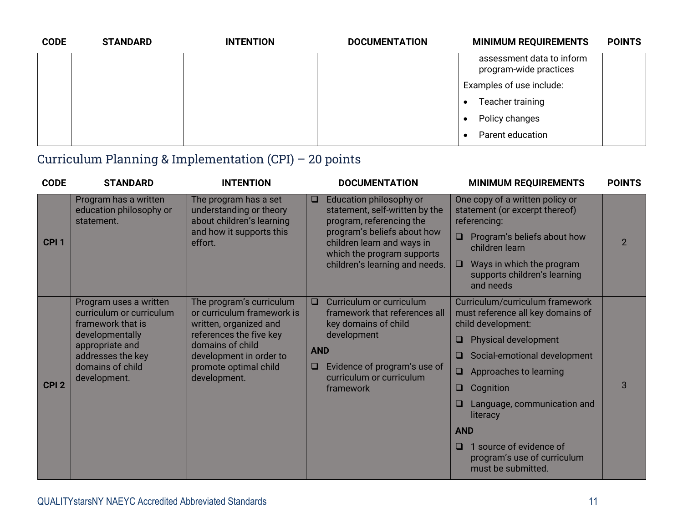| <b>CODE</b> | <b>STANDARD</b> | <b>INTENTION</b> | <b>DOCUMENTATION</b> | <b>MINIMUM REQUIREMENTS</b>                         | <b>POINTS</b> |
|-------------|-----------------|------------------|----------------------|-----------------------------------------------------|---------------|
|             |                 |                  |                      | assessment data to inform<br>program-wide practices |               |
|             |                 |                  |                      | Examples of use include:                            |               |
|             |                 |                  |                      | Teacher training                                    |               |
|             |                 |                  |                      | Policy changes                                      |               |
|             |                 |                  |                      | Parent education                                    |               |

#### Curriculum Planning & Implementation (CPI) – 20 points

| <b>CODE</b>      | <b>STANDARD</b>                                                                                                                                                        | <b>INTENTION</b>                                                                                                                                                                                    |                           | <b>DOCUMENTATION</b>                                                                                                                                                                                               | <b>MINIMUM REQUIREMENTS</b>                                                                                                                                                                                                                                                                                                                                                        | <b>POINTS</b>  |
|------------------|------------------------------------------------------------------------------------------------------------------------------------------------------------------------|-----------------------------------------------------------------------------------------------------------------------------------------------------------------------------------------------------|---------------------------|--------------------------------------------------------------------------------------------------------------------------------------------------------------------------------------------------------------------|------------------------------------------------------------------------------------------------------------------------------------------------------------------------------------------------------------------------------------------------------------------------------------------------------------------------------------------------------------------------------------|----------------|
| CPI <sub>1</sub> | Program has a written<br>education philosophy or<br>statement.                                                                                                         | The program has a set<br>understanding or theory<br>about children's learning<br>and how it supports this<br>effort.                                                                                | $\Box$                    | Education philosophy or<br>statement, self-written by the<br>program, referencing the<br>program's beliefs about how<br>children learn and ways in<br>which the program supports<br>children's learning and needs. | One copy of a written policy or<br>statement (or excerpt thereof)<br>referencing:<br>Program's beliefs about how<br>children learn<br>Ways in which the program<br>$\Box$<br>supports children's learning<br>and needs                                                                                                                                                             | $\overline{2}$ |
| CPI <sub>2</sub> | Program uses a written<br>curriculum or curriculum<br>framework that is<br>developmentally<br>appropriate and<br>addresses the key<br>domains of child<br>development. | The program's curriculum<br>or curriculum framework is<br>written, organized and<br>references the five key<br>domains of child<br>development in order to<br>promote optimal child<br>development. | $\Box$<br><b>AND</b><br>u | Curriculum or curriculum<br>framework that references all<br>key domains of child<br>development<br>Evidence of program's use of<br>curriculum or curriculum<br>framework                                          | Curriculum/curriculum framework<br>must reference all key domains of<br>child development:<br><b>Physical development</b><br>□.<br>Social-emotional development<br>□<br>Approaches to learning<br>$\Box$<br>Cognition<br>$\Box$<br>Language, communication and<br>literacy<br><b>AND</b><br>1 source of evidence of<br>$\Box$<br>program's use of curriculum<br>must be submitted. | 3              |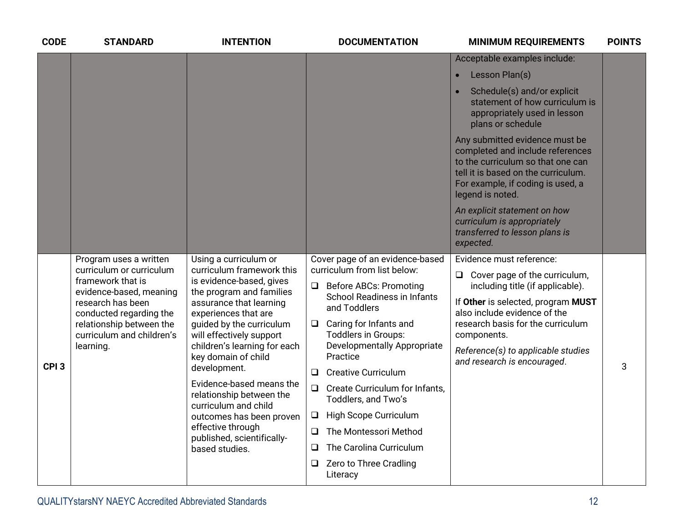| <b>CODE</b>      | <b>STANDARD</b>                                                                                                                                                                                                                                                                                                                                                                                                                                                       | <b>INTENTION</b>                                                | <b>DOCUMENTATION</b>                                                   | <b>MINIMUM REQUIREMENTS</b>                                                                                                                                                                             | <b>POINTS</b> |
|------------------|-----------------------------------------------------------------------------------------------------------------------------------------------------------------------------------------------------------------------------------------------------------------------------------------------------------------------------------------------------------------------------------------------------------------------------------------------------------------------|-----------------------------------------------------------------|------------------------------------------------------------------------|---------------------------------------------------------------------------------------------------------------------------------------------------------------------------------------------------------|---------------|
|                  |                                                                                                                                                                                                                                                                                                                                                                                                                                                                       |                                                                 |                                                                        | Acceptable examples include:                                                                                                                                                                            |               |
|                  |                                                                                                                                                                                                                                                                                                                                                                                                                                                                       |                                                                 |                                                                        | Lesson Plan(s)<br>$\bullet$                                                                                                                                                                             |               |
|                  |                                                                                                                                                                                                                                                                                                                                                                                                                                                                       |                                                                 |                                                                        | Schedule(s) and/or explicit<br>statement of how curriculum is<br>appropriately used in lesson<br>plans or schedule                                                                                      |               |
|                  |                                                                                                                                                                                                                                                                                                                                                                                                                                                                       |                                                                 |                                                                        | Any submitted evidence must be<br>completed and include references<br>to the curriculum so that one can<br>tell it is based on the curriculum.<br>For example, if coding is used, a<br>legend is noted. |               |
|                  |                                                                                                                                                                                                                                                                                                                                                                                                                                                                       |                                                                 |                                                                        | An explicit statement on how<br>curriculum is appropriately<br>transferred to lesson plans is<br>expected.                                                                                              |               |
|                  | Program uses a written                                                                                                                                                                                                                                                                                                                                                                                                                                                | Using a curriculum or                                           | Cover page of an evidence-based                                        | Evidence must reference:                                                                                                                                                                                |               |
|                  | curriculum framework this<br>curriculum or curriculum<br>framework that is<br>is evidence-based, gives<br>the program and families<br>evidence-based, meaning<br>research has been<br>assurance that learning<br>conducted regarding the<br>experiences that are<br>relationship between the<br>guided by the curriculum<br>curriculum and children's<br>will effectively support<br>children's learning for each<br>learning.<br>key domain of child<br>development. |                                                                 | curriculum from list below:<br>$\Box$<br><b>Before ABCs: Promoting</b> | Cover page of the curriculum,<br>$\Box$                                                                                                                                                                 |               |
|                  |                                                                                                                                                                                                                                                                                                                                                                                                                                                                       |                                                                 | <b>School Readiness in Infants</b><br>and Toddlers                     | including title (if applicable).<br>If Other is selected, program MUST<br>also include evidence of the                                                                                                  |               |
|                  |                                                                                                                                                                                                                                                                                                                                                                                                                                                                       | Caring for Infants and<br>$\Box$<br>Toddlers in Groups:         | research basis for the curriculum<br>components.                       |                                                                                                                                                                                                         |               |
| CPI <sub>3</sub> |                                                                                                                                                                                                                                                                                                                                                                                                                                                                       | <b>Developmentally Appropriate</b><br>Practice                  | Reference(s) to applicable studies<br>and research is encouraged.      | 3                                                                                                                                                                                                       |               |
|                  |                                                                                                                                                                                                                                                                                                                                                                                                                                                                       | Evidence-based means the                                        | <b>Creative Curriculum</b><br>$\Box$                                   |                                                                                                                                                                                                         |               |
|                  | relationship between the<br>curriculum and child<br>outcomes has been proven                                                                                                                                                                                                                                                                                                                                                                                          | $\Box$<br>Create Curriculum for Infants.<br>Toddlers, and Two's |                                                                        |                                                                                                                                                                                                         |               |
|                  |                                                                                                                                                                                                                                                                                                                                                                                                                                                                       |                                                                 | High Scope Curriculum<br>$\Box$                                        |                                                                                                                                                                                                         |               |
|                  |                                                                                                                                                                                                                                                                                                                                                                                                                                                                       | effective through<br>published, scientifically-                 | The Montessori Method<br>$\Box$                                        |                                                                                                                                                                                                         |               |
|                  |                                                                                                                                                                                                                                                                                                                                                                                                                                                                       | based studies.                                                  | The Carolina Curriculum<br>Q.                                          |                                                                                                                                                                                                         |               |
|                  |                                                                                                                                                                                                                                                                                                                                                                                                                                                                       |                                                                 | Zero to Three Cradling<br>$\Box$<br>Literacy                           |                                                                                                                                                                                                         |               |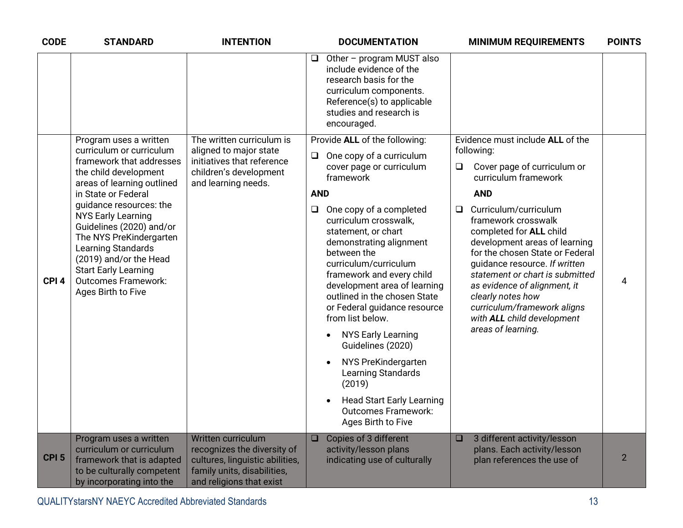| <b>CODE</b>      | <b>STANDARD</b>                                                                                                                                                                                                                                                       | <b>INTENTION</b>                                                                                                                                | <b>DOCUMENTATION</b>                                                                                                                                                                                                                                                                                                                                                                                                                                                   |                                  | <b>MINIMUM REQUIREMENTS</b>                                                                                                                                                                                                                                                                                                                                                     | <b>POINTS</b>  |
|------------------|-----------------------------------------------------------------------------------------------------------------------------------------------------------------------------------------------------------------------------------------------------------------------|-------------------------------------------------------------------------------------------------------------------------------------------------|------------------------------------------------------------------------------------------------------------------------------------------------------------------------------------------------------------------------------------------------------------------------------------------------------------------------------------------------------------------------------------------------------------------------------------------------------------------------|----------------------------------|---------------------------------------------------------------------------------------------------------------------------------------------------------------------------------------------------------------------------------------------------------------------------------------------------------------------------------------------------------------------------------|----------------|
|                  |                                                                                                                                                                                                                                                                       |                                                                                                                                                 | Other - program MUST also<br>include evidence of the<br>research basis for the<br>curriculum components.<br>Reference(s) to applicable<br>studies and research is<br>encouraged.                                                                                                                                                                                                                                                                                       |                                  |                                                                                                                                                                                                                                                                                                                                                                                 |                |
|                  | Program uses a written<br>curriculum or curriculum<br>framework that addresses<br>the child development<br>areas of learning outlined                                                                                                                                 | The written curriculum is<br>aligned to major state<br>initiatives that reference<br>children's development<br>and learning needs.              | Provide ALL of the following:<br>One copy of a curriculum<br>cover page or curriculum<br>framework                                                                                                                                                                                                                                                                                                                                                                     |                                  | Evidence must include ALL of the<br>following:<br>Cover page of curriculum or<br>$\Box$<br>curriculum framework                                                                                                                                                                                                                                                                 |                |
| CPI <sub>4</sub> | in State or Federal<br>quidance resources: the<br><b>NYS Early Learning</b><br>Guidelines (2020) and/or<br>The NYS PreKindergarten<br>Learning Standards<br>(2019) and/or the Head<br><b>Start Early Learning</b><br><b>Outcomes Framework:</b><br>Ages Birth to Five |                                                                                                                                                 | <b>AND</b><br>One copy of a completed<br>curriculum crosswalk,<br>statement, or chart<br>demonstrating alignment<br>between the<br>curriculum/curriculum<br>framework and every child<br>development area of learning<br>outlined in the chosen State<br>or Federal guidance resource<br>from list below.<br><b>NYS Early Learning</b><br>Guidelines (2020)<br>NYS PreKindergarten<br>Learning Standards<br>(2019)<br><b>Outcomes Framework:</b><br>Ages Birth to Five | <b>Head Start Early Learning</b> | <b>AND</b><br>Curriculum/curriculum<br>$\Box$<br>framework crosswalk<br>completed for ALL child<br>development areas of learning<br>for the chosen State or Federal<br>guidance resource. If written<br>statement or chart is submitted<br>as evidence of alignment, it<br>clearly notes how<br>curriculum/framework aligns<br>with ALL child development<br>areas of learning. | 4              |
| CPI <sub>5</sub> | Program uses a written<br>curriculum or curriculum<br>framework that is adapted<br>to be culturally competent<br>by incorporating into the                                                                                                                            | Written curriculum<br>recognizes the diversity of<br>cultures, linguistic abilities,<br>family units, disabilities,<br>and religions that exist | Copies of 3 different<br>activity/lesson plans<br>indicating use of culturally                                                                                                                                                                                                                                                                                                                                                                                         |                                  | 3 different activity/lesson<br>$\Box$<br>plans. Each activity/lesson<br>plan references the use of                                                                                                                                                                                                                                                                              | $\overline{2}$ |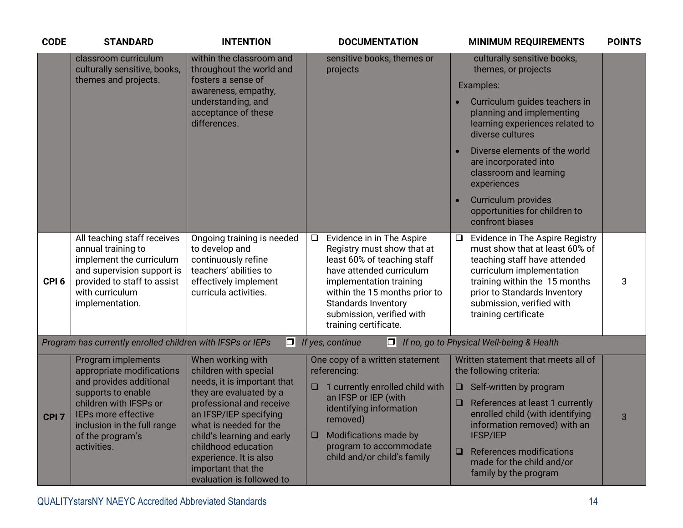| <b>CODE</b>      | <b>STANDARD</b>                                                                                                                                                                                                     | <b>INTENTION</b>                                                                                                                                                                                                                                                                                                       | <b>DOCUMENTATION</b>                                                                                                                                                                                                                                                  | <b>MINIMUM REQUIREMENTS</b>                                                                                                                                                                                                                                                                                                                                        | <b>POINTS</b>  |
|------------------|---------------------------------------------------------------------------------------------------------------------------------------------------------------------------------------------------------------------|------------------------------------------------------------------------------------------------------------------------------------------------------------------------------------------------------------------------------------------------------------------------------------------------------------------------|-----------------------------------------------------------------------------------------------------------------------------------------------------------------------------------------------------------------------------------------------------------------------|--------------------------------------------------------------------------------------------------------------------------------------------------------------------------------------------------------------------------------------------------------------------------------------------------------------------------------------------------------------------|----------------|
|                  | classroom curriculum<br>culturally sensitive, books,<br>themes and projects.                                                                                                                                        | within the classroom and<br>throughout the world and<br>fosters a sense of<br>awareness, empathy,<br>understanding, and<br>acceptance of these<br>differences.                                                                                                                                                         | sensitive books, themes or<br>projects                                                                                                                                                                                                                                | culturally sensitive books,<br>themes, or projects<br>Examples:<br>Curriculum guides teachers in<br>planning and implementing<br>learning experiences related to<br>diverse cultures<br>Diverse elements of the world<br>are incorporated into<br>classroom and learning<br>experiences<br>Curriculum provides<br>opportunities for children to<br>confront biases |                |
| CPI <sub>6</sub> | All teaching staff receives<br>annual training to<br>implement the curriculum<br>and supervision support is<br>provided to staff to assist<br>with curriculum<br>implementation.                                    | Ongoing training is needed<br>to develop and<br>continuously refine<br>teachers' abilities to<br>effectively implement<br>curricula activities.                                                                                                                                                                        | Evidence in in The Aspire<br>$\Box$<br>Registry must show that at<br>least 60% of teaching staff<br>have attended curriculum<br>implementation training<br>within the 15 months prior to<br>Standards Inventory<br>submission, verified with<br>training certificate. | Evidence in The Aspire Registry<br>$\Box$<br>must show that at least 60% of<br>teaching staff have attended<br>curriculum implementation<br>training within the 15 months<br>prior to Standards Inventory<br>submission, verified with<br>training certificate                                                                                                     | 3              |
|                  | Program has currently enrolled children with IFSPs or IEPs                                                                                                                                                          |                                                                                                                                                                                                                                                                                                                        | $\Box$ If yes, continue                                                                                                                                                                                                                                               | $\Box$ If no, go to Physical Well-being & Health                                                                                                                                                                                                                                                                                                                   |                |
| CPI <sub>7</sub> | Program implements<br>appropriate modifications<br>and provides additional<br>supports to enable<br>children with IFSPs or<br>IEPs more effective<br>inclusion in the full range<br>of the program's<br>activities. | When working with<br>children with special<br>needs, it is important that<br>they are evaluated by a<br>professional and receive<br>an IFSP/IEP specifying<br>what is needed for the<br>child's learning and early<br>childhood education<br>experience. It is also<br>important that the<br>evaluation is followed to | One copy of a written statement<br>referencing:<br>1 currently enrolled child with<br>$\Box$<br>an IFSP or IEP (with<br>identifying information<br>removed)<br>Modifications made by<br>$\Box$<br>program to accommodate<br>child and/or child's family               | Written statement that meets all of<br>the following criteria:<br>Self-written by program<br>$\Box$<br>References at least 1 currently<br>❏<br>enrolled child (with identifying<br>information removed) with an<br>IFSP/IEP<br>References modifications<br>$\Box$<br>made for the child and/or<br>family by the program                                            | $\overline{3}$ |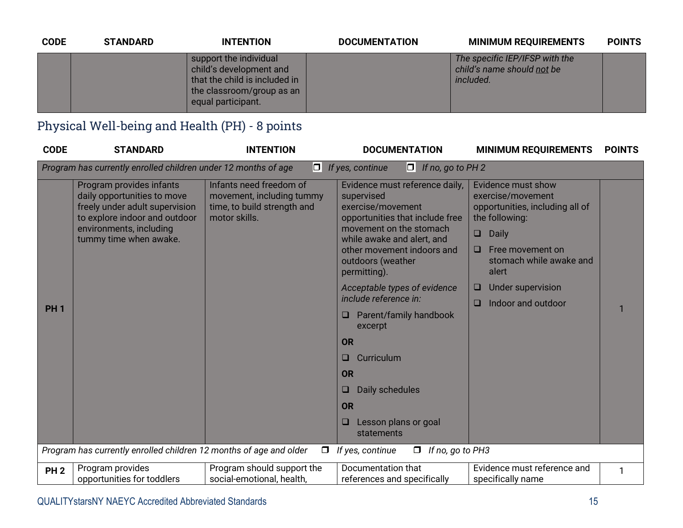| <b>CODE</b> | <b>STANDARD</b> | <b>INTENTION</b>                                                                                                                      | <b>DOCUMENTATION</b> | <b>MINIMUM REQUIREMENTS</b>                                                      | <b>POINTS</b> |
|-------------|-----------------|---------------------------------------------------------------------------------------------------------------------------------------|----------------------|----------------------------------------------------------------------------------|---------------|
|             |                 | support the individual<br>child's development and<br>that the child is included in<br>the classroom/group as an<br>equal participant. |                      | The specific IEP/IFSP with the<br>child's name should not be<br><i>included.</i> |               |

#### Physical Well-being and Health (PH) - 8 points

| <b>CODE</b>     | <b>STANDARD</b>                                                                                                                                                                 | <b>INTENTION</b>                                                                                     | <b>DOCUMENTATION</b>                                                                                                                                                                                                                                                                                                                                                                                                                                                  | <b>MINIMUM REQUIREMENTS</b>                                                                                                                                                                                                                               | <b>POINTS</b> |
|-----------------|---------------------------------------------------------------------------------------------------------------------------------------------------------------------------------|------------------------------------------------------------------------------------------------------|-----------------------------------------------------------------------------------------------------------------------------------------------------------------------------------------------------------------------------------------------------------------------------------------------------------------------------------------------------------------------------------------------------------------------------------------------------------------------|-----------------------------------------------------------------------------------------------------------------------------------------------------------------------------------------------------------------------------------------------------------|---------------|
|                 | Program has currently enrolled children under 12 months of age                                                                                                                  | O                                                                                                    | If yes, continue<br>$\Box$ If no, go to PH 2                                                                                                                                                                                                                                                                                                                                                                                                                          |                                                                                                                                                                                                                                                           |               |
| <b>PH1</b>      | Program provides infants<br>daily opportunities to move<br>freely under adult supervision<br>to explore indoor and outdoor<br>environments, including<br>tummy time when awake. | Infants need freedom of<br>movement, including tummy<br>time, to build strength and<br>motor skills. | Evidence must reference daily,<br>supervised<br>exercise/movement<br>opportunities that include free<br>movement on the stomach<br>while awake and alert, and<br>other movement indoors and<br>outdoors (weather<br>permitting).<br>Acceptable types of evidence<br>include reference in:<br>Parent/family handbook<br>□<br>excerpt<br><b>OR</b><br>Curriculum<br>□<br><b>OR</b><br>Daily schedules<br>❏<br><b>OR</b><br>Lesson plans or goal<br>$\Box$<br>statements | Evidence must show<br>exercise/movement<br>opportunities, including all of<br>the following:<br><b>Daily</b><br>$\Box$<br>Free movement on<br>$\Box$<br>stomach while awake and<br>alert<br><b>Under supervision</b><br>o<br>Indoor and outdoor<br>$\Box$ |               |
|                 | Program has currently enrolled children 12 months of age and older                                                                                                              | $\Box$                                                                                               | If yes, continue<br>If no, go to PH3<br>$\Box$                                                                                                                                                                                                                                                                                                                                                                                                                        |                                                                                                                                                                                                                                                           |               |
| PH <sub>2</sub> | Program provides<br>opportunities for toddlers                                                                                                                                  | Program should support the<br>social-emotional, health,                                              | Documentation that<br>references and specifically                                                                                                                                                                                                                                                                                                                                                                                                                     | Evidence must reference and<br>specifically name                                                                                                                                                                                                          |               |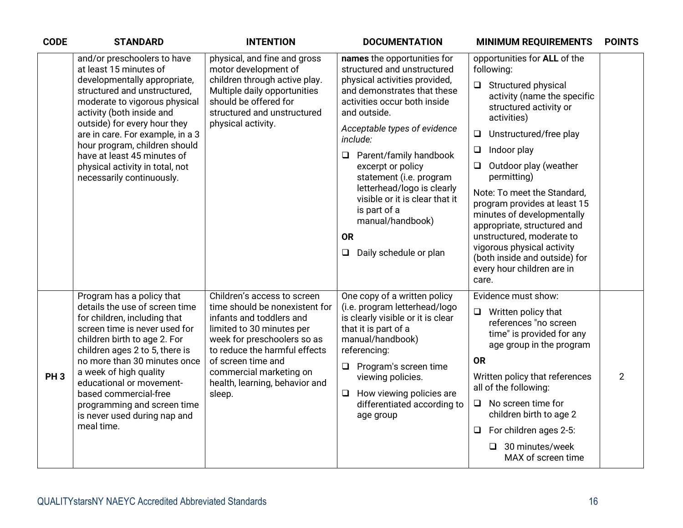| <b>CODE</b>     | <b>STANDARD</b>                                                                                                                                                                                                                                                                                                                                                                            | <b>INTENTION</b>                                                                                                                                                                                                                                                                    | <b>DOCUMENTATION</b>                                                                                                                                                                                                                                                                                                                                                                                                                                            | <b>MINIMUM REQUIREMENTS</b>                                                                                                                                                                                                                                                                                                                                                                                                                                                                                                    | <b>POINTS</b>  |
|-----------------|--------------------------------------------------------------------------------------------------------------------------------------------------------------------------------------------------------------------------------------------------------------------------------------------------------------------------------------------------------------------------------------------|-------------------------------------------------------------------------------------------------------------------------------------------------------------------------------------------------------------------------------------------------------------------------------------|-----------------------------------------------------------------------------------------------------------------------------------------------------------------------------------------------------------------------------------------------------------------------------------------------------------------------------------------------------------------------------------------------------------------------------------------------------------------|--------------------------------------------------------------------------------------------------------------------------------------------------------------------------------------------------------------------------------------------------------------------------------------------------------------------------------------------------------------------------------------------------------------------------------------------------------------------------------------------------------------------------------|----------------|
|                 | and/or preschoolers to have<br>at least 15 minutes of<br>developmentally appropriate,<br>structured and unstructured,<br>moderate to vigorous physical<br>activity (both inside and<br>outside) for every hour they<br>are in care. For example, in a 3<br>hour program, children should<br>have at least 45 minutes of<br>physical activity in total, not<br>necessarily continuously.    | physical, and fine and gross<br>motor development of<br>children through active play.<br>Multiple daily opportunities<br>should be offered for<br>structured and unstructured<br>physical activity.                                                                                 | names the opportunities for<br>structured and unstructured<br>physical activities provided,<br>and demonstrates that these<br>activities occur both inside<br>and outside.<br>Acceptable types of evidence<br>include:<br>Parent/family handbook<br>$\Box$<br>excerpt or policy<br>statement (i.e. program<br>letterhead/logo is clearly<br>visible or it is clear that it<br>is part of a<br>manual/handbook)<br><b>OR</b><br>Daily schedule or plan<br>$\Box$ | opportunities for ALL of the<br>following:<br>$\Box$ Structured physical<br>activity (name the specific<br>structured activity or<br>activities)<br>Unstructured/free play<br>$\Box$<br>Indoor play<br>$\Box$<br>Outdoor play (weather<br>$\Box$<br>permitting)<br>Note: To meet the Standard,<br>program provides at least 15<br>minutes of developmentally<br>appropriate, structured and<br>unstructured, moderate to<br>vigorous physical activity<br>(both inside and outside) for<br>every hour children are in<br>care. |                |
| PH <sub>3</sub> | Program has a policy that<br>details the use of screen time<br>for children, including that<br>screen time is never used for<br>children birth to age 2. For<br>children ages 2 to 5, there is<br>no more than 30 minutes once<br>a week of high quality<br>educational or movement-<br>based commercial-free<br>programming and screen time<br>is never used during nap and<br>meal time. | Children's access to screen<br>time should be nonexistent for<br>infants and toddlers and<br>limited to 30 minutes per<br>week for preschoolers so as<br>to reduce the harmful effects<br>of screen time and<br>commercial marketing on<br>health, learning, behavior and<br>sleep. | One copy of a written policy<br>(i.e. program letterhead/logo<br>is clearly visible or it is clear<br>that it is part of a<br>manual/handbook)<br>referencing:<br>Program's screen time<br>❏<br>viewing policies.<br>How viewing policies are<br>$\Box$<br>differentiated according to<br>age group                                                                                                                                                             | Evidence must show:<br>$\Box$ Written policy that<br>references "no screen<br>time" is provided for any<br>age group in the program<br><b>OR</b><br>Written policy that references<br>all of the following:<br>No screen time for<br>$\Box$<br>children birth to age 2<br>For children ages 2-5:<br>$\Box$<br>$\Box$ 30 minutes/week<br>MAX of screen time                                                                                                                                                                     | $\overline{2}$ |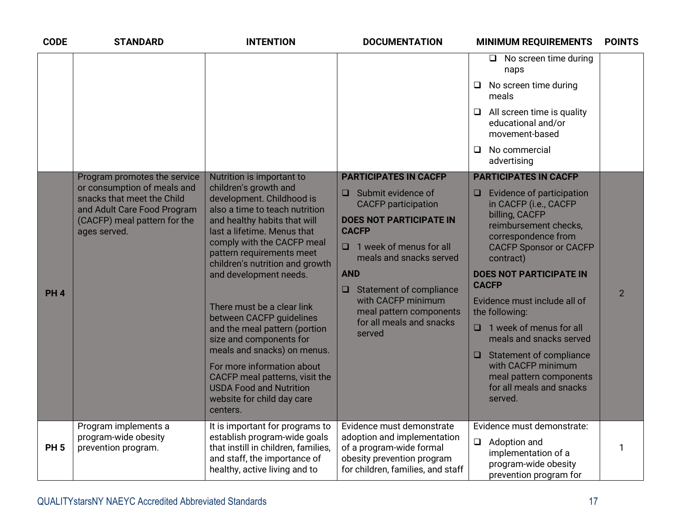| <b>CODE</b>     | <b>STANDARD</b>                                                                                                                          | <b>INTENTION</b>                                                                                                                                                                                                                                  | <b>DOCUMENTATION</b>                                                                                                                                                                 | <b>MINIMUM REQUIREMENTS</b>                                                                                                                                                  | <b>POINTS</b>  |
|-----------------|------------------------------------------------------------------------------------------------------------------------------------------|---------------------------------------------------------------------------------------------------------------------------------------------------------------------------------------------------------------------------------------------------|--------------------------------------------------------------------------------------------------------------------------------------------------------------------------------------|------------------------------------------------------------------------------------------------------------------------------------------------------------------------------|----------------|
|                 |                                                                                                                                          |                                                                                                                                                                                                                                                   |                                                                                                                                                                                      | $\Box$ No screen time during<br>naps                                                                                                                                         |                |
|                 |                                                                                                                                          |                                                                                                                                                                                                                                                   |                                                                                                                                                                                      | No screen time during<br>□<br>meals                                                                                                                                          |                |
|                 |                                                                                                                                          |                                                                                                                                                                                                                                                   |                                                                                                                                                                                      | All screen time is quality<br>$\Box$<br>educational and/or<br>movement-based                                                                                                 |                |
|                 |                                                                                                                                          |                                                                                                                                                                                                                                                   |                                                                                                                                                                                      | No commercial<br>□<br>advertising                                                                                                                                            |                |
|                 | Program promotes the service                                                                                                             | Nutrition is important to                                                                                                                                                                                                                         | <b>PARTICIPATES IN CACFP</b>                                                                                                                                                         | <b>PARTICIPATES IN CACFP</b>                                                                                                                                                 |                |
|                 | or consumption of meals and<br>snacks that meet the Child<br>and Adult Care Food Program<br>(CACFP) meal pattern for the<br>ages served. | children's growth and<br>development. Childhood is<br>also a time to teach nutrition<br>and healthy habits that will<br>last a lifetime. Menus that<br>comply with the CACFP meal<br>pattern requirements meet<br>children's nutrition and growth | $\Box$ Submit evidence of<br><b>CACFP</b> participation<br><b>DOES NOT PARTICIPATE IN</b><br><b>CACFP</b><br>$\Box$ 1 week of menus for all<br>meals and snacks served<br><b>AND</b> | Evidence of participation<br>$\Box$<br>in CACFP (i.e., CACFP<br>billing, CACFP<br>reimbursement checks,<br>correspondence from<br><b>CACFP Sponsor or CACFP</b><br>contract) |                |
|                 |                                                                                                                                          | and development needs.                                                                                                                                                                                                                            | $\Box$ Statement of compliance                                                                                                                                                       | <b>DOES NOT PARTICIPATE IN</b><br><b>CACFP</b>                                                                                                                               |                |
| PH <sub>4</sub> |                                                                                                                                          | There must be a clear link<br>between CACFP guidelines                                                                                                                                                                                            | with CACFP minimum<br>meal pattern components                                                                                                                                        | Evidence must include all of<br>the following:                                                                                                                               | $\overline{2}$ |
|                 |                                                                                                                                          | and the meal pattern (portion<br>size and components for<br>meals and snacks) on menus.                                                                                                                                                           | for all meals and snacks<br>served                                                                                                                                                   | 1 week of menus for all<br>0<br>meals and snacks served                                                                                                                      |                |
|                 |                                                                                                                                          | For more information about<br>CACFP meal patterns, visit the<br><b>USDA Food and Nutrition</b><br>website for child day care<br>centers.                                                                                                          |                                                                                                                                                                                      | <b>Statement of compliance</b><br>$\Box$<br>with CACFP minimum<br>meal pattern components<br>for all meals and snacks<br>served.                                             |                |
|                 | Program implements a                                                                                                                     | It is important for programs to<br>establish program-wide goals                                                                                                                                                                                   | Evidence must demonstrate                                                                                                                                                            | Evidence must demonstrate:                                                                                                                                                   |                |
| <b>PH5</b>      | program-wide obesity<br>prevention program.                                                                                              | that instill in children, families,<br>and staff, the importance of<br>healthy, active living and to                                                                                                                                              | adoption and implementation<br>of a program-wide formal<br>obesity prevention program<br>for children, families, and staff                                                           | $\Box$<br>Adoption and<br>implementation of a<br>program-wide obesity<br>prevention program for                                                                              | 1              |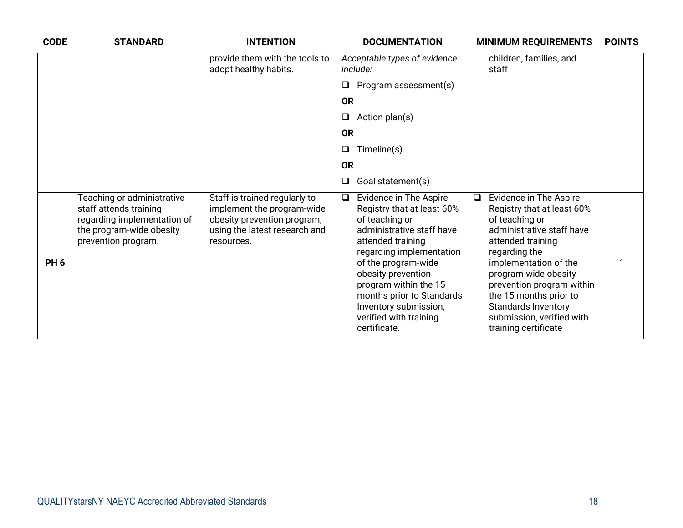| <b>CODE</b>     | <b>STANDARD</b>                                                                                                                        | <b>INTENTION</b>                                                                                                                          |           | <b>DOCUMENTATION</b>                                                                                                                                                                                                                                                                                                              |        | <b>MINIMUM REQUIREMENTS</b>                                                                                                                                                                                                                                                                                                                 | <b>POINTS</b> |
|-----------------|----------------------------------------------------------------------------------------------------------------------------------------|-------------------------------------------------------------------------------------------------------------------------------------------|-----------|-----------------------------------------------------------------------------------------------------------------------------------------------------------------------------------------------------------------------------------------------------------------------------------------------------------------------------------|--------|---------------------------------------------------------------------------------------------------------------------------------------------------------------------------------------------------------------------------------------------------------------------------------------------------------------------------------------------|---------------|
|                 |                                                                                                                                        | provide them with the tools to<br>adopt healthy habits.                                                                                   |           | Acceptable types of evidence<br>include:                                                                                                                                                                                                                                                                                          |        | children, families, and<br>staff                                                                                                                                                                                                                                                                                                            |               |
|                 |                                                                                                                                        |                                                                                                                                           | $\Box$    | Program assessment(s)                                                                                                                                                                                                                                                                                                             |        |                                                                                                                                                                                                                                                                                                                                             |               |
|                 |                                                                                                                                        |                                                                                                                                           | <b>OR</b> |                                                                                                                                                                                                                                                                                                                                   |        |                                                                                                                                                                                                                                                                                                                                             |               |
|                 |                                                                                                                                        |                                                                                                                                           | $\Box$    | Action plan(s)                                                                                                                                                                                                                                                                                                                    |        |                                                                                                                                                                                                                                                                                                                                             |               |
|                 |                                                                                                                                        |                                                                                                                                           | <b>OR</b> |                                                                                                                                                                                                                                                                                                                                   |        |                                                                                                                                                                                                                                                                                                                                             |               |
|                 |                                                                                                                                        |                                                                                                                                           | $\Box$    | Timeline(s)                                                                                                                                                                                                                                                                                                                       |        |                                                                                                                                                                                                                                                                                                                                             |               |
|                 |                                                                                                                                        |                                                                                                                                           | <b>OR</b> |                                                                                                                                                                                                                                                                                                                                   |        |                                                                                                                                                                                                                                                                                                                                             |               |
|                 |                                                                                                                                        |                                                                                                                                           | $\Box$    | Goal statement(s)                                                                                                                                                                                                                                                                                                                 |        |                                                                                                                                                                                                                                                                                                                                             |               |
| PH <sub>6</sub> | Teaching or administrative<br>staff attends training<br>regarding implementation of<br>the program-wide obesity<br>prevention program. | Staff is trained regularly to<br>implement the program-wide<br>obesity prevention program,<br>using the latest research and<br>resources. | $\Box$    | <b>Evidence in The Aspire</b><br>Registry that at least 60%<br>of teaching or<br>administrative staff have<br>attended training<br>regarding implementation<br>of the program-wide<br>obesity prevention<br>program within the 15<br>months prior to Standards<br>Inventory submission,<br>verified with training<br>certificate. | $\Box$ | <b>Evidence in The Aspire</b><br>Registry that at least 60%<br>of teaching or<br>administrative staff have<br>attended training<br>regarding the<br>implementation of the<br>program-wide obesity<br>prevention program within<br>the 15 months prior to<br><b>Standards Inventory</b><br>submission, verified with<br>training certificate |               |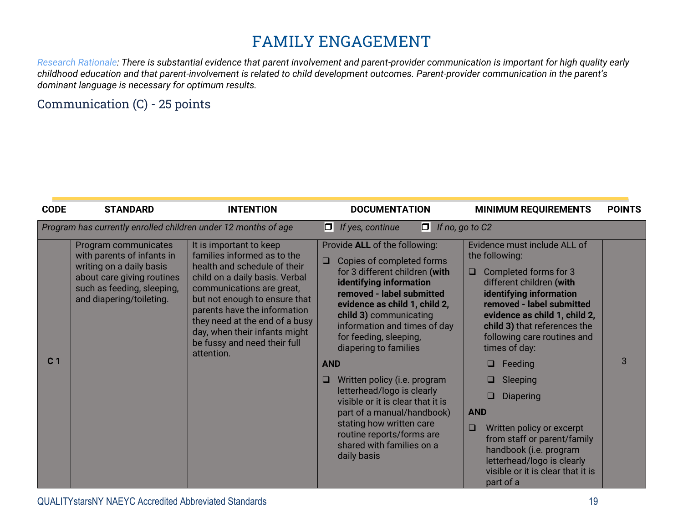# **FAMILY ENGAGEMENT**

*Research Rationale: There is substantial evidence that parent involvement and parent-provider communication is important for high quality early childhood education and that parent-involvement is related to child development outcomes. Parent-provider communication in the parent's dominant language is necessary for optimum results.*

#### Communication (C) - 25 points

| <b>CODE</b>    | <b>STANDARD</b>                                                                                                                                                        | <b>INTENTION</b>                                                                                                                                                                                                                                                                                                                        |                           | <b>DOCUMENTATION</b>                                                                                                                                                                                                                                                                                                                                                                                                                                                                                                                     |                           | <b>MINIMUM REQUIREMENTS</b>                                                                                                                                                                                                                                                                                                                                                                                                                                                                        | <b>POINTS</b> |
|----------------|------------------------------------------------------------------------------------------------------------------------------------------------------------------------|-----------------------------------------------------------------------------------------------------------------------------------------------------------------------------------------------------------------------------------------------------------------------------------------------------------------------------------------|---------------------------|------------------------------------------------------------------------------------------------------------------------------------------------------------------------------------------------------------------------------------------------------------------------------------------------------------------------------------------------------------------------------------------------------------------------------------------------------------------------------------------------------------------------------------------|---------------------------|----------------------------------------------------------------------------------------------------------------------------------------------------------------------------------------------------------------------------------------------------------------------------------------------------------------------------------------------------------------------------------------------------------------------------------------------------------------------------------------------------|---------------|
|                | Program has currently enrolled children under 12 months of age                                                                                                         |                                                                                                                                                                                                                                                                                                                                         |                           | $\Box$ If no, go to C2<br>$\Box$ If yes, continue                                                                                                                                                                                                                                                                                                                                                                                                                                                                                        |                           |                                                                                                                                                                                                                                                                                                                                                                                                                                                                                                    |               |
| C <sub>1</sub> | Program communicates<br>with parents of infants in<br>writing on a daily basis<br>about care giving routines<br>such as feeding, sleeping,<br>and diapering/toileting. | It is important to keep<br>families informed as to the<br>health and schedule of their<br>child on a daily basis. Verbal<br>communications are great,<br>but not enough to ensure that<br>parents have the information<br>they need at the end of a busy<br>day, when their infants might<br>be fussy and need their full<br>attention. | $\Box$<br><b>AND</b><br>□ | Provide ALL of the following:<br>Copies of completed forms<br>for 3 different children (with<br>identifying information<br>removed - label submitted<br>evidence as child 1, child 2,<br>child 3) communicating<br>information and times of day<br>for feeding, sleeping,<br>diapering to families<br>Written policy (i.e. program<br>letterhead/logo is clearly<br>visible or it is clear that it is<br>part of a manual/handbook)<br>stating how written care<br>routine reports/forms are<br>shared with families on a<br>daily basis | □<br><b>AND</b><br>$\Box$ | Evidence must include ALL of<br>the following:<br>Completed forms for 3<br>different children (with<br>identifying information<br>removed - label submitted<br>evidence as child 1, child 2,<br>child 3) that references the<br>following care routines and<br>times of day:<br>Feeding<br>□<br>Sleeping<br><b>Diapering</b><br>Written policy or excerpt<br>from staff or parent/family<br>handbook (i.e. program<br>letterhead/logo is clearly<br>visible or it is clear that it is<br>part of a | 3             |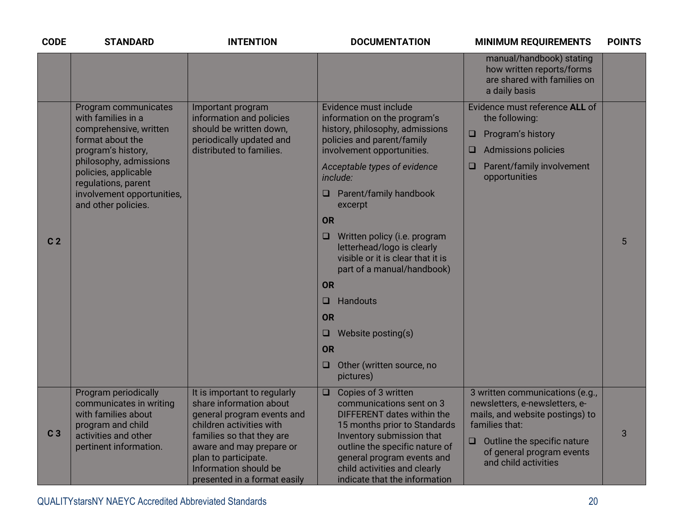| <b>CODE</b>    | <b>STANDARD</b>                                                                                                                                                                                                                              | <b>INTENTION</b>                                                                                                                                                                                                                                            | <b>DOCUMENTATION</b>                                                                                                                                                                                                                                                                                                                                                                                                                                                                                                       | <b>MINIMUM REQUIREMENTS</b>                                                                                                                                                                                     | <b>POINTS</b> |
|----------------|----------------------------------------------------------------------------------------------------------------------------------------------------------------------------------------------------------------------------------------------|-------------------------------------------------------------------------------------------------------------------------------------------------------------------------------------------------------------------------------------------------------------|----------------------------------------------------------------------------------------------------------------------------------------------------------------------------------------------------------------------------------------------------------------------------------------------------------------------------------------------------------------------------------------------------------------------------------------------------------------------------------------------------------------------------|-----------------------------------------------------------------------------------------------------------------------------------------------------------------------------------------------------------------|---------------|
|                |                                                                                                                                                                                                                                              |                                                                                                                                                                                                                                                             |                                                                                                                                                                                                                                                                                                                                                                                                                                                                                                                            | manual/handbook) stating<br>how written reports/forms<br>are shared with families on<br>a daily basis                                                                                                           |               |
| C <sub>2</sub> | Program communicates<br>with families in a<br>comprehensive, written<br>format about the<br>program's history,<br>philosophy, admissions<br>policies, applicable<br>regulations, parent<br>involvement opportunities,<br>and other policies. | Important program<br>information and policies<br>should be written down,<br>periodically updated and<br>distributed to families.                                                                                                                            | Evidence must include<br>information on the program's<br>history, philosophy, admissions<br>policies and parent/family<br>involvement opportunities.<br>Acceptable types of evidence<br>include:<br>Parent/family handbook<br>excerpt<br><b>OR</b><br>Written policy (i.e. program<br>❏<br>letterhead/logo is clearly<br>visible or it is clear that it is<br>part of a manual/handbook)<br><b>OR</b><br>Handouts<br>□<br><b>OR</b><br>Website posting(s)<br>❏<br><b>OR</b><br>Other (written source, no<br>Q<br>pictures) | Evidence must reference ALL of<br>the following:<br>Program's history<br>❏<br><b>Admissions policies</b><br>Q<br>Parent/family involvement<br>Q<br>opportunities                                                | 5             |
| C <sub>3</sub> | Program periodically<br>communicates in writing<br>with families about<br>program and child<br>activities and other<br>pertinent information.                                                                                                | It is important to regularly<br>share information about<br>general program events and<br>children activities with<br>families so that they are<br>aware and may prepare or<br>plan to participate.<br>Information should be<br>presented in a format easily | Copies of 3 written<br>$\Box$<br>communications sent on 3<br>DIFFERENT dates within the<br>15 months prior to Standards<br>Inventory submission that<br>outline the specific nature of<br>general program events and<br>child activities and clearly<br>indicate that the information                                                                                                                                                                                                                                      | 3 written communications (e.g.,<br>newsletters, e-newsletters, e-<br>mails, and website postings) to<br>families that:<br>Outline the specific nature<br>❏<br>of general program events<br>and child activities | 3             |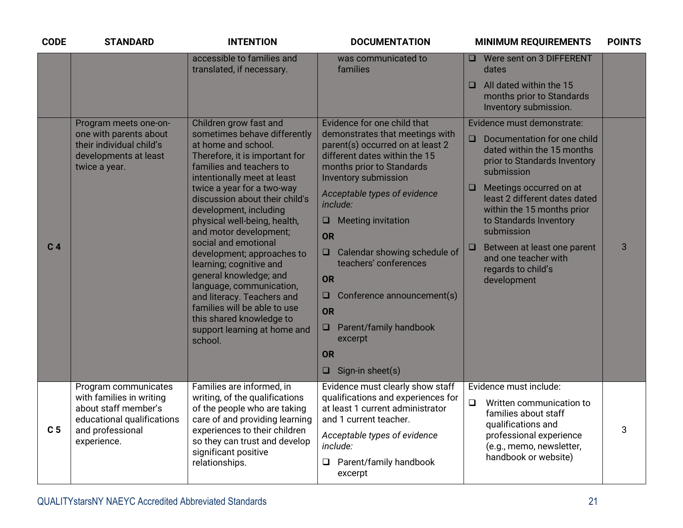| <b>CODE</b>    | <b>STANDARD</b>                                                                                                                           | <b>INTENTION</b>                                                                                                                                                                                                                                                                                                                                                                                                                                                                                                                                                                                           | <b>DOCUMENTATION</b>                                                                                                                                                                                                                                                                                                                                                                                                                                                                                             | <b>MINIMUM REQUIREMENTS</b>                                                                                                                                                                                                                                                                                                                                                                       | <b>POINTS</b> |
|----------------|-------------------------------------------------------------------------------------------------------------------------------------------|------------------------------------------------------------------------------------------------------------------------------------------------------------------------------------------------------------------------------------------------------------------------------------------------------------------------------------------------------------------------------------------------------------------------------------------------------------------------------------------------------------------------------------------------------------------------------------------------------------|------------------------------------------------------------------------------------------------------------------------------------------------------------------------------------------------------------------------------------------------------------------------------------------------------------------------------------------------------------------------------------------------------------------------------------------------------------------------------------------------------------------|---------------------------------------------------------------------------------------------------------------------------------------------------------------------------------------------------------------------------------------------------------------------------------------------------------------------------------------------------------------------------------------------------|---------------|
|                |                                                                                                                                           | accessible to families and<br>translated, if necessary.                                                                                                                                                                                                                                                                                                                                                                                                                                                                                                                                                    | was communicated to<br>families                                                                                                                                                                                                                                                                                                                                                                                                                                                                                  | □ Were sent on 3 DIFFERENT<br>dates<br>All dated within the 15<br>◻<br>months prior to Standards<br>Inventory submission.                                                                                                                                                                                                                                                                         |               |
| C <sub>4</sub> | Program meets one-on-<br>one with parents about<br>their individual child's<br>developments at least<br>twice a year.                     | Children grow fast and<br>sometimes behave differently<br>at home and school.<br>Therefore, it is important for<br>families and teachers to<br>intentionally meet at least<br>twice a year for a two-way<br>discussion about their child's<br>development, including<br>physical well-being, health,<br>and motor development;<br>social and emotional<br>development; approaches to<br>learning; cognitive and<br>general knowledge; and<br>language, communication,<br>and literacy. Teachers and<br>families will be able to use<br>this shared knowledge to<br>support learning at home and<br>school. | Evidence for one child that<br>demonstrates that meetings with<br>parent(s) occurred on at least 2<br>different dates within the 15<br>months prior to Standards<br><b>Inventory submission</b><br>Acceptable types of evidence<br>include:<br><b>Meeting invitation</b><br>□.<br><b>OR</b><br>Calendar showing schedule of<br>$\Box$<br>teachers' conferences<br><b>OR</b><br>Conference announcement(s)<br>❏<br><b>OR</b><br>Parent/family handbook<br>$\Box$<br>excerpt<br><b>OR</b><br>Sign-in sheet(s)<br>❏ | Evidence must demonstrate:<br>Documentation for one child<br>$\Box$<br>dated within the 15 months<br>prior to Standards Inventory<br>submission<br>Meetings occurred on at<br>$\Box$<br>least 2 different dates dated<br>within the 15 months prior<br>to Standards Inventory<br>submission<br>Between at least one parent<br>$\Box$<br>and one teacher with<br>regards to child's<br>development | 3             |
| C <sub>5</sub> | Program communicates<br>with families in writing<br>about staff member's<br>educational qualifications<br>and professional<br>experience. | Families are informed, in<br>writing, of the qualifications<br>of the people who are taking<br>care of and providing learning<br>experiences to their children<br>so they can trust and develop<br>significant positive<br>relationships.                                                                                                                                                                                                                                                                                                                                                                  | Evidence must clearly show staff<br>qualifications and experiences for<br>at least 1 current administrator<br>and 1 current teacher.<br>Acceptable types of evidence<br>include:<br>$\Box$ Parent/family handbook<br>excerpt                                                                                                                                                                                                                                                                                     | Evidence must include:<br>$\Box$<br>Written communication to<br>families about staff<br>qualifications and<br>professional experience<br>(e.g., memo, newsletter,<br>handbook or website)                                                                                                                                                                                                         | 3             |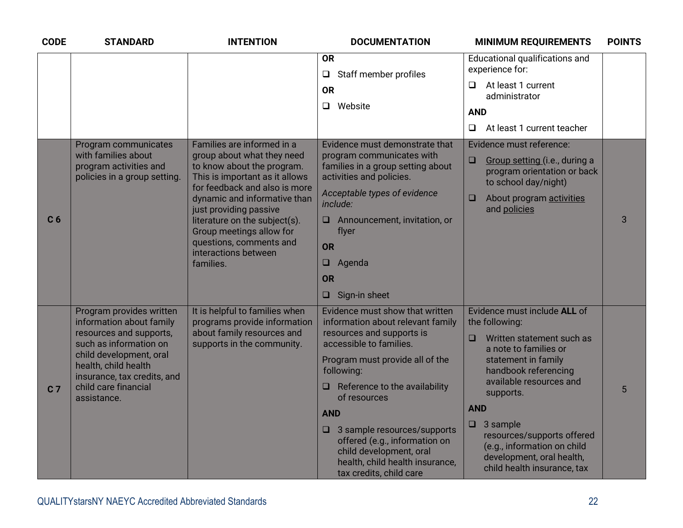| <b>CODE</b>    | <b>STANDARD</b>                                                                                                                                                                                                                    | <b>INTENTION</b>                                                                                                                                                                                                                                                                                                                                 | <b>DOCUMENTATION</b>                                                                                                                                                                                                                                                                                                                                                                                                | <b>MINIMUM REQUIREMENTS</b>                                                                                                                                                                                                                                                                                                                                        | <b>POINTS</b> |
|----------------|------------------------------------------------------------------------------------------------------------------------------------------------------------------------------------------------------------------------------------|--------------------------------------------------------------------------------------------------------------------------------------------------------------------------------------------------------------------------------------------------------------------------------------------------------------------------------------------------|---------------------------------------------------------------------------------------------------------------------------------------------------------------------------------------------------------------------------------------------------------------------------------------------------------------------------------------------------------------------------------------------------------------------|--------------------------------------------------------------------------------------------------------------------------------------------------------------------------------------------------------------------------------------------------------------------------------------------------------------------------------------------------------------------|---------------|
|                |                                                                                                                                                                                                                                    |                                                                                                                                                                                                                                                                                                                                                  | <b>OR</b><br>Staff member profiles<br>$\Box$                                                                                                                                                                                                                                                                                                                                                                        | Educational qualifications and<br>experience for:                                                                                                                                                                                                                                                                                                                  |               |
|                |                                                                                                                                                                                                                                    |                                                                                                                                                                                                                                                                                                                                                  | <b>OR</b>                                                                                                                                                                                                                                                                                                                                                                                                           | At least 1 current<br>$\Box$<br>administrator                                                                                                                                                                                                                                                                                                                      |               |
|                |                                                                                                                                                                                                                                    |                                                                                                                                                                                                                                                                                                                                                  | Website<br>$\Box$                                                                                                                                                                                                                                                                                                                                                                                                   | <b>AND</b>                                                                                                                                                                                                                                                                                                                                                         |               |
|                |                                                                                                                                                                                                                                    |                                                                                                                                                                                                                                                                                                                                                  |                                                                                                                                                                                                                                                                                                                                                                                                                     | $\Box$<br>At least 1 current teacher                                                                                                                                                                                                                                                                                                                               |               |
| C <sub>6</sub> | Program communicates<br>with families about<br>program activities and<br>policies in a group setting.                                                                                                                              | Families are informed in a<br>group about what they need<br>to know about the program.<br>This is important as it allows<br>for feedback and also is more<br>dynamic and informative than<br>just providing passive<br>literature on the subject(s).<br>Group meetings allow for<br>questions, comments and<br>interactions between<br>families. | Evidence must demonstrate that<br>program communicates with<br>families in a group setting about<br>activities and policies.<br>Acceptable types of evidence<br>include:<br>Announcement, invitation, or<br>□.<br>flyer<br><b>OR</b><br>Agenda<br>$\Box$<br><b>OR</b><br>Sign-in sheet<br>$\Box$                                                                                                                    | Evidence must reference:<br>Group setting (i.e., during a<br>$\Box$<br>program orientation or back<br>to school day/night)<br>About program activities<br>□<br>and policies                                                                                                                                                                                        | 3             |
| C <sub>7</sub> | Program provides written<br>information about family<br>resources and supports,<br>such as information on<br>child development, oral<br>health, child health<br>insurance, tax credits, and<br>child care financial<br>assistance. | It is helpful to families when<br>programs provide information<br>about family resources and<br>supports in the community.                                                                                                                                                                                                                       | Evidence must show that written<br>information about relevant family<br>resources and supports is<br>accessible to families.<br>Program must provide all of the<br>following:<br>$\Box$ Reference to the availability<br>of resources<br><b>AND</b><br>$\Box$ 3 sample resources/supports<br>offered (e.g., information on<br>child development, oral<br>health, child health insurance,<br>tax credits, child care | Evidence must include ALL of<br>the following:<br>$\Box$<br>Written statement such as<br>a note to families or<br>statement in family<br>handbook referencing<br>available resources and<br>supports.<br><b>AND</b><br>3 sample<br>$\Box$<br>resources/supports offered<br>(e.g., information on child<br>development, oral health,<br>child health insurance, tax | 5             |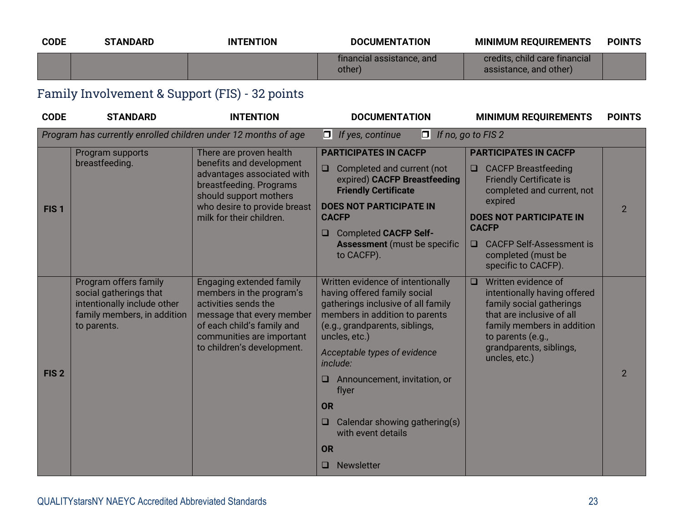| <b>CODE</b>      | <b>STANDARD</b>                                                                                                              | <b>INTENTION</b>                                                                                                                                                            | <b>DOCUMENTATION</b>                                                                                                                                                                         | <b>MINIMUM REQUIREMENTS</b>                                                                                                                                                                          | <b>POINTS</b>  |
|------------------|------------------------------------------------------------------------------------------------------------------------------|-----------------------------------------------------------------------------------------------------------------------------------------------------------------------------|----------------------------------------------------------------------------------------------------------------------------------------------------------------------------------------------|------------------------------------------------------------------------------------------------------------------------------------------------------------------------------------------------------|----------------|
|                  |                                                                                                                              |                                                                                                                                                                             | financial assistance, and<br>other)                                                                                                                                                          | credits, child care financial<br>assistance, and other)                                                                                                                                              |                |
|                  | Family Involvement & Support (FIS) - 32 points                                                                               |                                                                                                                                                                             |                                                                                                                                                                                              |                                                                                                                                                                                                      |                |
| <b>CODE</b>      | <b>STANDARD</b>                                                                                                              | <b>INTENTION</b>                                                                                                                                                            | <b>DOCUMENTATION</b>                                                                                                                                                                         | <b>MINIMUM REQUIREMENTS</b>                                                                                                                                                                          | <b>POINTS</b>  |
|                  | Program has currently enrolled children under 12 months of age                                                               |                                                                                                                                                                             | $\Box$ If yes, continue<br>01                                                                                                                                                                | If no, go to FIS 2                                                                                                                                                                                   |                |
|                  | Program supports                                                                                                             | There are proven health                                                                                                                                                     | <b>PARTICIPATES IN CACFP</b>                                                                                                                                                                 | <b>PARTICIPATES IN CACFP</b>                                                                                                                                                                         |                |
|                  | breastfeeding.                                                                                                               | benefits and development<br>advantages associated with<br>breastfeeding. Programs<br>should support mothers<br>who desire to provide breast<br>milk for their children.     | $\Box$<br>Completed and current (not<br>expired) CACFP Breastfeeding<br><b>Friendly Certificate</b><br><b>DOES NOT PARTICIPATE IN</b>                                                        | $\Box$<br><b>CACFP Breastfeeding</b><br><b>Friendly Certificate is</b><br>completed and current, not<br>expired                                                                                      |                |
| FIS <sub>1</sub> |                                                                                                                              |                                                                                                                                                                             | <b>CACFP</b><br><b>Completed CACFP Self-</b><br>$\Box$                                                                                                                                       | <b>DOES NOT PARTICIPATE IN</b><br><b>CACFP</b>                                                                                                                                                       | $\overline{2}$ |
|                  |                                                                                                                              |                                                                                                                                                                             | <b>Assessment</b> (must be specific<br>to CACFP).                                                                                                                                            | <b>CACFP Self-Assessment is</b><br>□<br>completed (must be<br>specific to CACFP).                                                                                                                    |                |
|                  | Program offers family<br>social gatherings that<br>intentionally include other<br>family members, in addition<br>to parents. | <b>Engaging extended family</b><br>members in the program's<br>activities sends the<br>message that every member<br>of each child's family and<br>communities are important | Written evidence of intentionally<br>having offered family social<br>gatherings inclusive of all family<br>members in addition to parents<br>(e.g., grandparents, siblings,<br>uncles, etc.) | Written evidence of<br>$\Box$<br>intentionally having offered<br>family social gatherings<br>that are inclusive of all<br>family members in addition<br>to parents (e.g.,<br>grandparents, siblings, |                |
|                  |                                                                                                                              | to children's development.                                                                                                                                                  | Acceptable types of evidence<br>include:                                                                                                                                                     | uncles, etc.)                                                                                                                                                                                        |                |
| FIS <sub>2</sub> |                                                                                                                              |                                                                                                                                                                             | Announcement, invitation, or<br>u<br>flyer                                                                                                                                                   |                                                                                                                                                                                                      | $\overline{2}$ |
|                  |                                                                                                                              |                                                                                                                                                                             | <b>OR</b>                                                                                                                                                                                    |                                                                                                                                                                                                      |                |
|                  |                                                                                                                              |                                                                                                                                                                             | Calendar showing gathering(s)<br>□<br>with event details                                                                                                                                     |                                                                                                                                                                                                      |                |
|                  |                                                                                                                              |                                                                                                                                                                             | <b>OR</b>                                                                                                                                                                                    |                                                                                                                                                                                                      |                |
|                  |                                                                                                                              |                                                                                                                                                                             | Newsletter<br>$\Box$                                                                                                                                                                         |                                                                                                                                                                                                      |                |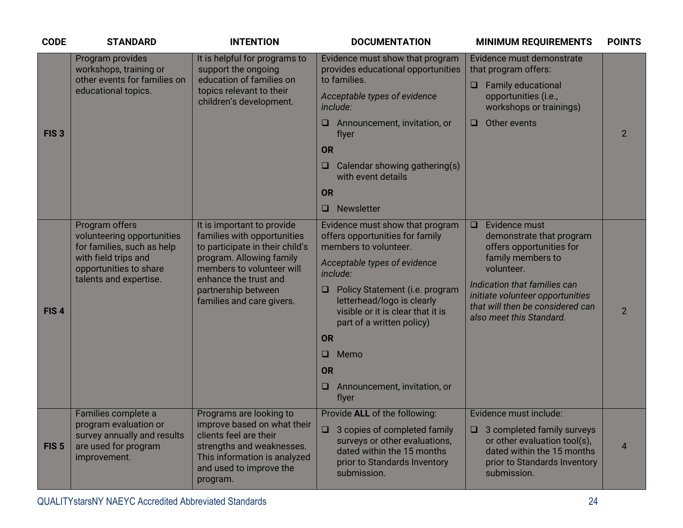| <b>CODE</b>      | <b>STANDARD</b>                                                                                                                                        | <b>INTENTION</b>                                                                                                                                                                                                                   | <b>DOCUMENTATION</b>                                                                                                                                                                                                                                                                                                                                                 | <b>MINIMUM REQUIREMENTS</b>                                                                                                                                                                                                                            | <b>POINTS</b>  |
|------------------|--------------------------------------------------------------------------------------------------------------------------------------------------------|------------------------------------------------------------------------------------------------------------------------------------------------------------------------------------------------------------------------------------|----------------------------------------------------------------------------------------------------------------------------------------------------------------------------------------------------------------------------------------------------------------------------------------------------------------------------------------------------------------------|--------------------------------------------------------------------------------------------------------------------------------------------------------------------------------------------------------------------------------------------------------|----------------|
| FIS <sub>3</sub> | Program provides<br>workshops, training or<br>other events for families on<br>educational topics.                                                      | It is helpful for programs to<br>support the ongoing<br>education of families on<br>topics relevant to their<br>children's development.                                                                                            | Evidence must show that program<br>provides educational opportunities<br>to families.<br>Acceptable types of evidence<br>include:<br>Announcement, invitation, or<br>⊔<br>flyer<br>OR<br>Calendar showing gathering(s)<br>u<br>with event details<br>OR<br>Newsletter<br>$\Box$                                                                                      | Evidence must demonstrate<br>that program offers:<br><b>Family educational</b><br>$\Box$<br>opportunities (i.e.,<br>workshops or trainings)<br>Other events<br>□                                                                                       | $\overline{2}$ |
| FIS <sub>4</sub> | Program offers<br>volunteering opportunities<br>for families, such as help<br>with field trips and<br>opportunities to share<br>talents and expertise. | It is important to provide<br>families with opportunities<br>to participate in their child's<br>program. Allowing family<br>members to volunteer will<br>enhance the trust and<br>partnership between<br>families and care givers. | Evidence must show that program<br>offers opportunities for family<br>members to volunteer.<br>Acceptable types of evidence<br>include:<br>Policy Statement (i.e. program<br>$\Box$<br>letterhead/logo is clearly<br>visible or it is clear that it is<br>part of a written policy)<br>OR<br>$\Box$<br>Memo<br>OR<br>Announcement, invitation, or<br>$\Box$<br>flyer | Evidence must<br>$\Box$<br>demonstrate that program<br>offers opportunities for<br>family members to<br>volunteer.<br>Indication that families can<br>initiate volunteer opportunities<br>that will then be considered can<br>also meet this Standard. | $\overline{2}$ |
| FIS <sub>5</sub> | Families complete a<br>program evaluation or<br>survey annually and results<br>are used for program<br>improvement.                                    | Programs are looking to<br>improve based on what their<br>clients feel are their<br>strengths and weaknesses.<br>This information is analyzed<br>and used to improve the<br>program.                                               | Provide ALL of the following:<br>3 copies of completed family<br>surveys or other evaluations,<br>dated within the 15 months<br>prior to Standards Inventory<br>submission.                                                                                                                                                                                          | Evidence must include:<br>$\Box$ 3 completed family surveys<br>or other evaluation tool(s),<br>dated within the 15 months<br>prior to Standards Inventory<br>submission.                                                                               | $\overline{4}$ |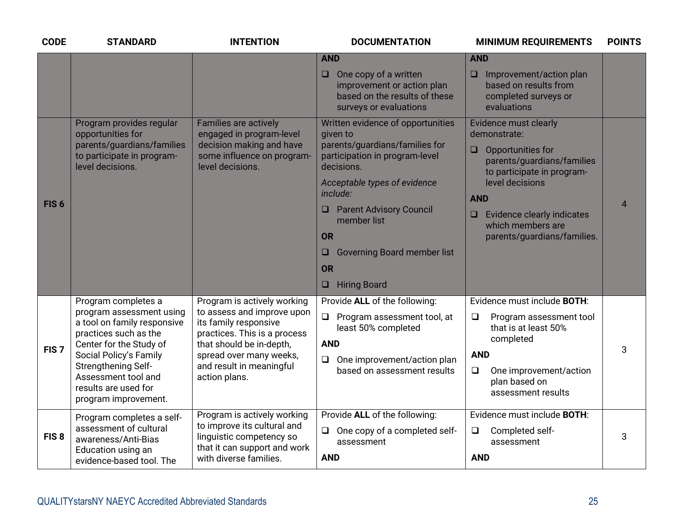| <b>CODE</b>      | <b>STANDARD</b>                                                                                                                                                                                                                                            | <b>INTENTION</b>                                                                                                                                                                                                       | <b>DOCUMENTATION</b>                                                                                                                                                                                                                                                                                                                 | <b>MINIMUM REQUIREMENTS</b>                                                                                                                                                                                                                                                 | <b>POINTS</b>  |
|------------------|------------------------------------------------------------------------------------------------------------------------------------------------------------------------------------------------------------------------------------------------------------|------------------------------------------------------------------------------------------------------------------------------------------------------------------------------------------------------------------------|--------------------------------------------------------------------------------------------------------------------------------------------------------------------------------------------------------------------------------------------------------------------------------------------------------------------------------------|-----------------------------------------------------------------------------------------------------------------------------------------------------------------------------------------------------------------------------------------------------------------------------|----------------|
|                  |                                                                                                                                                                                                                                                            |                                                                                                                                                                                                                        | <b>AND</b><br>One copy of a written<br>$\Box$<br>improvement or action plan<br>based on the results of these<br>surveys or evaluations                                                                                                                                                                                               | <b>AND</b><br>$\Box$ Improvement/action plan<br>based on results from<br>completed surveys or<br>evaluations                                                                                                                                                                |                |
| FIS <sub>6</sub> | Program provides regular<br>opportunities for<br>parents/guardians/families<br>to participate in program-<br>level decisions.                                                                                                                              | Families are actively<br>engaged in program-level<br>decision making and have<br>some influence on program-<br>level decisions.                                                                                        | Written evidence of opportunities<br>given to<br>parents/guardians/families for<br>participation in program-level<br>decisions.<br>Acceptable types of evidence<br>include:<br><b>Q</b> Parent Advisory Council<br>member list<br><b>OR</b><br><b>Governing Board member list</b><br>u<br><b>OR</b><br><b>Hiring Board</b><br>$\Box$ | <b>Evidence must clearly</b><br>demonstrate:<br>Opportunities for<br>$\Box$<br>parents/guardians/families<br>to participate in program-<br>level decisions<br><b>AND</b><br><b>Evidence clearly indicates</b><br>$\Box$<br>which members are<br>parents/guardians/families. | $\overline{4}$ |
| FIS <sub>7</sub> | Program completes a<br>program assessment using<br>a tool on family responsive<br>practices such as the<br>Center for the Study of<br>Social Policy's Family<br>Strengthening Self-<br>Assessment tool and<br>results are used for<br>program improvement. | Program is actively working<br>to assess and improve upon<br>its family responsive<br>practices. This is a process<br>that should be in-depth,<br>spread over many weeks,<br>and result in meaningful<br>action plans. | Provide ALL of the following:<br>$\Box$<br>Program assessment tool, at<br>least 50% completed<br><b>AND</b><br>One improvement/action plan<br>$\Box$<br>based on assessment results                                                                                                                                                  | Evidence must include <b>BOTH:</b><br>$\Box$<br>Program assessment tool<br>that is at least 50%<br>completed<br><b>AND</b><br>$\Box$<br>One improvement/action<br>plan based on<br>assessment results                                                                       | 3              |
| FIS <sub>8</sub> | Program completes a self-<br>assessment of cultural<br>awareness/Anti-Bias<br>Education using an<br>evidence-based tool. The                                                                                                                               | Program is actively working<br>to improve its cultural and<br>linguistic competency so<br>that it can support and work<br>with diverse families.                                                                       | Provide ALL of the following:<br>One copy of a completed self-<br>$\Box$<br>assessment<br><b>AND</b>                                                                                                                                                                                                                                 | Evidence must include BOTH:<br>Completed self-<br>$\Box$<br>assessment<br><b>AND</b>                                                                                                                                                                                        | 3              |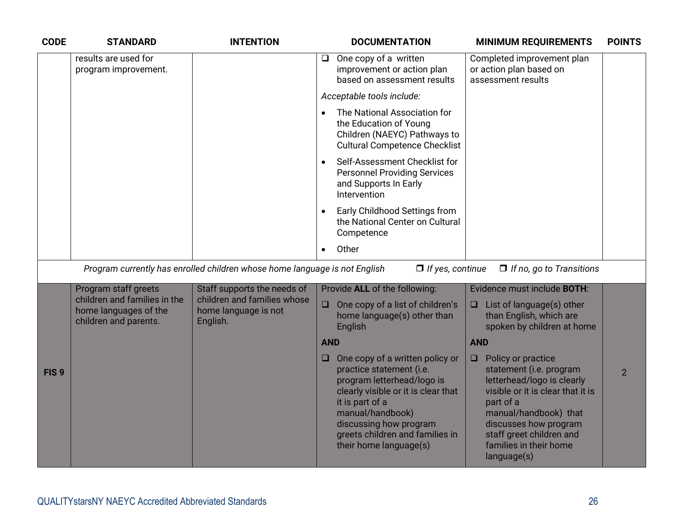| <b>CODE</b>      | <b>STANDARD</b>                                                                | <b>INTENTION</b>                                                           | <b>DOCUMENTATION</b>                                                                                                                                                                                                                           | <b>MINIMUM REQUIREMENTS</b>                                                                                                                                                                                           | <b>POINTS</b>  |
|------------------|--------------------------------------------------------------------------------|----------------------------------------------------------------------------|------------------------------------------------------------------------------------------------------------------------------------------------------------------------------------------------------------------------------------------------|-----------------------------------------------------------------------------------------------------------------------------------------------------------------------------------------------------------------------|----------------|
|                  | results are used for<br>program improvement.                                   |                                                                            | One copy of a written<br>□<br>improvement or action plan<br>based on assessment results                                                                                                                                                        | Completed improvement plan<br>or action plan based on<br>assessment results                                                                                                                                           |                |
|                  |                                                                                |                                                                            | Acceptable tools include:                                                                                                                                                                                                                      |                                                                                                                                                                                                                       |                |
|                  |                                                                                |                                                                            | The National Association for<br>the Education of Young<br>Children (NAEYC) Pathways to<br><b>Cultural Competence Checklist</b>                                                                                                                 |                                                                                                                                                                                                                       |                |
|                  |                                                                                |                                                                            | Self-Assessment Checklist for<br><b>Personnel Providing Services</b><br>and Supports In Early<br>Intervention                                                                                                                                  |                                                                                                                                                                                                                       |                |
|                  |                                                                                |                                                                            | Early Childhood Settings from<br>the National Center on Cultural<br>Competence                                                                                                                                                                 |                                                                                                                                                                                                                       |                |
|                  |                                                                                |                                                                            | Other                                                                                                                                                                                                                                          |                                                                                                                                                                                                                       |                |
|                  |                                                                                | Program currently has enrolled children whose home language is not English | $\Box$ If yes, continue                                                                                                                                                                                                                        | $\Box$ If no, go to Transitions                                                                                                                                                                                       |                |
|                  | Program staff greets                                                           | Staff supports the needs of                                                | Provide ALL of the following:                                                                                                                                                                                                                  | Evidence must include BOTH:                                                                                                                                                                                           |                |
|                  | children and families in the<br>home languages of the<br>children and parents. | children and families whose<br>home language is not<br>English.            | One copy of a list of children's<br>$\Box$<br>home language(s) other than<br>English                                                                                                                                                           | List of language(s) other<br>Q<br>than English, which are<br>spoken by children at home                                                                                                                               |                |
|                  |                                                                                |                                                                            | <b>AND</b>                                                                                                                                                                                                                                     | <b>AND</b>                                                                                                                                                                                                            |                |
| FIS <sub>9</sub> |                                                                                |                                                                            | One copy of a written policy or<br>$\Box$<br>practice statement (i.e.<br>program letterhead/logo is<br>clearly visible or it is clear that<br>it is part of a<br>manual/handbook)<br>discussing how program<br>greets children and families in | Policy or practice<br>$\Box$<br>statement (i.e. program<br>letterhead/logo is clearly<br>visible or it is clear that it is<br>part of a<br>manual/handbook) that<br>discusses how program<br>staff greet children and | $\overline{2}$ |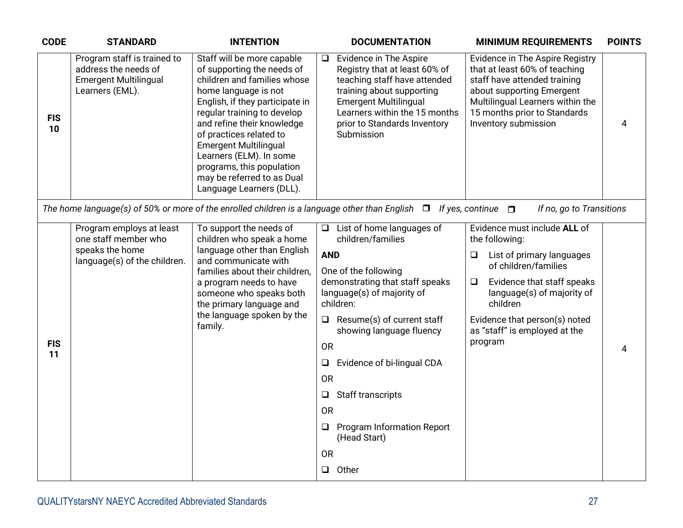| <b>CODE</b>      | <b>STANDARD</b>                                                                                        | <b>INTENTION</b>                                                                                                                                                                                                                                                                                                                                                                             | <b>DOCUMENTATION</b><br><b>MINIMUM REQUIREMENTS</b>                                                                                                                                                                                                                                                                                                                                                                                                                                                                                                                                                                                                                                                                       | <b>POINTS</b>  |
|------------------|--------------------------------------------------------------------------------------------------------|----------------------------------------------------------------------------------------------------------------------------------------------------------------------------------------------------------------------------------------------------------------------------------------------------------------------------------------------------------------------------------------------|---------------------------------------------------------------------------------------------------------------------------------------------------------------------------------------------------------------------------------------------------------------------------------------------------------------------------------------------------------------------------------------------------------------------------------------------------------------------------------------------------------------------------------------------------------------------------------------------------------------------------------------------------------------------------------------------------------------------------|----------------|
| <b>FIS</b><br>10 | Program staff is trained to<br>address the needs of<br><b>Emergent Multilingual</b><br>Learners (EML). | Staff will be more capable<br>of supporting the needs of<br>children and families whose<br>home language is not<br>English, if they participate in<br>regular training to develop<br>and refine their knowledge<br>of practices related to<br><b>Emergent Multilingual</b><br>Learners (ELM). In some<br>programs, this population<br>may be referred to as Dual<br>Language Learners (DLL). | Evidence in The Aspire<br>Evidence in The Aspire Registry<br>❏<br>that at least 60% of teaching<br>Registry that at least 60% of<br>teaching staff have attended<br>staff have attended training<br>training about supporting<br>about supporting Emergent<br><b>Emergent Multilingual</b><br>Multilingual Learners within the<br>Learners within the 15 months<br>15 months prior to Standards<br>prior to Standards Inventory<br>Inventory submission<br>Submission                                                                                                                                                                                                                                                     | $\overline{4}$ |
|                  |                                                                                                        |                                                                                                                                                                                                                                                                                                                                                                                              | The home language(s) of 50% or more of the enrolled children is a language other than English $\Box$ If yes, continue $\Box$<br>If no, go to Transitions                                                                                                                                                                                                                                                                                                                                                                                                                                                                                                                                                                  |                |
| <b>FIS</b><br>11 | Program employs at least<br>one staff member who<br>speaks the home<br>language(s) of the children.    | To support the needs of<br>children who speak a home<br>language other than English<br>and communicate with<br>families about their children,<br>a program needs to have<br>someone who speaks both<br>the primary language and<br>the language spoken by the<br>family.                                                                                                                     | Evidence must include ALL of<br>$\Box$ List of home languages of<br>children/families<br>the following:<br><b>AND</b><br>List of primary languages<br>❏<br>of children/families<br>One of the following<br>demonstrating that staff speaks<br>Evidence that staff speaks<br>$\Box$<br>language(s) of majority of<br>language(s) of majority of<br>children:<br>children<br>$\Box$<br>Resume(s) of current staff<br>Evidence that person(s) noted<br>showing language fluency<br>as "staff" is employed at the<br>program<br><b>OR</b><br>Evidence of bi-lingual CDA<br>$\Box$<br><b>OR</b><br>Staff transcripts<br>$\Box$<br><b>OR</b><br>Program Information Report<br>❏<br>(Head Start)<br><b>OR</b><br>Other<br>$\Box$ | 4              |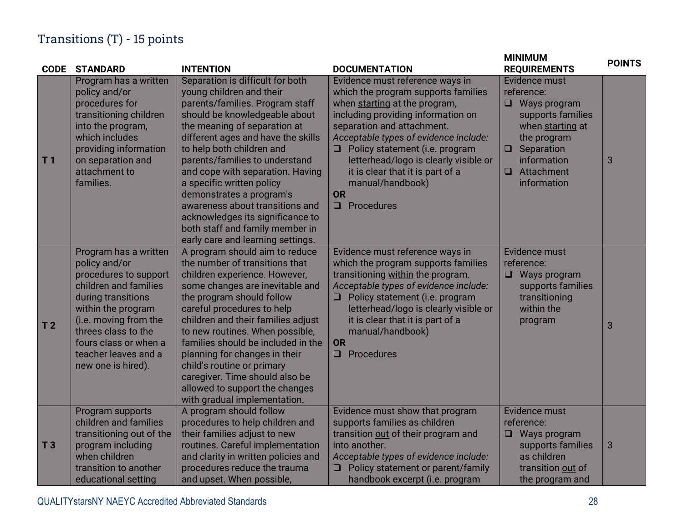### Transitions (T) - 15 points

| <b>CODE</b>    | <b>STANDARD</b>                                                                                                                                                                                                                                             | <b>INTENTION</b>                                                                                                                                                                                                                                                                                                                                                                                                                                                                                                  | <b>DOCUMENTATION</b>                                                                                                                                                                                                                                                                                                                                                                             | <b>MINIMUM</b><br><b>REQUIREMENTS</b>                                                                                                                                              | <b>POINTS</b> |
|----------------|-------------------------------------------------------------------------------------------------------------------------------------------------------------------------------------------------------------------------------------------------------------|-------------------------------------------------------------------------------------------------------------------------------------------------------------------------------------------------------------------------------------------------------------------------------------------------------------------------------------------------------------------------------------------------------------------------------------------------------------------------------------------------------------------|--------------------------------------------------------------------------------------------------------------------------------------------------------------------------------------------------------------------------------------------------------------------------------------------------------------------------------------------------------------------------------------------------|------------------------------------------------------------------------------------------------------------------------------------------------------------------------------------|---------------|
| T <sub>1</sub> | Program has a written<br>policy and/or<br>procedures for<br>transitioning children<br>into the program,<br>which includes<br>providing information<br>on separation and<br>attachment to<br>families.                                                       | Separation is difficult for both<br>young children and their<br>parents/families. Program staff<br>should be knowledgeable about<br>the meaning of separation at<br>different ages and have the skills<br>to help both children and<br>parents/families to understand<br>and cope with separation. Having<br>a specific written policy<br>demonstrates a program's<br>awareness about transitions and<br>acknowledges its significance to<br>both staff and family member in<br>early care and learning settings. | Evidence must reference ways in<br>which the program supports families<br>when starting at the program,<br>including providing information on<br>separation and attachment.<br>Acceptable types of evidence include:<br>$\Box$ Policy statement (i.e. program<br>letterhead/logo is clearly visible or<br>it is clear that it is part of a<br>manual/handbook)<br><b>OR</b><br>$\Box$ Procedures | Evidence must<br>reference:<br>$\Box$ Ways program<br>supports families<br>when starting at<br>the program<br>$\Box$ Separation<br>information<br>$\Box$ Attachment<br>information | $\sqrt{3}$    |
| T <sub>2</sub> | Program has a written<br>policy and/or<br>procedures to support<br>children and families<br>during transitions<br>within the program<br>(i.e. moving from the<br>threes class to the<br>fours class or when a<br>teacher leaves and a<br>new one is hired). | A program should aim to reduce<br>the number of transitions that<br>children experience. However,<br>some changes are inevitable and<br>the program should follow<br>careful procedures to help<br>children and their families adjust<br>to new routines. When possible,<br>families should be included in the<br>planning for changes in their<br>child's routine or primary<br>caregiver. Time should also be<br>allowed to support the changes<br>with gradual implementation.                                 | Evidence must reference ways in<br>which the program supports families<br>transitioning within the program.<br>Acceptable types of evidence include:<br>Policy statement (i.e. program<br>letterhead/logo is clearly visible or<br>it is clear that it is part of a<br>manual/handbook)<br><b>OR</b><br>Procedures                                                                               | Evidence must<br>reference:<br>Ways program<br>$\Box$<br>supports families<br>transitioning<br>within the<br>program                                                               | 3             |
| T <sub>3</sub> | Program supports<br>children and families<br>transitioning out of the<br>program including<br>when children<br>transition to another<br>educational setting                                                                                                 | A program should follow<br>procedures to help children and<br>their families adjust to new<br>routines. Careful implementation<br>and clarity in written policies and<br>procedures reduce the trauma<br>and upset. When possible,                                                                                                                                                                                                                                                                                | Evidence must show that program<br>supports families as children<br>transition out of their program and<br>into another.<br>Acceptable types of evidence include:<br>$\Box$ Policy statement or parent/family<br>handbook excerpt (i.e. program                                                                                                                                                  | Evidence must<br>reference:<br>Ways program<br>$\Box$<br>supports families<br>as children<br>transition out of<br>the program and                                                  | $\mathbf{3}$  |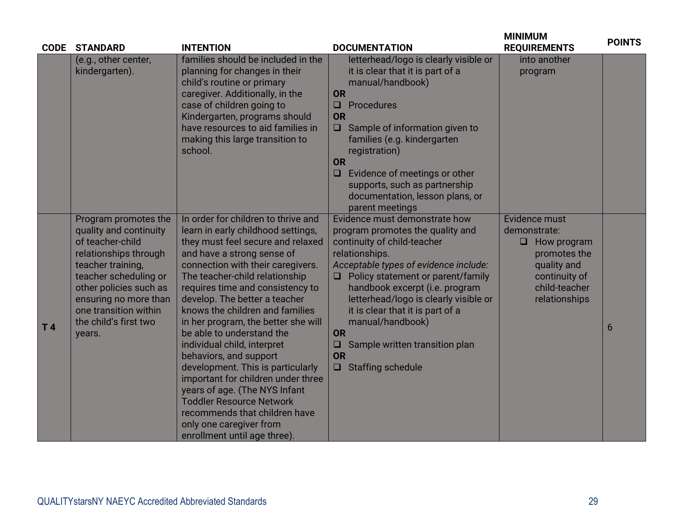| <b>CODE</b>    | <b>STANDARD</b>                                                                                                                                                                                                                                          | <b>INTENTION</b>                                                                                                                                                                                                                                                                                                                                                                                                                                                                                                                                                                                                                                                                                    | <b>DOCUMENTATION</b>                                                                                                                                                                                                                                                                                                                                                                                                                            | <b>MINIMUM</b><br><b>REQUIREMENTS</b>                                                                                                 | <b>POINTS</b> |
|----------------|----------------------------------------------------------------------------------------------------------------------------------------------------------------------------------------------------------------------------------------------------------|-----------------------------------------------------------------------------------------------------------------------------------------------------------------------------------------------------------------------------------------------------------------------------------------------------------------------------------------------------------------------------------------------------------------------------------------------------------------------------------------------------------------------------------------------------------------------------------------------------------------------------------------------------------------------------------------------------|-------------------------------------------------------------------------------------------------------------------------------------------------------------------------------------------------------------------------------------------------------------------------------------------------------------------------------------------------------------------------------------------------------------------------------------------------|---------------------------------------------------------------------------------------------------------------------------------------|---------------|
|                | (e.g., other center,<br>kindergarten).                                                                                                                                                                                                                   | families should be included in the<br>planning for changes in their<br>child's routine or primary<br>caregiver. Additionally, in the<br>case of children going to<br>Kindergarten, programs should<br>have resources to aid families in<br>making this large transition to<br>school.                                                                                                                                                                                                                                                                                                                                                                                                               | letterhead/logo is clearly visible or<br>it is clear that it is part of a<br>manual/handbook)<br><b>OR</b><br>$\Box$<br>Procedures<br><b>OR</b><br>Sample of information given to<br>$\Box$<br>families (e.g. kindergarten<br>registration)<br>OR<br>Evidence of meetings or other<br>$\Box$<br>supports, such as partnership<br>documentation, lesson plans, or<br>parent meetings                                                             | into another<br>program                                                                                                               |               |
| T <sub>4</sub> | Program promotes the<br>quality and continuity<br>of teacher-child<br>relationships through<br>teacher training,<br>teacher scheduling or<br>other policies such as<br>ensuring no more than<br>one transition within<br>the child's first two<br>years. | In order for children to thrive and<br>learn in early childhood settings,<br>they must feel secure and relaxed<br>and have a strong sense of<br>connection with their caregivers.<br>The teacher-child relationship<br>requires time and consistency to<br>develop. The better a teacher<br>knows the children and families<br>in her program, the better she will<br>be able to understand the<br>individual child, interpret<br>behaviors, and support<br>development. This is particularly<br>important for children under three<br>years of age. (The NYS Infant<br><b>Toddler Resource Network</b><br>recommends that children have<br>only one caregiver from<br>enrollment until age three). | Evidence must demonstrate how<br>program promotes the quality and<br>continuity of child-teacher<br>relationships.<br>Acceptable types of evidence include:<br>$\Box$ Policy statement or parent/family<br>handbook excerpt (i.e. program<br>letterhead/logo is clearly visible or<br>it is clear that it is part of a<br>manual/handbook)<br>OR<br>Sample written transition plan<br>$\Box$<br><b>OR</b><br><b>Staffing schedule</b><br>$\Box$ | Evidence must<br>demonstrate:<br>$\Box$ How program<br>promotes the<br>quality and<br>continuity of<br>child-teacher<br>relationships | 6             |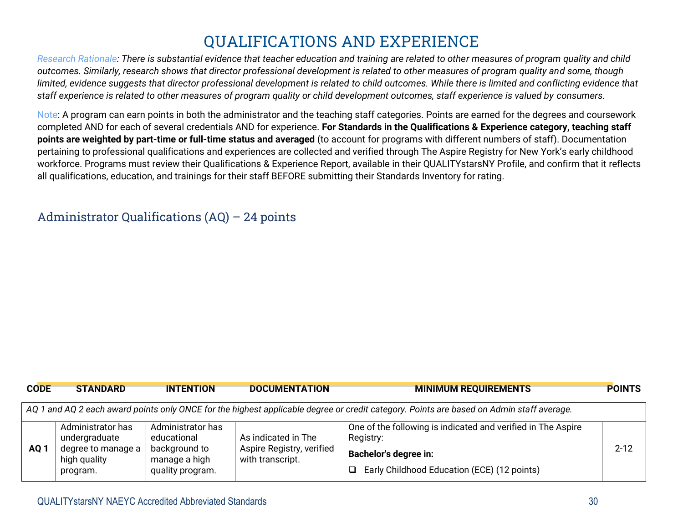# **QUALIFICATIONS AND EXPERIENCE**

*Research Rationale: There is substantial evidence that teacher education and training are related to other measures of program quality and child outcomes. Similarly, research shows that director professional development is related to other measures of program quality and some, though limited, evidence suggests that director professional development is related to child outcomes. While there is limited and conflicting evidence that staff experience is related to other measures of program quality or child development outcomes, staff experience is valued by consumers.*

Note: A program can earn points in both the administrator and the teaching staff categories. Points are earned for the degrees and coursework completed AND for each of several credentials AND for experience. **For Standards in the Qualifications & Experience category, teaching staff points are weighted by part-time or full-time status and averaged** (to account for programs with different numbers of staff). Documentation pertaining to professional qualifications and experiences are collected and verified through The Aspire Registry for New York's early childhood workforce. Programs must review their Qualifications & Experience Report, available in their QUALITYstarsNY Profile, and confirm that it reflects all qualifications, education, and trainings for their staff BEFORE submitting their Standards Inventory for rating.

#### Administrator Qualifications (AQ) – 24 points

| <b>CODE</b>                                                                                                                              | <b>STANDARD</b>                                                      | <b>INTENTION</b>                              | <b>DOCUMENTATION</b>         | <b>MINIMUM REQUIREMENTS</b>                                               | <b>POINTS</b> |  |
|------------------------------------------------------------------------------------------------------------------------------------------|----------------------------------------------------------------------|-----------------------------------------------|------------------------------|---------------------------------------------------------------------------|---------------|--|
| AQ 1 and AQ 2 each award points only ONCE for the highest applicable degree or credit category. Points are based on Admin staff average. |                                                                      |                                               |                              |                                                                           |               |  |
|                                                                                                                                          | Administrator has<br>undergraduate                                   | Administrator has<br>educational              | As indicated in The          | One of the following is indicated and verified in The Aspire<br>Registry: |               |  |
| AQ <sub>1</sub>                                                                                                                          | degree to manage a<br>background to<br>high quality<br>manage a high | Aspire Registry, verified<br>with transcript. | <b>Bachelor's degree in:</b> | $2 - 12$                                                                  |               |  |
|                                                                                                                                          | program.                                                             | quality program.                              |                              | Early Childhood Education (ECE) (12 points)<br>$\Box$                     |               |  |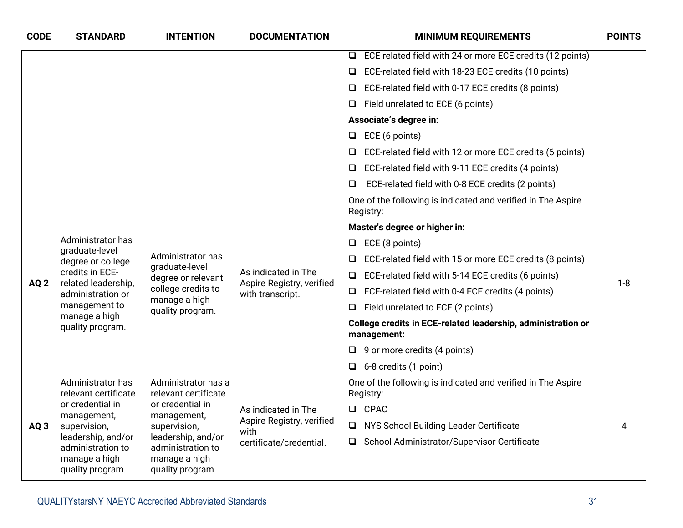| <b>CODE</b>     | <b>STANDARD</b>                                                                                    | <b>INTENTION</b>                                                             | <b>DOCUMENTATION</b>                                                 | <b>MINIMUM REQUIREMENTS</b>                                                 | <b>POINTS</b> |
|-----------------|----------------------------------------------------------------------------------------------------|------------------------------------------------------------------------------|----------------------------------------------------------------------|-----------------------------------------------------------------------------|---------------|
|                 |                                                                                                    |                                                                              |                                                                      | ECE-related field with 24 or more ECE credits (12 points)<br>Q              |               |
|                 |                                                                                                    |                                                                              |                                                                      | ECE-related field with 18-23 ECE credits (10 points)<br>⊔                   |               |
|                 |                                                                                                    |                                                                              |                                                                      | ECE-related field with 0-17 ECE credits (8 points)<br>⊔                     |               |
|                 |                                                                                                    |                                                                              |                                                                      | Field unrelated to ECE (6 points)<br>❏                                      |               |
|                 |                                                                                                    |                                                                              |                                                                      | Associate's degree in:                                                      |               |
|                 |                                                                                                    |                                                                              |                                                                      | ECE (6 points)<br>⊔                                                         |               |
|                 |                                                                                                    |                                                                              |                                                                      | ECE-related field with 12 or more ECE credits (6 points)<br>o               |               |
|                 |                                                                                                    |                                                                              |                                                                      | ECE-related field with 9-11 ECE credits (4 points)<br>u                     |               |
|                 |                                                                                                    |                                                                              |                                                                      | ECE-related field with 0-8 ECE credits (2 points)<br>u                      |               |
|                 |                                                                                                    |                                                                              |                                                                      | One of the following is indicated and verified in The Aspire<br>Registry:   |               |
|                 | Administrator has<br>graduate-level<br>degree or college<br>credits in ECE-<br>related leadership, | Administrator has<br>graduate-level<br>degree or relevant                    |                                                                      | Master's degree or higher in:                                               |               |
|                 |                                                                                                    |                                                                              |                                                                      | ECE (8 points)<br>□                                                         |               |
|                 |                                                                                                    |                                                                              | As indicated in The<br>Aspire Registry, verified<br>with transcript. | ECE-related field with 15 or more ECE credits (8 points)                    |               |
| AQ <sub>2</sub> |                                                                                                    |                                                                              |                                                                      | ECE-related field with 5-14 ECE credits (6 points)<br>❏                     | $1 - 8$       |
|                 | administration or                                                                                  | college credits to<br>manage a high                                          |                                                                      | ECE-related field with 0-4 ECE credits (4 points)                           |               |
|                 | management to<br>manage a high                                                                     | quality program.                                                             |                                                                      | Field unrelated to ECE (2 points)<br>Q                                      |               |
|                 | quality program.                                                                                   |                                                                              |                                                                      | College credits in ECE-related leadership, administration or<br>management: |               |
|                 |                                                                                                    |                                                                              |                                                                      | $\Box$ 9 or more credits (4 points)                                         |               |
|                 |                                                                                                    |                                                                              |                                                                      | $\Box$ 6-8 credits (1 point)                                                |               |
|                 | Administrator has<br>relevant certificate                                                          | Administrator has a<br>relevant certificate                                  |                                                                      | One of the following is indicated and verified in The Aspire<br>Registry:   |               |
|                 | or credential in<br>management,                                                                    | or credential in<br>management,                                              | As indicated in The                                                  | <b>Q</b> CPAC                                                               |               |
| AQ <sub>3</sub> | supervision,                                                                                       | supervision,                                                                 | Aspire Registry, verified<br>with                                    | NYS School Building Leader Certificate<br>Q                                 | 4             |
|                 | leadership, and/or<br>administration to<br>manage a high<br>quality program.                       | leadership, and/or<br>administration to<br>manage a high<br>quality program. | certificate/credential.                                              | School Administrator/Supervisor Certificate<br>u.                           |               |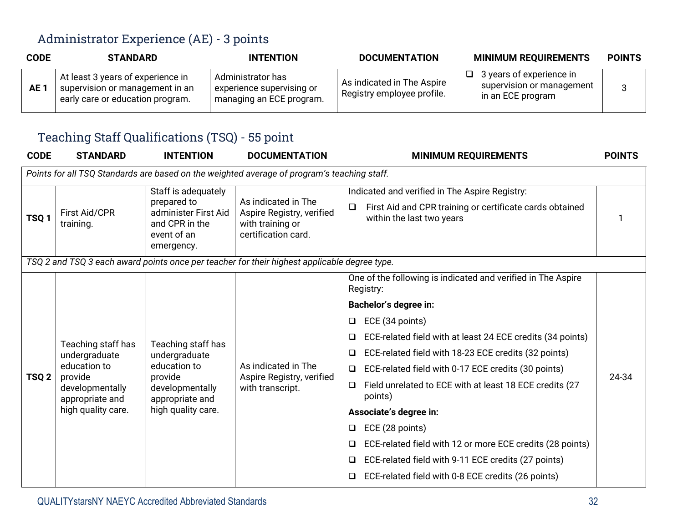#### Administrator Experience (AE) - 3 points

| <b>CODE</b>     | <b>STANDARD</b>                                                                                          | <b>INTENTION</b>                                                           | <b>DOCUMENTATION</b>                                     | <b>MINIMUM REQUIREMENTS</b>                                                     | <b>POINTS</b> |
|-----------------|----------------------------------------------------------------------------------------------------------|----------------------------------------------------------------------------|----------------------------------------------------------|---------------------------------------------------------------------------------|---------------|
| AE <sup>-</sup> | At least 3 years of experience in<br>supervision or management in an<br>early care or education program. | Administrator has<br>experience supervising or<br>managing an ECE program. | As indicated in The Aspire<br>Registry employee profile. | 3 years of experience in<br>□<br>supervision or management<br>in an ECE program |               |

#### Teaching Staff Qualifications (TSQ) - 55 point

| <b>CODE</b>      | <b>STANDARD</b>                    | <b>INTENTION</b>                                                                                          | <b>DOCUMENTATION</b>                                                                         | <b>MINIMUM REQUIREMENTS</b>                                                                                                                  | <b>POINTS</b> |
|------------------|------------------------------------|-----------------------------------------------------------------------------------------------------------|----------------------------------------------------------------------------------------------|----------------------------------------------------------------------------------------------------------------------------------------------|---------------|
|                  |                                    |                                                                                                           | Points for all TSQ Standards are based on the weighted average of program's teaching staff.  |                                                                                                                                              |               |
| TSQ <sub>1</sub> | <b>First Aid/CPR</b><br>training.  | Staff is adequately<br>prepared to<br>administer First Aid<br>and CPR in the<br>event of an<br>emergency. | As indicated in The<br>Aspire Registry, verified<br>with training or<br>certification card.  | Indicated and verified in The Aspire Registry:<br>First Aid and CPR training or certificate cards obtained<br>❏<br>within the last two years |               |
|                  |                                    |                                                                                                           | TSQ 2 and TSQ 3 each award points once per teacher for their highest applicable degree type. |                                                                                                                                              |               |
|                  |                                    |                                                                                                           |                                                                                              | One of the following is indicated and verified in The Aspire<br>Registry:                                                                    |               |
|                  |                                    | Teaching staff has                                                                                        |                                                                                              | <b>Bachelor's degree in:</b>                                                                                                                 |               |
|                  |                                    |                                                                                                           |                                                                                              | ECE (34 points)                                                                                                                              |               |
|                  | Teaching staff has                 |                                                                                                           |                                                                                              | ECE-related field with at least 24 ECE credits (34 points)                                                                                   |               |
|                  | undergraduate                      | undergraduate                                                                                             |                                                                                              | ECE-related field with 18-23 ECE credits (32 points)                                                                                         |               |
| TSQ <sub>2</sub> | education to<br>provide            | education to                                                                                              | As indicated in The<br>Aspire Registry, verified                                             | ECE-related field with 0-17 ECE credits (30 points)<br>$\Box$                                                                                | 24-34         |
|                  | developmentally<br>appropriate and | provide<br>developmentally<br>appropriate and                                                             | with transcript.                                                                             | Field unrelated to ECE with at least 18 ECE credits (27<br>points)                                                                           |               |
|                  | high quality care.                 | high quality care.                                                                                        |                                                                                              | Associate's degree in:                                                                                                                       |               |
|                  |                                    |                                                                                                           |                                                                                              | ECE (28 points)<br>$\Box$                                                                                                                    |               |
|                  |                                    |                                                                                                           |                                                                                              | ECE-related field with 12 or more ECE credits (28 points)<br>⊔                                                                               |               |
|                  |                                    |                                                                                                           |                                                                                              | ECE-related field with 9-11 ECE credits (27 points)                                                                                          |               |
|                  |                                    |                                                                                                           |                                                                                              | ECE-related field with 0-8 ECE credits (26 points)                                                                                           |               |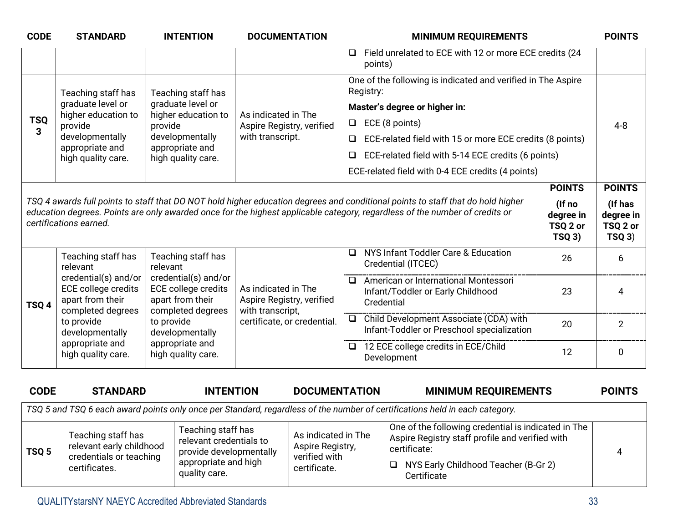| <b>CODE</b>      | <b>STANDARD</b>                                                        | <b>INTENTION</b>                                                | <b>DOCUMENTATION</b>                             | <b>MINIMUM REQUIREMENTS</b>                                                                                                                                                                                                                                    |                                         | <b>POINTS</b>                                |
|------------------|------------------------------------------------------------------------|-----------------------------------------------------------------|--------------------------------------------------|----------------------------------------------------------------------------------------------------------------------------------------------------------------------------------------------------------------------------------------------------------------|-----------------------------------------|----------------------------------------------|
|                  |                                                                        |                                                                 |                                                  | Field unrelated to ECE with 12 or more ECE credits (24<br>$\Box$<br>points)                                                                                                                                                                                    |                                         |                                              |
|                  | Teaching staff has                                                     | Teaching staff has                                              |                                                  | One of the following is indicated and verified in The Aspire<br>Registry:                                                                                                                                                                                      |                                         |                                              |
|                  | graduate level or<br>higher education to                               | graduate level or<br>higher education to                        | As indicated in The                              | Master's degree or higher in:                                                                                                                                                                                                                                  |                                         |                                              |
| <b>TSQ</b><br>3  | provide                                                                | provide                                                         | Aspire Registry, verified                        | ECE (8 points)<br>$\Box$                                                                                                                                                                                                                                       |                                         | $4 - 8$                                      |
|                  | developmentally                                                        | developmentally                                                 | with transcript.                                 | ECE-related field with 15 or more ECE credits (8 points)                                                                                                                                                                                                       |                                         |                                              |
|                  | appropriate and<br>high quality care.                                  | appropriate and<br>high quality care.                           |                                                  | ECE-related field with 5-14 ECE credits (6 points)<br>❏                                                                                                                                                                                                        |                                         |                                              |
|                  |                                                                        |                                                                 |                                                  | ECE-related field with 0-4 ECE credits (4 points)                                                                                                                                                                                                              |                                         |                                              |
|                  |                                                                        |                                                                 |                                                  |                                                                                                                                                                                                                                                                | <b>POINTS</b>                           | <b>POINTS</b>                                |
|                  | certifications earned.                                                 |                                                                 |                                                  | TSQ 4 awards full points to staff that DO NOT hold higher education degrees and conditional points to staff that do hold higher<br>education degrees. Points are only awarded once for the highest applicable category, regardless of the number of credits or | (If no<br>degree in<br>TSQ 2 or<br>TSQ3 | (If has<br>degree in<br>TSQ 2 or<br>$TSQ$ 3) |
|                  | Teaching staff has<br>relevant                                         | Teaching staff has<br>relevant                                  |                                                  | NYS Infant Toddler Care & Education<br>❏<br>Credential (ITCEC)                                                                                                                                                                                                 | 26                                      | 6                                            |
| TSQ <sub>4</sub> | credential(s) and/or<br><b>ECE college credits</b><br>apart from their | credential(s) and/or<br>ECE college credits<br>apart from their | As indicated in The<br>Aspire Registry, verified | American or International Montessori<br>$\Box$<br>Infant/Toddler or Early Childhood<br>Credential                                                                                                                                                              | 23                                      | 4                                            |
|                  | completed degrees<br>to provide<br>developmentally                     | completed degrees<br>to provide<br>developmentally              | with transcript,<br>certificate, or credential.  | □ Child Development Associate (CDA) with<br>Infant-Toddler or Preschool specialization                                                                                                                                                                         | 20                                      | $\overline{2}$                               |
|                  | appropriate and<br>high quality care.                                  | appropriate and<br>high quality care.                           |                                                  | 12 ECE college credits in ECE/Child<br>Development                                                                                                                                                                                                             | 12                                      | 0                                            |
| <b>CODE</b>      | <b>STANDARD</b>                                                        | <b>INTENTION</b>                                                | <b>DOCUMENTATION</b>                             | <b>MINIMUM REQUIREMENTS</b>                                                                                                                                                                                                                                    |                                         | <b>POINTS</b>                                |
|                  |                                                                        |                                                                 |                                                  | TSQ 5 and TSQ 6 each award points only once per Standard, regardless of the number of certifications held in each category.                                                                                                                                    |                                         |                                              |
|                  |                                                                        | $\sim$<br>$\mathbf{r}$ , $\mathbf{r}$ , $\mathbf{r}$            |                                                  | One of the following eredential is indicated in The                                                                                                                                                                                                            |                                         |                                              |

| TSQ <sub>5</sub> | Teaching staff has<br>relevant early childhood<br>credentials or teaching<br>certificates. | Teaching staff has<br>relevant credentials to<br>provide developmentally<br>appropriate and high<br>quality care. | As indicated in The<br>Aspire Registry,<br>verified with<br>certificate. | One of the following credential is indicated in The<br>Aspire Registry staff profile and verified with<br>certificate:<br>NYS Early Childhood Teacher (B-Gr 2)<br>$\Box$<br>Certificate |  |
|------------------|--------------------------------------------------------------------------------------------|-------------------------------------------------------------------------------------------------------------------|--------------------------------------------------------------------------|-----------------------------------------------------------------------------------------------------------------------------------------------------------------------------------------|--|
|------------------|--------------------------------------------------------------------------------------------|-------------------------------------------------------------------------------------------------------------------|--------------------------------------------------------------------------|-----------------------------------------------------------------------------------------------------------------------------------------------------------------------------------------|--|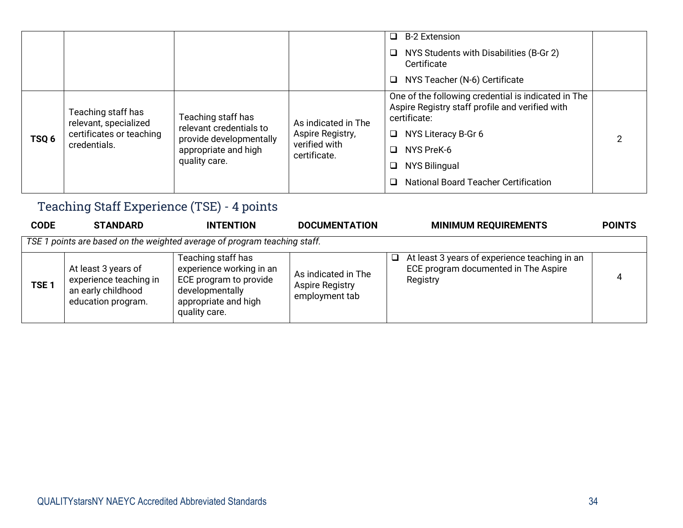|                  |                                                                                         |                                                                                                                   |                                                                          | <b>B-2 Extension</b><br>□<br>NYS Students with Disabilities (B-Gr 2)<br>$\Box$<br>Certificate<br>NYS Teacher (N-6) Certificate<br>□                                                                                                               |  |
|------------------|-----------------------------------------------------------------------------------------|-------------------------------------------------------------------------------------------------------------------|--------------------------------------------------------------------------|---------------------------------------------------------------------------------------------------------------------------------------------------------------------------------------------------------------------------------------------------|--|
| TSQ <sub>6</sub> | Teaching staff has<br>relevant, specialized<br>certificates or teaching<br>credentials. | Teaching staff has<br>relevant credentials to<br>provide developmentally<br>appropriate and high<br>quality care. | As indicated in The<br>Aspire Registry,<br>verified with<br>certificate. | One of the following credential is indicated in The<br>Aspire Registry staff profile and verified with<br>certificate:<br>NYS Literacy B-Gr 6<br>□<br>NYS PreK-6<br>ப<br><b>NYS Bilingual</b><br>□<br><b>National Board Teacher Certification</b> |  |

### Teaching Staff Experience (TSE) - 4 points

| <b>CODE</b>                                                               | <b>STANDARD</b>                                                                           | <b>INTENTION</b>                                                                                                                     | <b>DOCUMENTATION</b>                                            | <b>MINIMUM REQUIREMENTS</b>                                                                                 | <b>POINTS</b> |  |  |  |
|---------------------------------------------------------------------------|-------------------------------------------------------------------------------------------|--------------------------------------------------------------------------------------------------------------------------------------|-----------------------------------------------------------------|-------------------------------------------------------------------------------------------------------------|---------------|--|--|--|
| TSE 1 points are based on the weighted average of program teaching staff. |                                                                                           |                                                                                                                                      |                                                                 |                                                                                                             |               |  |  |  |
| TSE <sub>1</sub>                                                          | At least 3 years of<br>experience teaching in<br>an early childhood<br>education program. | Teaching staff has<br>experience working in an<br>ECE program to provide<br>developmentally<br>appropriate and high<br>quality care. | As indicated in The<br><b>Aspire Registry</b><br>employment tab | At least 3 years of experience teaching in an<br>$\Box$<br>ECE program documented in The Aspire<br>Registry | 4             |  |  |  |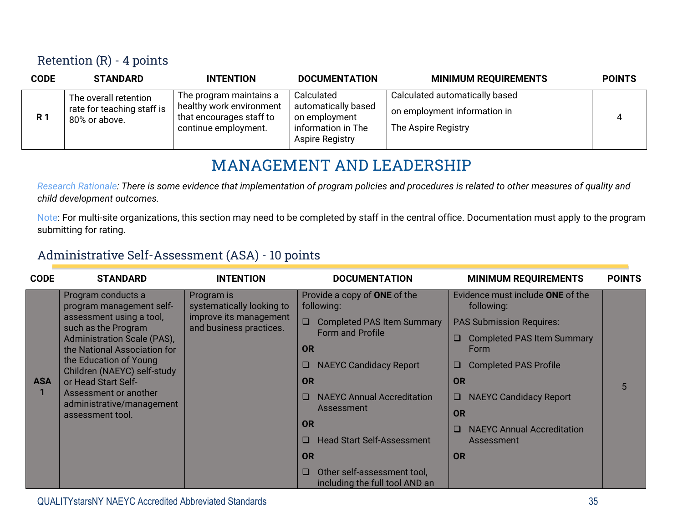#### Retention (R) - 4 points

| <b>CODE</b> | <b>STANDARD</b>                                                      | <b>INTENTION</b>                                                                                        | <b>DOCUMENTATION</b>                                                                               | <b>MINIMUM REQUIREMENTS</b>                                                           | <b>POINTS</b> |
|-------------|----------------------------------------------------------------------|---------------------------------------------------------------------------------------------------------|----------------------------------------------------------------------------------------------------|---------------------------------------------------------------------------------------|---------------|
| <b>R</b> 1  | The overall retention<br>rate for teaching staff is<br>80% or above. | The program maintains a<br>healthy work environment<br>that encourages staff to<br>continue employment. | Calculated<br>automatically based<br>on employment<br>information in The<br><b>Aspire Registry</b> | Calculated automatically based<br>on employment information in<br>The Aspire Registry |               |

#### **MANAGEMENT AND LEADERSHIP**

*Research Rationale: There is some evidence that implementation of program policies and procedures is related to other measures of quality and child development outcomes.*

Note: For multi-site organizations, this section may need to be completed by staff in the central office. Documentation must apply to the program submitting for rating.

#### Administrative Self-Assessment (ASA) - 10 points

| <b>CODE</b> | <b>STANDARD</b>                                                                                                                                                                                                       | <b>INTENTION</b>                                  | <b>DOCUMENTATION</b>                                               | <b>MINIMUM REQUIREMENTS</b>                    | <b>POINTS</b> |
|-------------|-----------------------------------------------------------------------------------------------------------------------------------------------------------------------------------------------------------------------|---------------------------------------------------|--------------------------------------------------------------------|------------------------------------------------|---------------|
|             | Program conducts a<br>program management self-                                                                                                                                                                        | Program is<br>systematically looking to           | Provide a copy of ONE of the<br>following:                         | Evidence must include ONE of the<br>following: |               |
|             | assessment using a tool,<br>such as the Program                                                                                                                                                                       | improve its management<br>and business practices. | <b>Completed PAS Item Summary</b>                                  | <b>PAS Submission Requires:</b>                |               |
|             | Administration Scale (PAS),<br>the National Association for<br>the Education of Young<br>Children (NAEYC) self-study<br>or Head Start Self-<br>Assessment or another<br>administrative/management<br>assessment tool. |                                                   | <b>Form and Profile</b><br><b>OR</b>                               | <b>Completed PAS Item Summary</b><br>Form      |               |
|             |                                                                                                                                                                                                                       |                                                   | <b>NAEYC Candidacy Report</b><br>ш                                 | <b>Completed PAS Profile</b><br>u              |               |
| <b>ASA</b>  |                                                                                                                                                                                                                       |                                                   | <b>OR</b>                                                          | OR                                             | 5             |
|             |                                                                                                                                                                                                                       |                                                   | <b>NAEYC Annual Accreditation</b><br>ш                             | <b>NAEYC Candidacy Report</b>                  |               |
|             |                                                                                                                                                                                                                       |                                                   | Assessment                                                         | <b>OR</b>                                      |               |
|             |                                                                                                                                                                                                                       |                                                   | <b>OR</b>                                                          | <b>NAEYC Annual Accreditation</b><br>□         |               |
|             |                                                                                                                                                                                                                       |                                                   | <b>Head Start Self-Assessment</b><br><b>CONTRACT</b>               | Assessment                                     |               |
|             |                                                                                                                                                                                                                       |                                                   | <b>OR</b>                                                          | <b>OR</b>                                      |               |
|             |                                                                                                                                                                                                                       |                                                   | Other self-assessment tool,<br>O<br>including the full tool AND an |                                                |               |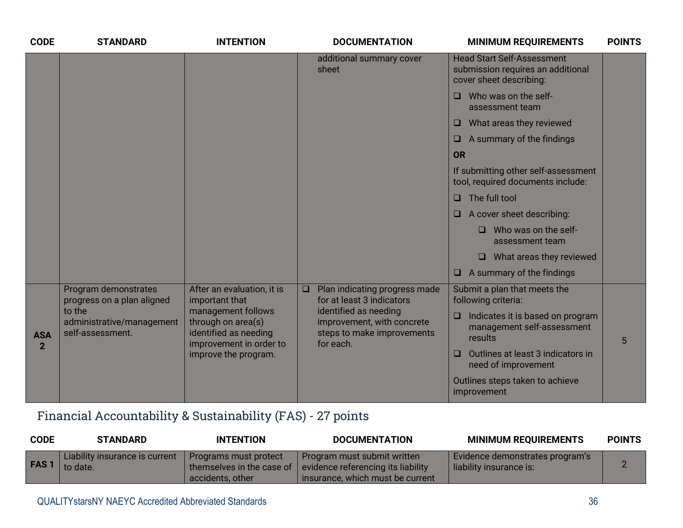| <b>CODE</b>    | <b>STANDARD</b>                                         | <b>INTENTION</b>                                                                             | <b>DOCUMENTATION</b>                                                                           | <b>MINIMUM REQUIREMENTS</b>                                                                       | <b>POINTS</b> |
|----------------|---------------------------------------------------------|----------------------------------------------------------------------------------------------|------------------------------------------------------------------------------------------------|---------------------------------------------------------------------------------------------------|---------------|
|                |                                                         |                                                                                              | additional summary cover<br>sheet                                                              | <b>Head Start Self-Assessment</b><br>submission requires an additional<br>cover sheet describing: |               |
|                |                                                         |                                                                                              |                                                                                                | $\Box$ Who was on the self-<br>assessment team                                                    |               |
|                |                                                         |                                                                                              |                                                                                                | What areas they reviewed<br>$\Box$                                                                |               |
|                |                                                         |                                                                                              |                                                                                                | $\Box$ A summary of the findings                                                                  |               |
|                |                                                         |                                                                                              |                                                                                                | <b>OR</b>                                                                                         |               |
|                |                                                         |                                                                                              |                                                                                                | If submitting other self-assessment<br>tool, required documents include:                          |               |
|                |                                                         |                                                                                              |                                                                                                | The full tool<br>$\Box$                                                                           |               |
|                |                                                         |                                                                                              |                                                                                                | $\Box$ A cover sheet describing:                                                                  |               |
|                |                                                         |                                                                                              |                                                                                                | Who was on the self-<br>O.<br>assessment team                                                     |               |
|                |                                                         |                                                                                              |                                                                                                | What areas they reviewed<br>$\Box$                                                                |               |
|                |                                                         |                                                                                              |                                                                                                | $\Box$ A summary of the findings                                                                  |               |
|                | Program demonstrates<br>progress on a plan aligned      | After an evaluation, it is<br>important that                                                 | $\Box$<br>Plan indicating progress made<br>for at least 3 indicators                           | Submit a plan that meets the<br>following criteria:                                               |               |
| <b>ASA</b>     | to the<br>administrative/management<br>self-assessment. | management follows<br>through on area(s)<br>identified as needing<br>improvement in order to | identified as needing<br>improvement, with concrete<br>steps to make improvements<br>for each. | Indicates it is based on program<br>$\Box$<br>management self-assessment<br>results               | 5             |
| $\overline{2}$ |                                                         | improve the program.                                                                         |                                                                                                | Outlines at least 3 indicators in<br>$\Box$<br>need of improvement                                |               |
|                |                                                         |                                                                                              |                                                                                                | Outlines steps taken to achieve<br>improvement                                                    |               |

# Financial Accountability & Sustainability (FAS) - 27 points

| <b>CODE</b> | <b>STANDARD</b>                            | <b>INTENTION</b>                                                       | <b>DOCUMENTATION</b>                                                                                  | <b>MINIMUM REQUIREMENTS</b>                                | <b>POINTS</b> |
|-------------|--------------------------------------------|------------------------------------------------------------------------|-------------------------------------------------------------------------------------------------------|------------------------------------------------------------|---------------|
| <b>FAS1</b> | Liability insurance is current<br>to date. | Programs must protect<br>themselves in the case of<br>accidents, other | Program must submit written<br>evidence referencing its liability<br>insurance, which must be current | Evidence demonstrates program's<br>liability insurance is: |               |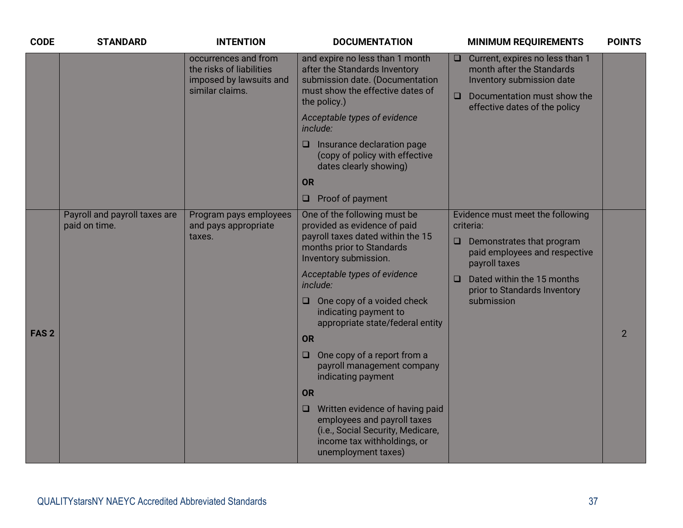| <b>CODE</b>      | <b>STANDARD</b>                                | <b>INTENTION</b>                                                                               | <b>DOCUMENTATION</b>                                                                                                                                           | <b>MINIMUM REQUIREMENTS</b>                                                                                                                                                | <b>POINTS</b>  |
|------------------|------------------------------------------------|------------------------------------------------------------------------------------------------|----------------------------------------------------------------------------------------------------------------------------------------------------------------|----------------------------------------------------------------------------------------------------------------------------------------------------------------------------|----------------|
|                  |                                                | occurrences and from<br>the risks of liabilities<br>imposed by lawsuits and<br>similar claims. | and expire no less than 1 month<br>after the Standards Inventory<br>submission date. (Documentation<br>must show the effective dates of<br>the policy.)        | $\Box$ Current, expires no less than 1<br>month after the Standards<br>Inventory submission date<br>Documentation must show the<br>$\Box$<br>effective dates of the policy |                |
|                  |                                                |                                                                                                | Acceptable types of evidence<br>include:                                                                                                                       |                                                                                                                                                                            |                |
|                  |                                                |                                                                                                | Insurance declaration page<br>u<br>(copy of policy with effective<br>dates clearly showing)                                                                    |                                                                                                                                                                            |                |
|                  |                                                |                                                                                                | OR                                                                                                                                                             |                                                                                                                                                                            |                |
|                  |                                                |                                                                                                | Proof of payment<br>$\Box$                                                                                                                                     |                                                                                                                                                                            |                |
|                  | Payroll and payroll taxes are<br>paid on time. | Program pays employees<br>and pays appropriate                                                 | One of the following must be<br>provided as evidence of paid                                                                                                   | Evidence must meet the following<br>criteria:                                                                                                                              |                |
|                  |                                                | taxes.                                                                                         | payroll taxes dated within the 15<br>months prior to Standards<br>Inventory submission.                                                                        | Demonstrates that program<br>$\Box$<br>paid employees and respective<br>payroll taxes                                                                                      |                |
|                  |                                                |                                                                                                | Acceptable types of evidence<br>include:                                                                                                                       | Dated within the 15 months<br>$\Box$<br>prior to Standards Inventory                                                                                                       |                |
|                  |                                                |                                                                                                | One copy of a voided check<br>$\Box$<br>indicating payment to<br>appropriate state/federal entity                                                              | submission                                                                                                                                                                 |                |
| FAS <sub>2</sub> |                                                |                                                                                                | <b>OR</b>                                                                                                                                                      |                                                                                                                                                                            | $\overline{2}$ |
|                  |                                                |                                                                                                | One copy of a report from a<br>$\Box$<br>payroll management company<br>indicating payment                                                                      |                                                                                                                                                                            |                |
|                  |                                                |                                                                                                | <b>OR</b>                                                                                                                                                      |                                                                                                                                                                            |                |
|                  |                                                |                                                                                                | Written evidence of having paid<br>❏<br>employees and payroll taxes<br>(i.e., Social Security, Medicare,<br>income tax withholdings, or<br>unemployment taxes) |                                                                                                                                                                            |                |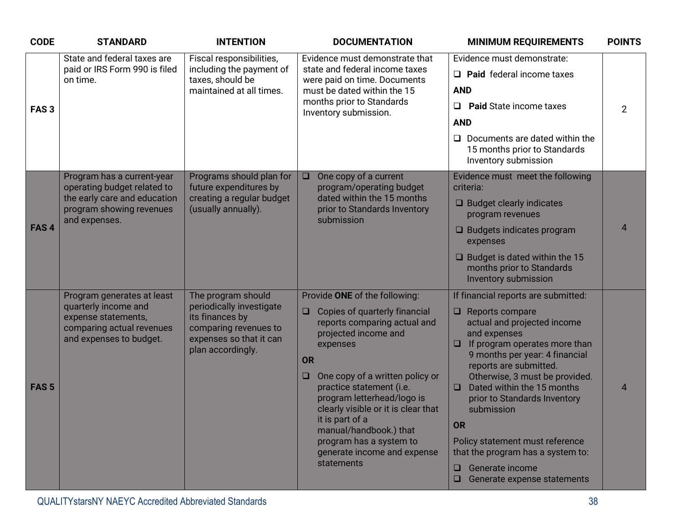| <b>CODE</b>      | <b>STANDARD</b>                                                                                                                   | <b>INTENTION</b>                                                                                                                           | <b>DOCUMENTATION</b>                                                                                                                                                                                                                                                                                                                                                                                                         | <b>MINIMUM REQUIREMENTS</b>                                                                                                                                                                                                                                                                                                                                                                                                                                                                    | <b>POINTS</b>  |
|------------------|-----------------------------------------------------------------------------------------------------------------------------------|--------------------------------------------------------------------------------------------------------------------------------------------|------------------------------------------------------------------------------------------------------------------------------------------------------------------------------------------------------------------------------------------------------------------------------------------------------------------------------------------------------------------------------------------------------------------------------|------------------------------------------------------------------------------------------------------------------------------------------------------------------------------------------------------------------------------------------------------------------------------------------------------------------------------------------------------------------------------------------------------------------------------------------------------------------------------------------------|----------------|
|                  | State and federal taxes are                                                                                                       | Fiscal responsibilities,                                                                                                                   | Evidence must demonstrate that                                                                                                                                                                                                                                                                                                                                                                                               | Evidence must demonstrate:                                                                                                                                                                                                                                                                                                                                                                                                                                                                     |                |
|                  | paid or IRS Form 990 is filed<br>on time.                                                                                         | including the payment of<br>taxes, should be                                                                                               | state and federal income taxes<br>were paid on time. Documents                                                                                                                                                                                                                                                                                                                                                               | $\Box$ Paid federal income taxes                                                                                                                                                                                                                                                                                                                                                                                                                                                               |                |
|                  |                                                                                                                                   | maintained at all times.                                                                                                                   | must be dated within the 15                                                                                                                                                                                                                                                                                                                                                                                                  | <b>AND</b>                                                                                                                                                                                                                                                                                                                                                                                                                                                                                     |                |
| FAS <sub>3</sub> |                                                                                                                                   |                                                                                                                                            | months prior to Standards<br>Inventory submission.                                                                                                                                                                                                                                                                                                                                                                           | <b>Paid State income taxes</b><br>$\Box$                                                                                                                                                                                                                                                                                                                                                                                                                                                       | $\overline{2}$ |
|                  |                                                                                                                                   |                                                                                                                                            |                                                                                                                                                                                                                                                                                                                                                                                                                              | <b>AND</b>                                                                                                                                                                                                                                                                                                                                                                                                                                                                                     |                |
|                  |                                                                                                                                   |                                                                                                                                            |                                                                                                                                                                                                                                                                                                                                                                                                                              | $\Box$ Documents are dated within the<br>15 months prior to Standards<br>Inventory submission                                                                                                                                                                                                                                                                                                                                                                                                  |                |
|                  | Program has a current-year<br>operating budget related to                                                                         | Programs should plan for<br>future expenditures by                                                                                         | One copy of a current<br>$\Box$<br>program/operating budget                                                                                                                                                                                                                                                                                                                                                                  | Evidence must meet the following<br>criteria:                                                                                                                                                                                                                                                                                                                                                                                                                                                  |                |
|                  | the early care and education<br>program showing revenues<br>and expenses.                                                         | creating a regular budget<br>(usually annually).                                                                                           | dated within the 15 months<br>prior to Standards Inventory<br>submission                                                                                                                                                                                                                                                                                                                                                     | $\Box$ Budget clearly indicates<br>program revenues                                                                                                                                                                                                                                                                                                                                                                                                                                            |                |
| FAS <sub>4</sub> |                                                                                                                                   |                                                                                                                                            |                                                                                                                                                                                                                                                                                                                                                                                                                              | $\Box$ Budgets indicates program<br>expenses                                                                                                                                                                                                                                                                                                                                                                                                                                                   | $\overline{4}$ |
|                  |                                                                                                                                   |                                                                                                                                            |                                                                                                                                                                                                                                                                                                                                                                                                                              | $\Box$ Budget is dated within the 15<br>months prior to Standards<br>Inventory submission                                                                                                                                                                                                                                                                                                                                                                                                      |                |
| FAS <sub>5</sub> | Program generates at least<br>quarterly income and<br>expense statements,<br>comparing actual revenues<br>and expenses to budget. | The program should<br>periodically investigate<br>its finances by<br>comparing revenues to<br>expenses so that it can<br>plan accordingly. | Provide ONE of the following:<br>Copies of quarterly financial<br>$\Box$<br>reports comparing actual and<br>projected income and<br>expenses<br><b>OR</b><br>One copy of a written policy or<br>$\Box$<br>practice statement (i.e.<br>program letterhead/logo is<br>clearly visible or it is clear that<br>it is part of a<br>manual/handbook.) that<br>program has a system to<br>generate income and expense<br>statements | If financial reports are submitted:<br>$\Box$ Reports compare<br>actual and projected income<br>and expenses<br>If program operates more than<br>$\Box$<br>9 months per year: 4 financial<br>reports are submitted.<br>Otherwise, 3 must be provided.<br>Dated within the 15 months<br>$\Box$<br>prior to Standards Inventory<br>submission<br><b>OR</b><br>Policy statement must reference<br>that the program has a system to:<br>Generate income<br>0<br>$\Box$ Generate expense statements | $\overline{4}$ |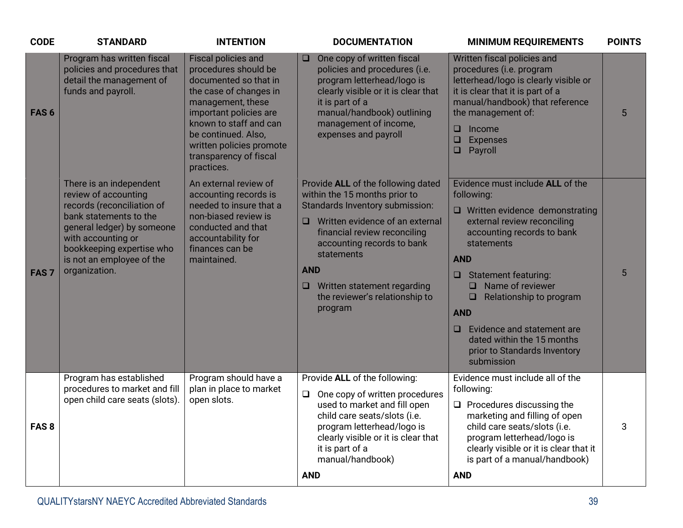| <b>CODE</b>      | <b>STANDARD</b>                                                                                                                                                                                                                        | <b>INTENTION</b>                                                                                                                                                                                                                                                          | <b>DOCUMENTATION</b>                                                                                                                                                                                                                                                                                                                | <b>MINIMUM REQUIREMENTS</b>                                                                                                                                                                                                                                                                                                                                                                                   | <b>POINTS</b> |
|------------------|----------------------------------------------------------------------------------------------------------------------------------------------------------------------------------------------------------------------------------------|---------------------------------------------------------------------------------------------------------------------------------------------------------------------------------------------------------------------------------------------------------------------------|-------------------------------------------------------------------------------------------------------------------------------------------------------------------------------------------------------------------------------------------------------------------------------------------------------------------------------------|---------------------------------------------------------------------------------------------------------------------------------------------------------------------------------------------------------------------------------------------------------------------------------------------------------------------------------------------------------------------------------------------------------------|---------------|
| FAS <sub>6</sub> | Program has written fiscal<br>policies and procedures that<br>detail the management of<br>funds and payroll.                                                                                                                           | <b>Fiscal policies and</b><br>procedures should be<br>documented so that in<br>the case of changes in<br>management, these<br>important policies are<br>known to staff and can<br>be continued. Also,<br>written policies promote<br>transparency of fiscal<br>practices. | One copy of written fiscal<br>O.<br>policies and procedures (i.e.<br>program letterhead/logo is<br>clearly visible or it is clear that<br>it is part of a<br>manual/handbook) outlining<br>management of income,<br>expenses and payroll                                                                                            | Written fiscal policies and<br>procedures (i.e. program<br>letterhead/logo is clearly visible or<br>it is clear that it is part of a<br>manual/handbook) that reference<br>the management of:<br>Income<br>$\Box$<br>$\Box$<br><b>Expenses</b><br>Payroll<br>$\Box$                                                                                                                                           | 5             |
| FAS <sub>7</sub> | There is an independent<br>review of accounting<br>records (reconciliation of<br>bank statements to the<br>general ledger) by someone<br>with accounting or<br>bookkeeping expertise who<br>is not an employee of the<br>organization. | An external review of<br>accounting records is<br>needed to insure that a<br>non-biased review is<br>conducted and that<br>accountability for<br>finances can be<br>maintained.                                                                                           | Provide ALL of the following dated<br>within the 15 months prior to<br>Standards Inventory submission:<br>Written evidence of an external<br>$\Box$<br>financial review reconciling<br>accounting records to bank<br>statements<br><b>AND</b><br>$\Box$<br>Written statement regarding<br>the reviewer's relationship to<br>program | Evidence must include ALL of the<br>following:<br>$\Box$ Written evidence demonstrating<br>external review reconciling<br>accounting records to bank<br>statements<br><b>AND</b><br>Statement featuring:<br>Name of reviewer<br>$\Box$<br>Relationship to program<br>$\Box$<br><b>AND</b><br>Evidence and statement are<br>$\Box$<br>dated within the 15 months<br>prior to Standards Inventory<br>submission | 5             |
| FAS <sub>8</sub> | Program has established<br>procedures to market and fill<br>open child care seats (slots).                                                                                                                                             | Program should have a<br>plan in place to market<br>open slots.                                                                                                                                                                                                           | Provide ALL of the following:<br>$\Box$ One copy of written procedures<br>used to market and fill open<br>child care seats/slots (i.e.<br>program letterhead/logo is<br>clearly visible or it is clear that<br>it is part of a<br>manual/handbook)<br><b>AND</b>                                                                    | Evidence must include all of the<br>following:<br>$\Box$ Procedures discussing the<br>marketing and filling of open<br>child care seats/slots (i.e.<br>program letterhead/logo is<br>clearly visible or it is clear that it<br>is part of a manual/handbook)<br><b>AND</b>                                                                                                                                    | 3             |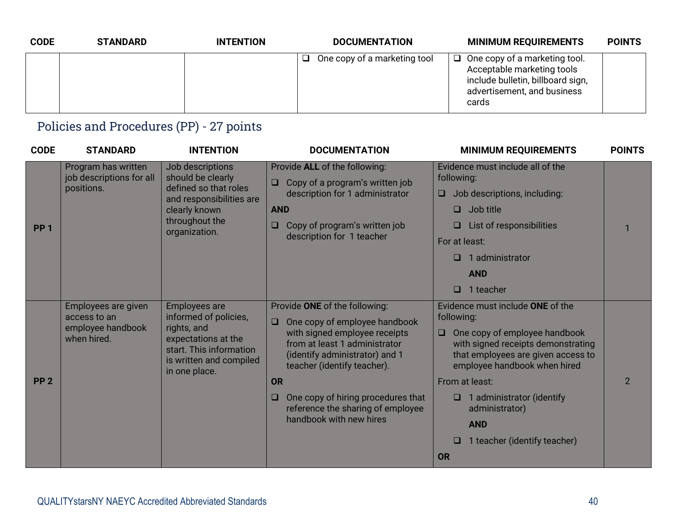| <b>CODE</b> | <b>STANDARD</b> | <b>INTENTION</b> | <b>DOCUMENTATION</b>                | <b>MINIMUM REQUIREMENTS</b>                                                                                                                     | <b>POINTS</b> |
|-------------|-----------------|------------------|-------------------------------------|-------------------------------------------------------------------------------------------------------------------------------------------------|---------------|
|             |                 |                  | $\Box$ One copy of a marketing tool | $\Box$ One copy of a marketing tool.<br>Acceptable marketing tools<br>include bulletin, billboard sign,<br>advertisement, and business<br>cards |               |

### Policies and Procedures (PP) - 27 points

| <b>CODE</b>     | <b>STANDARD</b>                                                         | <b>INTENTION</b>                                                                                                                                           | <b>DOCUMENTATION</b>                                                                                                                                                                                                                                                                                                                     | <b>MINIMUM REQUIREMENTS</b>                                                                                                                                                                                                                                                                                                          | <b>POINTS</b>  |
|-----------------|-------------------------------------------------------------------------|------------------------------------------------------------------------------------------------------------------------------------------------------------|------------------------------------------------------------------------------------------------------------------------------------------------------------------------------------------------------------------------------------------------------------------------------------------------------------------------------------------|--------------------------------------------------------------------------------------------------------------------------------------------------------------------------------------------------------------------------------------------------------------------------------------------------------------------------------------|----------------|
| PP <sub>1</sub> | Program has written<br>job descriptions for all<br>positions.           | Job descriptions<br>should be clearly<br>defined so that roles<br>and responsibilities are<br>clearly known<br>throughout the<br>organization.             | Provide ALL of the following:<br>Copy of a program's written job<br>$\Box$<br>description for 1 administrator<br><b>AND</b><br>Copy of program's written job<br>$\Box$<br>description for 1 teacher                                                                                                                                      | Evidence must include all of the<br>following:<br>Job descriptions, including:<br>0<br>$\Box$ Job title<br>List of responsibilities<br>For at least:<br>1 administrator<br>$\Box$<br><b>AND</b><br>1 teacher<br>$\Box$                                                                                                               |                |
| PP <sub>2</sub> | Employees are given<br>access to an<br>employee handbook<br>when hired. | <b>Employees are</b><br>informed of policies,<br>rights, and<br>expectations at the<br>start. This information<br>is written and compiled<br>in one place. | Provide ONE of the following:<br>One copy of employee handbook<br>$\Box$<br>with signed employee receipts<br>from at least 1 administrator<br>(identify administrator) and 1<br>teacher (identify teacher).<br><b>OR</b><br>One copy of hiring procedures that<br>$\Box$<br>reference the sharing of employee<br>handbook with new hires | Evidence must include ONE of the<br>following:<br>One copy of employee handbook<br>$\Box$<br>with signed receipts demonstrating<br>that employees are given access to<br>employee handbook when hired<br>From at least:<br>1 administrator (identify<br>$\Box$<br>administrator)<br><b>AND</b><br>1 teacher (identify teacher)<br>OR | $\overline{2}$ |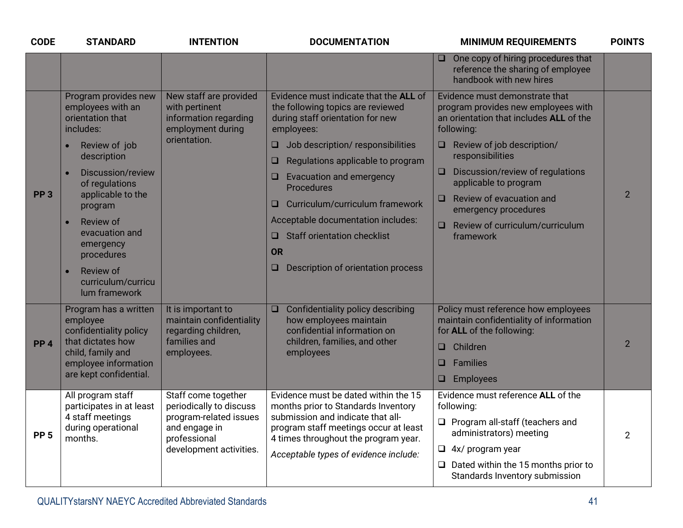| <b>CODE</b>     | <b>STANDARD</b>                                                                                                                                                                                                                                                                                                           | <b>INTENTION</b>                                                                                                                     | <b>DOCUMENTATION</b>                                                                                                                                                                                                                                                                                                                                                                                                                                       | <b>MINIMUM REQUIREMENTS</b>                                                                                                                                                                                                                                                                                                                                                              | <b>POINTS</b>  |
|-----------------|---------------------------------------------------------------------------------------------------------------------------------------------------------------------------------------------------------------------------------------------------------------------------------------------------------------------------|--------------------------------------------------------------------------------------------------------------------------------------|------------------------------------------------------------------------------------------------------------------------------------------------------------------------------------------------------------------------------------------------------------------------------------------------------------------------------------------------------------------------------------------------------------------------------------------------------------|------------------------------------------------------------------------------------------------------------------------------------------------------------------------------------------------------------------------------------------------------------------------------------------------------------------------------------------------------------------------------------------|----------------|
|                 |                                                                                                                                                                                                                                                                                                                           |                                                                                                                                      |                                                                                                                                                                                                                                                                                                                                                                                                                                                            | One copy of hiring procedures that<br>O<br>reference the sharing of employee<br>handbook with new hires                                                                                                                                                                                                                                                                                  |                |
| PP <sub>3</sub> | Program provides new<br>employees with an<br>orientation that<br>includes:<br>Review of job<br>$\bullet$<br>description<br>Discussion/review<br>$\bullet$<br>of regulations<br>applicable to the<br>program<br>Review of<br>evacuation and<br>emergency<br>procedures<br>Review of<br>curriculum/curricu<br>lum framework | New staff are provided<br>with pertinent<br>information regarding<br>employment during<br>orientation.                               | Evidence must indicate that the ALL of<br>the following topics are reviewed<br>during staff orientation for new<br>employees:<br>Job description/responsibilities<br><b>u</b><br>Regulations applicable to program<br>$\Box$<br>Evacuation and emergency<br>$\Box$<br>Procedures<br>Curriculum/curriculum framework<br>$\Box$<br>Acceptable documentation includes:<br>$\Box$ Staff orientation checklist<br>OR<br>Description of orientation process<br>o | Evidence must demonstrate that<br>program provides new employees with<br>an orientation that includes ALL of the<br>following:<br>$\Box$ Review of job description/<br>responsibilities<br>Discussion/review of regulations<br><b>u</b><br>applicable to program<br>Review of evacuation and<br>$\Box$<br>emergency procedures<br>Review of curriculum/curriculum<br>$\Box$<br>framework | $\overline{2}$ |
| PP <sub>4</sub> | Program has a written<br>employee<br>confidentiality policy<br>that dictates how<br>child, family and<br>employee information<br>are kept confidential.                                                                                                                                                                   | It is important to<br>maintain confidentiality<br>regarding children,<br>families and<br>employees.                                  | Confidentiality policy describing<br>$\Box$<br>how employees maintain<br>confidential information on<br>children, families, and other<br>employees                                                                                                                                                                                                                                                                                                         | Policy must reference how employees<br>maintain confidentiality of information<br>for <b>ALL</b> of the following:<br>Children<br>$\Box$<br>$\Box$<br>Families<br>Employees<br>$\Box$                                                                                                                                                                                                    | $\overline{2}$ |
| <b>PP 5</b>     | All program staff<br>participates in at least<br>4 staff meetings<br>during operational<br>months.                                                                                                                                                                                                                        | Staff come together<br>periodically to discuss<br>program-related issues<br>and engage in<br>professional<br>development activities. | Evidence must be dated within the 15<br>months prior to Standards Inventory<br>submission and indicate that all-<br>program staff meetings occur at least<br>4 times throughout the program year.<br>Acceptable types of evidence include:                                                                                                                                                                                                                 | Evidence must reference ALL of the<br>following:<br>$\Box$ Program all-staff (teachers and<br>administrators) meeting<br>$\Box$ 4x/ program year<br>$\Box$ Dated within the 15 months prior to<br>Standards Inventory submission                                                                                                                                                         | $\overline{2}$ |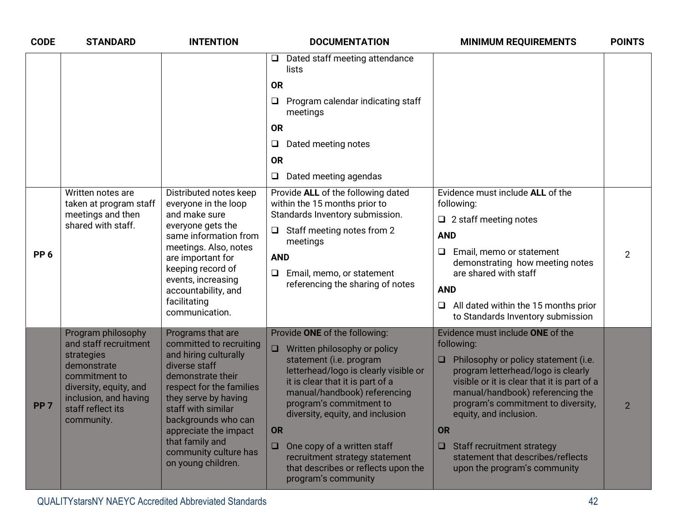| <b>CODE</b>     | <b>STANDARD</b>                                                                                                                                                                 | <b>INTENTION</b>                                                                                                                                                                                                                                                                                        | <b>DOCUMENTATION</b>                                                                                                                                                                                                                                                                                                                                                                                                          | <b>MINIMUM REQUIREMENTS</b>                                                                                                                                                                                                                                                                                                                                                                                      | <b>POINTS</b>  |
|-----------------|---------------------------------------------------------------------------------------------------------------------------------------------------------------------------------|---------------------------------------------------------------------------------------------------------------------------------------------------------------------------------------------------------------------------------------------------------------------------------------------------------|-------------------------------------------------------------------------------------------------------------------------------------------------------------------------------------------------------------------------------------------------------------------------------------------------------------------------------------------------------------------------------------------------------------------------------|------------------------------------------------------------------------------------------------------------------------------------------------------------------------------------------------------------------------------------------------------------------------------------------------------------------------------------------------------------------------------------------------------------------|----------------|
|                 |                                                                                                                                                                                 |                                                                                                                                                                                                                                                                                                         | Dated staff meeting attendance<br>Q<br>lists<br><b>OR</b><br>Program calendar indicating staff<br>□<br>meetings<br><b>OR</b><br>$\Box$<br>Dated meeting notes<br><b>OR</b><br>Dated meeting agendas<br>$\Box$                                                                                                                                                                                                                 |                                                                                                                                                                                                                                                                                                                                                                                                                  |                |
| PP <sub>6</sub> | Written notes are<br>taken at program staff<br>meetings and then<br>shared with staff.                                                                                          | Distributed notes keep<br>everyone in the loop<br>and make sure<br>everyone gets the<br>same information from<br>meetings. Also, notes<br>are important for<br>keeping record of<br>events, increasing<br>accountability, and<br>facilitating<br>communication.                                         | Provide ALL of the following dated<br>within the 15 months prior to<br>Standards Inventory submission.<br>$\Box$ Staff meeting notes from 2<br>meetings<br><b>AND</b><br>Email, memo, or statement<br>$\Box$<br>referencing the sharing of notes                                                                                                                                                                              | Evidence must include ALL of the<br>following:<br>$\Box$ 2 staff meeting notes<br><b>AND</b><br>$\Box$<br>Email, memo or statement<br>demonstrating how meeting notes<br>are shared with staff<br><b>AND</b><br>All dated within the 15 months prior<br>$\Box$<br>to Standards Inventory submission                                                                                                              | $\overline{2}$ |
| PP <sub>7</sub> | Program philosophy<br>and staff recruitment<br>strategies<br>demonstrate<br>commitment to<br>diversity, equity, and<br>inclusion, and having<br>staff reflect its<br>community. | Programs that are<br>committed to recruiting<br>and hiring culturally<br>diverse staff<br>demonstrate their<br>respect for the families<br>they serve by having<br>staff with similar<br>backgrounds who can<br>appreciate the impact<br>that family and<br>community culture has<br>on young children. | Provide ONE of the following:<br>Written philosophy or policy<br>$\Box$<br>statement (i.e. program<br>letterhead/logo is clearly visible or<br>it is clear that it is part of a<br>manual/handbook) referencing<br>program's commitment to<br>diversity, equity, and inclusion<br>OR<br>One copy of a written staff<br>$\Box$<br>recruitment strategy statement<br>that describes or reflects upon the<br>program's community | Evidence must include ONE of the<br>following:<br>Philosophy or policy statement (i.e.<br>$\Box$<br>program letterhead/logo is clearly<br>visible or it is clear that it is part of a<br>manual/handbook) referencing the<br>program's commitment to diversity,<br>equity, and inclusion.<br><b>OR</b><br>$\Box$ Staff recruitment strategy<br>statement that describes/reflects<br>upon the program's community | $\overline{2}$ |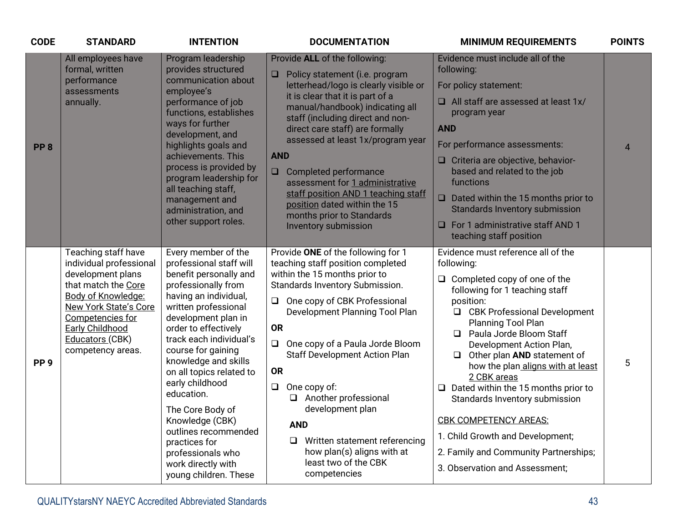| <b>CODE</b>     | <b>STANDARD</b>                                                                                                                                                                                                                        | <b>INTENTION</b>                                                                                                                                                                                                                                                                                                                                                                                                                                                                          | <b>DOCUMENTATION</b>                                                                                                                                                                                                                                                                                                                                                                                                                                                                                                                        | <b>MINIMUM REQUIREMENTS</b>                                                                                                                                                                                                                                                                                                                                                                                                                                                                                                                                                             | <b>POINTS</b>  |
|-----------------|----------------------------------------------------------------------------------------------------------------------------------------------------------------------------------------------------------------------------------------|-------------------------------------------------------------------------------------------------------------------------------------------------------------------------------------------------------------------------------------------------------------------------------------------------------------------------------------------------------------------------------------------------------------------------------------------------------------------------------------------|---------------------------------------------------------------------------------------------------------------------------------------------------------------------------------------------------------------------------------------------------------------------------------------------------------------------------------------------------------------------------------------------------------------------------------------------------------------------------------------------------------------------------------------------|-----------------------------------------------------------------------------------------------------------------------------------------------------------------------------------------------------------------------------------------------------------------------------------------------------------------------------------------------------------------------------------------------------------------------------------------------------------------------------------------------------------------------------------------------------------------------------------------|----------------|
| PP <sub>8</sub> | All employees have<br>formal, written<br>performance<br>assessments<br>annually.                                                                                                                                                       | Program leadership<br>provides structured<br>communication about<br>employee's<br>performance of job<br>functions, establishes<br>ways for further<br>development, and<br>highlights goals and<br>achievements. This<br>process is provided by<br>program leadership for<br>all teaching staff,<br>management and<br>administration, and<br>other support roles.                                                                                                                          | Provide ALL of the following:<br>$\Box$<br>Policy statement (i.e. program<br>letterhead/logo is clearly visible or<br>it is clear that it is part of a<br>manual/handbook) indicating all<br>staff (including direct and non-<br>direct care staff) are formally<br>assessed at least 1x/program year<br><b>AND</b><br>Completed performance<br>$\Box$<br>assessment for 1 administrative<br>staff position AND 1 teaching staff<br>position dated within the 15<br>months prior to Standards<br>Inventory submission                       | Evidence must include all of the<br>following:<br>For policy statement:<br>$\Box$ All staff are assessed at least 1x/<br>program year<br><b>AND</b><br>For performance assessments:<br>□ Criteria are objective, behavior-<br>based and related to the job<br>functions<br>Dated within the 15 months prior to<br>$\Box$<br><b>Standards Inventory submission</b><br>For 1 administrative staff AND 1<br>$\Box$<br>teaching staff position                                                                                                                                              | $\overline{4}$ |
| PP <sub>9</sub> | Teaching staff have<br>individual professional<br>development plans<br>that match the Core<br>Body of Knowledge:<br><b>New York State's Core</b><br>Competencies for<br><b>Early Childhood</b><br>Educators (CBK)<br>competency areas. | Every member of the<br>professional staff will<br>benefit personally and<br>professionally from<br>having an individual,<br>written professional<br>development plan in<br>order to effectively<br>track each individual's<br>course for gaining<br>knowledge and skills<br>on all topics related to<br>early childhood<br>education.<br>The Core Body of<br>Knowledge (CBK)<br>outlines recommended<br>practices for<br>professionals who<br>work directly with<br>young children. These | Provide ONE of the following for 1<br>teaching staff position completed<br>within the 15 months prior to<br>Standards Inventory Submission.<br>One copy of CBK Professional<br>$\Box$<br>Development Planning Tool Plan<br><b>OR</b><br>One copy of a Paula Jorde Bloom<br>$\Box$<br><b>Staff Development Action Plan</b><br><b>OR</b><br>One copy of:<br>$\Box$<br>Another professional<br>development plan<br><b>AND</b><br>Written statement referencing<br>$\Box$<br>how plan(s) aligns with at<br>least two of the CBK<br>competencies | Evidence must reference all of the<br>following:<br>Completed copy of one of the<br>❏.<br>following for 1 teaching staff<br>position:<br><b>CBK Professional Development</b><br>❏<br>Planning Tool Plan<br>Paula Jorde Bloom Staff<br>Development Action Plan,<br>$\Box$ Other plan AND statement of<br>how the plan aligns with at least<br>2 CBK areas<br>$\Box$ Dated within the 15 months prior to<br>Standards Inventory submission<br><b>CBK COMPETENCY AREAS:</b><br>1. Child Growth and Development;<br>2. Family and Community Partnerships;<br>3. Observation and Assessment; | 5              |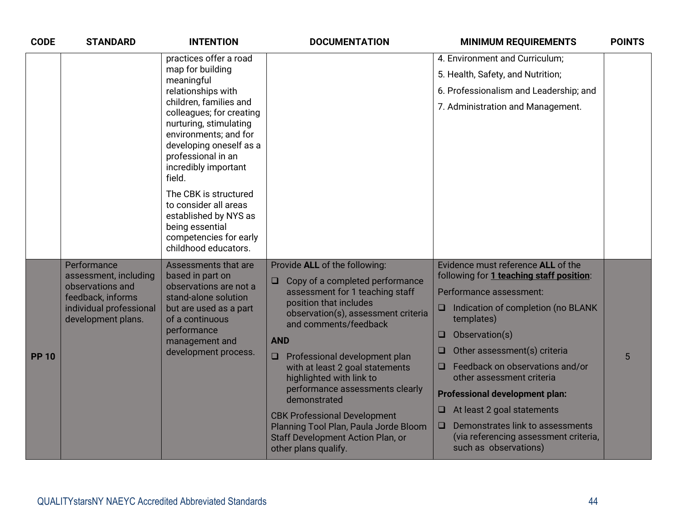| <b>CODE</b>  | <b>STANDARD</b>                                                                                                                | <b>INTENTION</b>                                                                                                                                                                                                                                                                                                                                                                                                           | <b>DOCUMENTATION</b>                                                                                                                                                                                                                                                                                                                                                                                                                                                                                                                | <b>MINIMUM REQUIREMENTS</b>                                                                                                                                                                                                                                                                                                                                                                                                                                                                | <b>POINTS</b> |
|--------------|--------------------------------------------------------------------------------------------------------------------------------|----------------------------------------------------------------------------------------------------------------------------------------------------------------------------------------------------------------------------------------------------------------------------------------------------------------------------------------------------------------------------------------------------------------------------|-------------------------------------------------------------------------------------------------------------------------------------------------------------------------------------------------------------------------------------------------------------------------------------------------------------------------------------------------------------------------------------------------------------------------------------------------------------------------------------------------------------------------------------|--------------------------------------------------------------------------------------------------------------------------------------------------------------------------------------------------------------------------------------------------------------------------------------------------------------------------------------------------------------------------------------------------------------------------------------------------------------------------------------------|---------------|
|              |                                                                                                                                | practices offer a road<br>map for building<br>meaningful<br>relationships with<br>children, families and<br>colleagues; for creating<br>nurturing, stimulating<br>environments; and for<br>developing oneself as a<br>professional in an<br>incredibly important<br>field.<br>The CBK is structured<br>to consider all areas<br>established by NYS as<br>being essential<br>competencies for early<br>childhood educators. |                                                                                                                                                                                                                                                                                                                                                                                                                                                                                                                                     | 4. Environment and Curriculum;<br>5. Health, Safety, and Nutrition;<br>6. Professionalism and Leadership; and<br>7. Administration and Management.                                                                                                                                                                                                                                                                                                                                         |               |
| <b>PP 10</b> | Performance<br>assessment, including<br>observations and<br>feedback, informs<br>individual professional<br>development plans. | Assessments that are<br>based in part on<br>observations are not a<br>stand-alone solution<br>but are used as a part<br>of a continuous<br>performance<br>management and<br>development process.                                                                                                                                                                                                                           | Provide ALL of the following:<br>Copy of a completed performance<br>$\Box$<br>assessment for 1 teaching staff<br>position that includes<br>observation(s), assessment criteria<br>and comments/feedback<br><b>AND</b><br>$\Box$ Professional development plan<br>with at least 2 goal statements<br>highlighted with link to<br>performance assessments clearly<br>demonstrated<br><b>CBK Professional Development</b><br>Planning Tool Plan, Paula Jorde Bloom<br><b>Staff Development Action Plan, or</b><br>other plans qualify. | Evidence must reference ALL of the<br>following for 1 teaching staff position:<br>Performance assessment:<br>Indication of completion (no BLANK<br>$\Box$<br>templates)<br>Observation(s)<br>O<br>Other assessment(s) criteria<br>□<br>Feedback on observations and/or<br>other assessment criteria<br><b>Professional development plan:</b><br>At least 2 goal statements<br>u<br>Demonstrates link to assessments<br>❏<br>(via referencing assessment criteria,<br>such as observations) | 5             |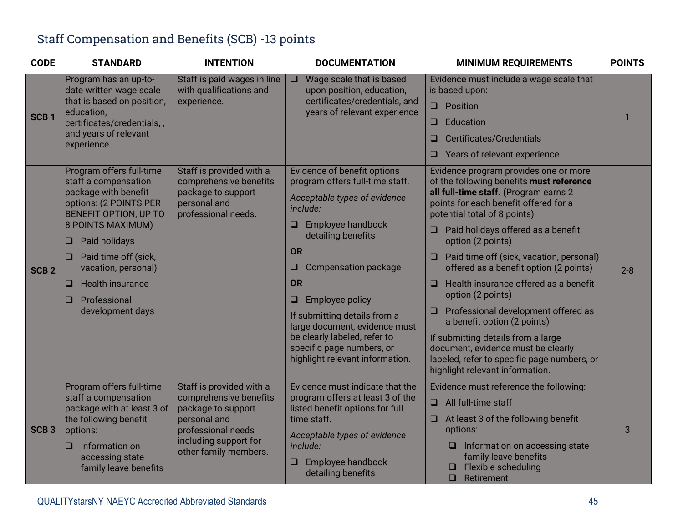#### Staff Compensation and Benefits (SCB) -13 points

| <b>CODE</b>      | <b>STANDARD</b>                                                                                                                                                                                                                                                                                            | <b>INTENTION</b>                                                                                                                                                 | <b>DOCUMENTATION</b>                                                                                                                                                                                                                                                                                                                                                                                                        | <b>MINIMUM REQUIREMENTS</b>                                                                                                                                                                                                                                                                                                                                                                                                                                                                                                                                                                                                                                                    | <b>POINTS</b> |
|------------------|------------------------------------------------------------------------------------------------------------------------------------------------------------------------------------------------------------------------------------------------------------------------------------------------------------|------------------------------------------------------------------------------------------------------------------------------------------------------------------|-----------------------------------------------------------------------------------------------------------------------------------------------------------------------------------------------------------------------------------------------------------------------------------------------------------------------------------------------------------------------------------------------------------------------------|--------------------------------------------------------------------------------------------------------------------------------------------------------------------------------------------------------------------------------------------------------------------------------------------------------------------------------------------------------------------------------------------------------------------------------------------------------------------------------------------------------------------------------------------------------------------------------------------------------------------------------------------------------------------------------|---------------|
| SCB <sub>1</sub> | Program has an up-to-<br>date written wage scale<br>that is based on position,<br>education,<br>certificates/credentials,,<br>and years of relevant<br>experience.                                                                                                                                         | Staff is paid wages in line<br>with qualifications and<br>experience.                                                                                            | Wage scale that is based<br>$\Box$<br>upon position, education,<br>certificates/credentials, and<br>years of relevant experience                                                                                                                                                                                                                                                                                            | Evidence must include a wage scale that<br>is based upon:<br>$\Box$ Position<br>Education<br>O<br><b>Certificates/Credentials</b><br>$\Box$                                                                                                                                                                                                                                                                                                                                                                                                                                                                                                                                    | 1             |
|                  |                                                                                                                                                                                                                                                                                                            |                                                                                                                                                                  |                                                                                                                                                                                                                                                                                                                                                                                                                             | Years of relevant experience<br>□                                                                                                                                                                                                                                                                                                                                                                                                                                                                                                                                                                                                                                              |               |
| SCB <sub>2</sub> | Program offers full-time<br>staff a compensation<br>package with benefit<br>options: (2 POINTS PER<br>BENEFIT OPTION, UP TO<br>8 POINTS MAXIMUM)<br>Paid holidays<br>⊔<br>Paid time off (sick,<br>u<br>vacation, personal)<br><b>Health insurance</b><br>u<br>Professional<br><b>□</b><br>development days | Staff is provided with a<br>comprehensive benefits<br>package to support<br>personal and<br>professional needs.                                                  | Evidence of benefit options<br>program offers full-time staff.<br>Acceptable types of evidence<br>include:<br>Employee handbook<br>$\Box$<br>detailing benefits<br><b>OR</b><br>Compensation package<br>u<br><b>OR</b><br><b>Employee policy</b><br>$\Box$<br>If submitting details from a<br>large document, evidence must<br>be clearly labeled, refer to<br>specific page numbers, or<br>highlight relevant information. | Evidence program provides one or more<br>of the following benefits must reference<br>all full-time staff. (Program earns 2<br>points for each benefit offered for a<br>potential total of 8 points)<br>$\Box$ Paid holidays offered as a benefit<br>option (2 points)<br>Paid time off (sick, vacation, personal)<br>offered as a benefit option (2 points)<br>Health insurance offered as a benefit<br>$\Box$<br>option (2 points)<br>$\Box$ Professional development offered as<br>a benefit option (2 points)<br>If submitting details from a large<br>document, evidence must be clearly<br>labeled, refer to specific page numbers, or<br>highlight relevant information. | $2 - 8$       |
| SCB <sub>3</sub> | Program offers full-time<br>staff a compensation<br>package with at least 3 of<br>the following benefit<br>options:<br>Information on<br>$\Box$<br>accessing state<br>family leave benefits                                                                                                                | Staff is provided with a<br>comprehensive benefits<br>package to support<br>personal and<br>professional needs<br>including support for<br>other family members. | Evidence must indicate that the<br>program offers at least 3 of the<br>listed benefit options for full<br>time staff.<br>Acceptable types of evidence<br>include:<br>Employee handbook<br>$\Box$<br>detailing benefits                                                                                                                                                                                                      | Evidence must reference the following:<br>All full-time staff<br>0<br>$\Box$ At least 3 of the following benefit<br>options:<br>Information on accessing state<br>u.<br>family leave benefits<br>Flexible scheduling<br>$\Box$<br>Retirement                                                                                                                                                                                                                                                                                                                                                                                                                                   | 3             |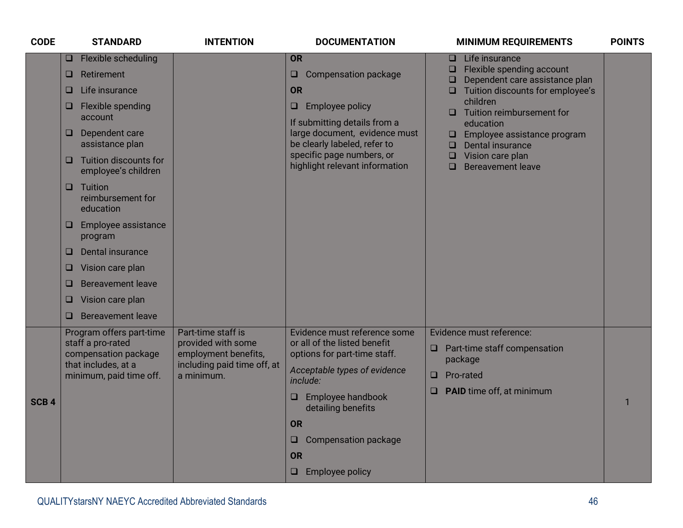| <b>CODE</b>      | <b>STANDARD</b>                                                                                                                                                                                                                                                                                                                                                                                                                                                  | <b>INTENTION</b>                                                                                              | <b>DOCUMENTATION</b>                                                                                                                                                                                                                                                            | <b>MINIMUM REQUIREMENTS</b>                                                                                                                                                                                                                                                                                                                     | <b>POINTS</b> |
|------------------|------------------------------------------------------------------------------------------------------------------------------------------------------------------------------------------------------------------------------------------------------------------------------------------------------------------------------------------------------------------------------------------------------------------------------------------------------------------|---------------------------------------------------------------------------------------------------------------|---------------------------------------------------------------------------------------------------------------------------------------------------------------------------------------------------------------------------------------------------------------------------------|-------------------------------------------------------------------------------------------------------------------------------------------------------------------------------------------------------------------------------------------------------------------------------------------------------------------------------------------------|---------------|
|                  | Flexible scheduling<br>$\Box$<br>Retirement<br>$\Box$<br>Life insurance<br>u<br>Flexible spending<br>⊔<br>account<br>Dependent care<br>⊔<br>assistance plan<br><b>Tuition discounts for</b><br>u<br>employee's children<br>Tuition<br>□.<br>reimbursement for<br>education<br>Employee assistance<br>⊔<br>program<br>Dental insurance<br>□<br>Vision care plan<br>⊔.<br><b>Bereavement leave</b><br>o<br>Vision care plan<br>□<br><b>Bereavement leave</b><br>□. |                                                                                                               | <b>OR</b><br><b>Compensation package</b><br>$\Box$<br><b>OR</b><br><b>Employee policy</b><br>$\Box$<br>If submitting details from a<br>large document, evidence must<br>be clearly labeled, refer to<br>specific page numbers, or<br>highlight relevant information             | Life insurance<br>$\Box$<br>Flexible spending account<br>u .<br>Dependent care assistance plan<br>❏<br>$\Box$ Tuition discounts for employee's<br>children<br>Tuition reimbursement for<br>□<br>education<br>Employee assistance program<br>□<br>Dental insurance<br>$\Box$<br>Vision care plan<br>$\Box$<br><b>Bereavement leave</b><br>$\Box$ |               |
| SCB <sub>4</sub> | Program offers part-time<br>staff a pro-rated<br>compensation package<br>that includes, at a<br>minimum, paid time off.                                                                                                                                                                                                                                                                                                                                          | Part-time staff is<br>provided with some<br>employment benefits,<br>including paid time off, at<br>a minimum. | Evidence must reference some<br>or all of the listed benefit<br>options for part-time staff.<br>Acceptable types of evidence<br>include:<br>Employee handbook<br>$\Box$<br>detailing benefits<br><b>OR</b><br>Compensation package<br>ᆸ.<br><b>OR</b><br>$\Box$ Employee policy | Evidence must reference:<br>$\Box$ Part-time staff compensation<br>package<br>Pro-rated<br>O<br><b>PAID</b> time off, at minimum<br>0                                                                                                                                                                                                           | 1             |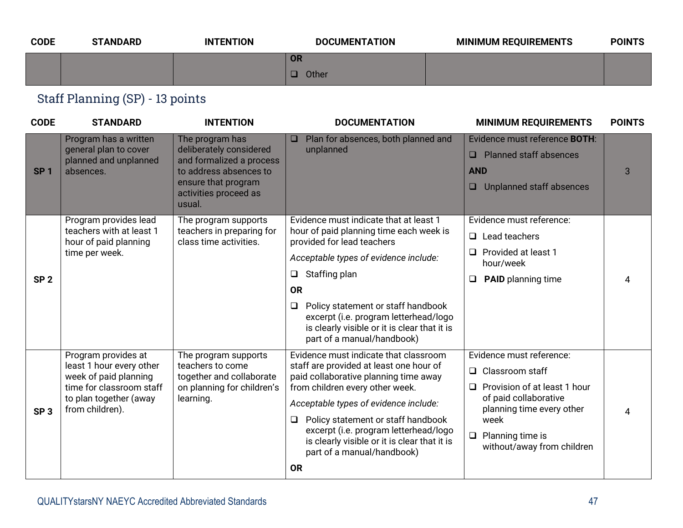| <b>CODE</b> | <b>STANDARD</b> | <b>INTENTION</b> | <b>DOCUMENTATION</b> | <b>MINIMUM REQUIREMENTS</b> | <b>POINTS</b> |
|-------------|-----------------|------------------|----------------------|-----------------------------|---------------|
|             |                 |                  | <b>OR</b>            |                             |               |
|             |                 |                  | Other                |                             |               |

### Staff Planning (SP) - 13 points

| <b>CODE</b>     | <b>STANDARD</b>                                                                                                                                   | <b>INTENTION</b>                                                                                                                                           | <b>DOCUMENTATION</b>                                                                                                                                                                                                                                                                                                                                                                      | <b>MINIMUM REQUIREMENTS</b>                                                                                                                                                                                     | <b>POINTS</b> |
|-----------------|---------------------------------------------------------------------------------------------------------------------------------------------------|------------------------------------------------------------------------------------------------------------------------------------------------------------|-------------------------------------------------------------------------------------------------------------------------------------------------------------------------------------------------------------------------------------------------------------------------------------------------------------------------------------------------------------------------------------------|-----------------------------------------------------------------------------------------------------------------------------------------------------------------------------------------------------------------|---------------|
| SP <sub>1</sub> | Program has a written<br>general plan to cover<br>planned and unplanned<br>absences.                                                              | The program has<br>deliberately considered<br>and formalized a process<br>to address absences to<br>ensure that program<br>activities proceed as<br>usual. | Plan for absences, both planned and<br>$\Box$<br>unplanned                                                                                                                                                                                                                                                                                                                                | Evidence must reference <b>BOTH:</b><br><b>Planned staff absences</b><br>$\Box$<br><b>AND</b><br>Unplanned staff absences<br>$\Box$                                                                             | 3             |
| SP <sub>2</sub> | Program provides lead<br>teachers with at least 1<br>hour of paid planning<br>time per week.                                                      | The program supports<br>teachers in preparing for<br>class time activities.                                                                                | Evidence must indicate that at least 1<br>hour of paid planning time each week is<br>provided for lead teachers<br>Acceptable types of evidence include:<br>Staffing plan<br>$\Box$<br><b>OR</b><br>Policy statement or staff handbook<br>❏<br>excerpt (i.e. program letterhead/logo<br>is clearly visible or it is clear that it is<br>part of a manual/handbook)                        | Evidence must reference:<br>$\Box$ Lead teachers<br>Provided at least 1<br>$\Box$<br>hour/week<br><b>PAID</b> planning time<br>❏                                                                                | 4             |
| SP <sub>3</sub> | Program provides at<br>least 1 hour every other<br>week of paid planning<br>time for classroom staff<br>to plan together (away<br>from children). | The program supports<br>teachers to come<br>together and collaborate<br>on planning for children's<br>learning.                                            | Evidence must indicate that classroom<br>staff are provided at least one hour of<br>paid collaborative planning time away<br>from children every other week.<br>Acceptable types of evidence include:<br>Policy statement or staff handbook<br>$\Box$<br>excerpt (i.e. program letterhead/logo<br>is clearly visible or it is clear that it is<br>part of a manual/handbook)<br><b>OR</b> | Evidence must reference:<br>Classroom staff<br>$\Box$<br>Provision of at least 1 hour<br>$\Box$<br>of paid collaborative<br>planning time every other<br>week<br>Planning time is<br>without/away from children | 4             |